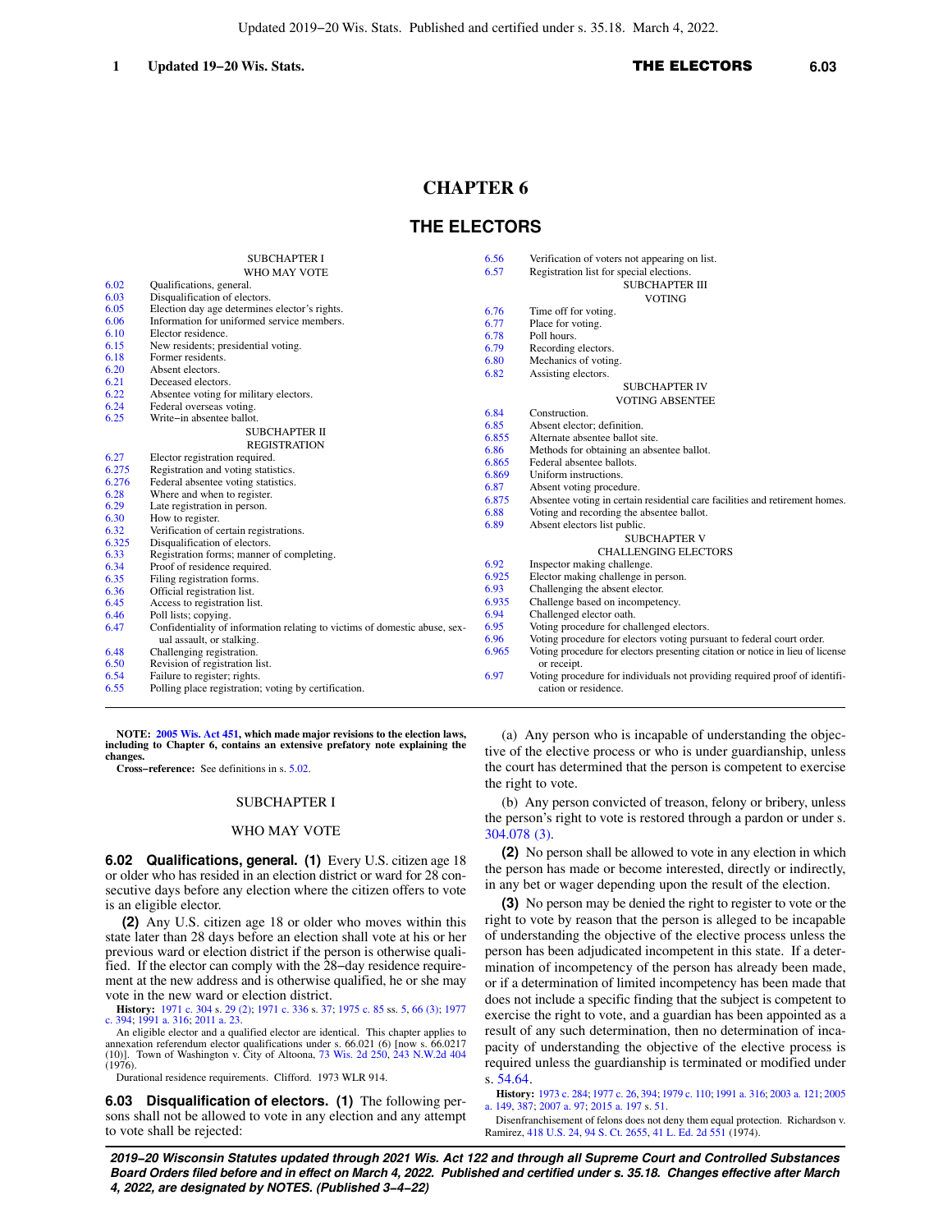# **CHAPTER 6**

# **THE ELECTORS**

|       | <b>SUBCHAPTER I</b>                                                        | 6.56  | Verification of voters not appearing on list.                                  |
|-------|----------------------------------------------------------------------------|-------|--------------------------------------------------------------------------------|
|       | WHO MAY VOTE                                                               | 6.57  | Registration list for special elections.                                       |
| 6.02  | Qualifications, general.                                                   |       | <b>SUBCHAPTER III</b>                                                          |
| 6.03  | Disqualification of electors.                                              |       | <b>VOTING</b>                                                                  |
| 6.05  | Election day age determines elector's rights.                              | 6.76  | Time off for voting.                                                           |
| 6.06  | Information for uniformed service members.                                 | 6.77  | Place for voting.                                                              |
| 6.10  | Elector residence.                                                         | 6.78  | Poll hours.                                                                    |
| 6.15  | New residents; presidential voting.                                        | 6.79  | Recording electors.                                                            |
| 6.18  | Former residents.                                                          | 6.80  | Mechanics of voting.                                                           |
| 6.20  | Absent electors.                                                           | 6.82  | Assisting electors.                                                            |
| 6.21  | Deceased electors.                                                         |       | <b>SUBCHAPTER IV</b>                                                           |
| 6.22  | Absentee voting for military electors.                                     |       | <b>VOTING ABSENTEE</b>                                                         |
| 6.24  | Federal overseas voting.                                                   | 6.84  | Construction.                                                                  |
| 6.25  | Write-in absentee ballot.                                                  | 6.85  | Absent elector; definition.                                                    |
|       | <b>SUBCHAPTER II</b>                                                       | 6.855 | Alternate absentee ballot site.                                                |
|       | <b>REGISTRATION</b>                                                        | 6.86  | Methods for obtaining an absentee ballot.                                      |
| 6.27  | Elector registration required.                                             | 6.865 | Federal absentee ballots.                                                      |
| 6.275 | Registration and voting statistics.                                        | 6.869 | Uniform instructions.                                                          |
| 6.276 | Federal absentee voting statistics.                                        | 6.87  |                                                                                |
| 6.28  | Where and when to register.                                                | 6.875 | Absent voting procedure.                                                       |
| 6.29  | Late registration in person.                                               | 6.88  | Absentee voting in certain residential care facilities and retirement homes.   |
| 6.30  | How to register.                                                           |       | Voting and recording the absentee ballot.                                      |
| 6.32  | Verification of certain registrations.                                     | 6.89  | Absent electors list public.                                                   |
| 6.325 | Disqualification of electors.                                              |       | <b>SUBCHAPTER V</b>                                                            |
| 6.33  | Registration forms; manner of completing.                                  |       | <b>CHALLENGING ELECTORS</b>                                                    |
| 6.34  | Proof of residence required.                                               | 6.92  | Inspector making challenge.                                                    |
| 6.35  | Filing registration forms.                                                 | 6.925 | Elector making challenge in person.                                            |
| 6.36  | Official registration list.                                                | 6.93  | Challenging the absent elector.                                                |
| 6.45  | Access to registration list.                                               | 6.935 | Challenge based on incompetency.                                               |
| 6.46  | Poll lists; copying.                                                       | 6.94  | Challenged elector oath.                                                       |
| 6.47  | Confidentiality of information relating to victims of domestic abuse, sex- | 6.95  | Voting procedure for challenged electors.                                      |
|       | ual assault, or stalking.                                                  | 6.96  | Voting procedure for electors voting pursuant to federal court order.          |
| 6.48  | Challenging registration.                                                  | 6.965 | Voting procedure for electors presenting citation or notice in lieu of license |
| 6.50  | Revision of registration list.                                             |       | or receipt.                                                                    |
| 6.54  | Failure to register; rights.                                               | 6.97  | Voting procedure for individuals not providing required proof of identifi-     |
| 6.55  | Polling place registration; voting by certification.                       |       | cation or residence.                                                           |
|       |                                                                            |       |                                                                                |

**NOTE: [2005 Wis. Act 451,](https://docs-preview.legis.wisconsin.gov/document/acts/2005/451) which made major revisions to the election laws, including to Chapter 6, contains an extensive prefatory note explaining the changes.**

**Cross−reference:** See definitions in s. [5.02](https://docs-preview.legis.wisconsin.gov/document/statutes/5.02).

#### SUBCHAPTER I

#### WHO MAY VOTE

**6.02 Qualifications, general. (1)** Every U.S. citizen age 18 or older who has resided in an election district or ward for 28 consecutive days before any election where the citizen offers to vote is an eligible elector.

**(2)** Any U.S. citizen age 18 or older who moves within this state later than 28 days before an election shall vote at his or her previous ward or election district if the person is otherwise qualified. If the elector can comply with the 28−day residence requirement at the new address and is otherwise qualified, he or she may vote in the new ward or election district.

**History:** [1971 c. 304](https://docs-preview.legis.wisconsin.gov/document/acts/1971/304) s. [29 \(2\);](https://docs-preview.legis.wisconsin.gov/document/acts/1971/304,%20s.%2029) [1971 c. 336](https://docs-preview.legis.wisconsin.gov/document/acts/1971/336) s. [37;](https://docs-preview.legis.wisconsin.gov/document/acts/1971/336,%20s.%2037) [1975 c. 85](https://docs-preview.legis.wisconsin.gov/document/acts/1975/85) ss. [5,](https://docs-preview.legis.wisconsin.gov/document/acts/1975/85,%20s.%205) [66 \(3\)](https://docs-preview.legis.wisconsin.gov/document/acts/1975/85,%20s.%2066); [1977](https://docs-preview.legis.wisconsin.gov/document/acts/1977/394) [c. 394;](https://docs-preview.legis.wisconsin.gov/document/acts/1977/394) [1991 a. 316;](https://docs-preview.legis.wisconsin.gov/document/acts/1991/316) [2011 a. 23](https://docs-preview.legis.wisconsin.gov/document/acts/2011/23).

An eligible elector and a qualified elector are identical. This chapter applies to annexation referendum elector qualifications under s. 66.021 (6) [now s. 66.0217<br>(10)]. Town of Washington v. City of Altoona, [73 Wis. 2d 250](https://docs-preview.legis.wisconsin.gov/document/courts/73%20Wis.%202d%20250), [243 N.W.2d 404](https://docs-preview.legis.wisconsin.gov/document/courts/243%20N.W.2d%20404)  $(1976)$ .

Durational residence requirements. Clifford. 1973 WLR 914.

**6.03 Disqualification of electors. (1)** The following persons shall not be allowed to vote in any election and any attempt to vote shall be rejected:

(a) Any person who is incapable of understanding the objective of the elective process or who is under guardianship, unless the court has determined that the person is competent to exercise the right to vote.

(b) Any person convicted of treason, felony or bribery, unless the person's right to vote is restored through a pardon or under s. [304.078 \(3\)](https://docs-preview.legis.wisconsin.gov/document/statutes/304.078(3)).

**(2)** No person shall be allowed to vote in any election in which the person has made or become interested, directly or indirectly, in any bet or wager depending upon the result of the election.

**(3)** No person may be denied the right to register to vote or the right to vote by reason that the person is alleged to be incapable of understanding the objective of the elective process unless the person has been adjudicated incompetent in this state. If a determination of incompetency of the person has already been made, or if a determination of limited incompetency has been made that does not include a specific finding that the subject is competent to exercise the right to vote, and a guardian has been appointed as a result of any such determination, then no determination of incapacity of understanding the objective of the elective process is required unless the guardianship is terminated or modified under s. [54.64](https://docs-preview.legis.wisconsin.gov/document/statutes/54.64).

**History:** [1973 c. 284](https://docs-preview.legis.wisconsin.gov/document/acts/1973/284); [1977 c. 26](https://docs-preview.legis.wisconsin.gov/document/acts/1977/26), [394;](https://docs-preview.legis.wisconsin.gov/document/acts/1977/394) [1979 c. 110](https://docs-preview.legis.wisconsin.gov/document/acts/1979/110); [1991 a. 316](https://docs-preview.legis.wisconsin.gov/document/acts/1991/316); [2003 a. 121](https://docs-preview.legis.wisconsin.gov/document/acts/2003/121); [2005](https://docs-preview.legis.wisconsin.gov/document/acts/2005/149) [a. 149](https://docs-preview.legis.wisconsin.gov/document/acts/2005/149), [387](https://docs-preview.legis.wisconsin.gov/document/acts/2005/387); [2007 a. 97](https://docs-preview.legis.wisconsin.gov/document/acts/2007/97); [2015 a. 197](https://docs-preview.legis.wisconsin.gov/document/acts/2015/197) s. [51](https://docs-preview.legis.wisconsin.gov/document/acts/2015/197,%20s.%2051).

Disenfranchisement of felons does not deny them equal protection. Richardson v. Ramirez, [418 U.S. 24,](https://docs-preview.legis.wisconsin.gov/document/courts/418%20U.S.%2024) [94 S. Ct. 2655,](https://docs-preview.legis.wisconsin.gov/document/courts/94%20S.%20Ct.%202655) [41 L. Ed. 2d 551](https://docs-preview.legis.wisconsin.gov/document/courts/41%20L.%20Ed.%202d%20551) (1974).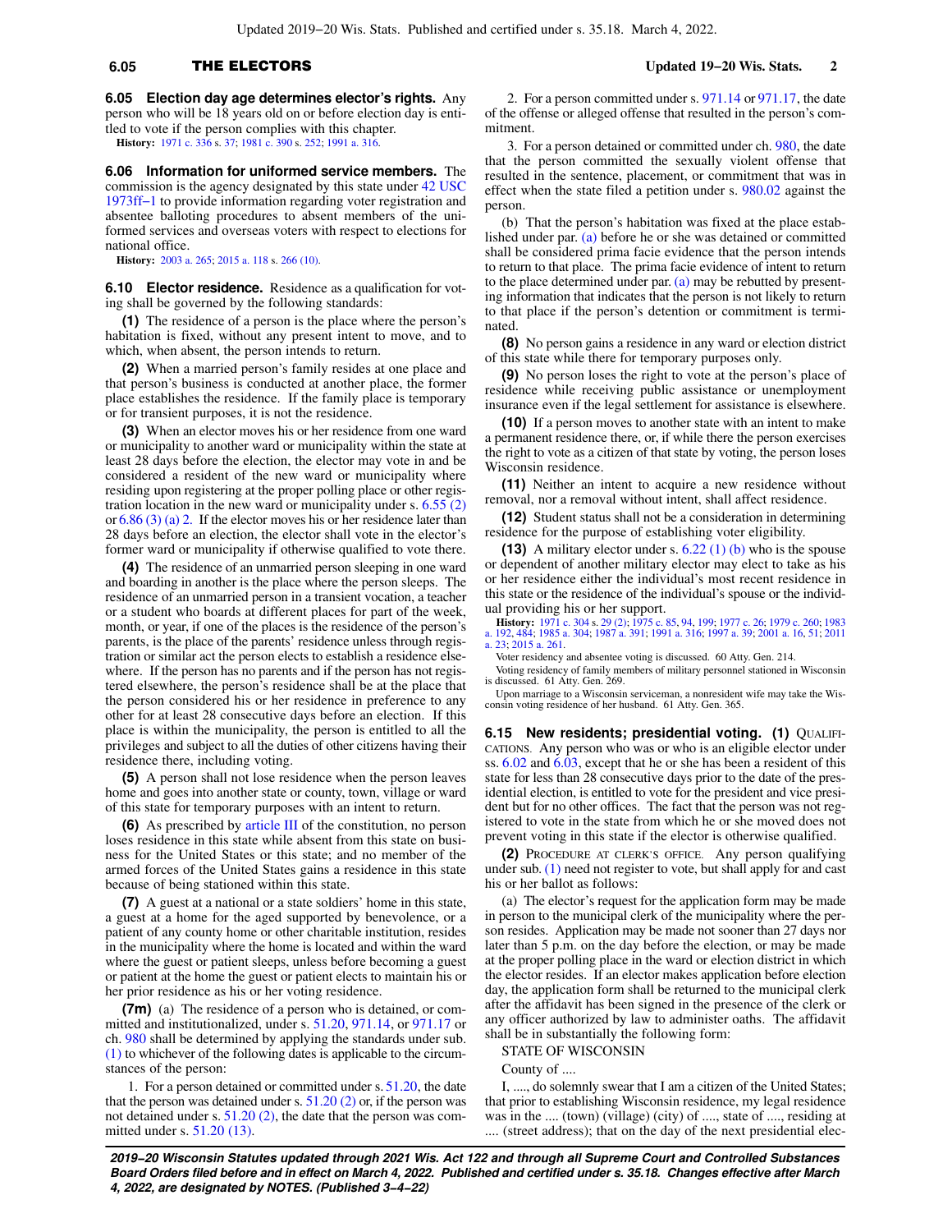# **6.05** THE ELECTORS **Updated 19−20 Wis. Stats. 2**

**6.05 Election day age determines elector's rights.** Any person who will be 18 years old on or before election day is entitled to vote if the person complies with this chapter. **History:** [1971 c. 336](https://docs-preview.legis.wisconsin.gov/document/acts/1971/336) s. [37](https://docs-preview.legis.wisconsin.gov/document/acts/1971/336,%20s.%2037); [1981 c. 390](https://docs-preview.legis.wisconsin.gov/document/acts/1981/390) s. [252;](https://docs-preview.legis.wisconsin.gov/document/acts/1981/390,%20s.%20252) [1991 a. 316](https://docs-preview.legis.wisconsin.gov/document/acts/1991/316).

**6.06 Information for uniformed service members.** The commission is the agency designated by this state under [42 USC](https://docs-preview.legis.wisconsin.gov/document/usc/42%20USC%201973ff-1) [1973ff−1](https://docs-preview.legis.wisconsin.gov/document/usc/42%20USC%201973ff-1) to provide information regarding voter registration and absentee balloting procedures to absent members of the uniformed services and overseas voters with respect to elections for national office.

**History:** [2003 a. 265](https://docs-preview.legis.wisconsin.gov/document/acts/2003/265); [2015 a. 118](https://docs-preview.legis.wisconsin.gov/document/acts/2015/118) s. [266 \(10\).](https://docs-preview.legis.wisconsin.gov/document/acts/2015/118,%20s.%20266)

**6.10 Elector residence.** Residence as a qualification for voting shall be governed by the following standards:

**(1)** The residence of a person is the place where the person's habitation is fixed, without any present intent to move, and to which, when absent, the person intends to return.

**(2)** When a married person's family resides at one place and that person's business is conducted at another place, the former place establishes the residence. If the family place is temporary or for transient purposes, it is not the residence.

**(3)** When an elector moves his or her residence from one ward or municipality to another ward or municipality within the state at least 28 days before the election, the elector may vote in and be considered a resident of the new ward or municipality where residing upon registering at the proper polling place or other registration location in the new ward or municipality under s. [6.55 \(2\)](https://docs-preview.legis.wisconsin.gov/document/statutes/6.55(2)) or [6.86 \(3\) \(a\) 2.](https://docs-preview.legis.wisconsin.gov/document/statutes/6.86(3)(a)2.) If the elector moves his or her residence later than 28 days before an election, the elector shall vote in the elector's former ward or municipality if otherwise qualified to vote there.

**(4)** The residence of an unmarried person sleeping in one ward and boarding in another is the place where the person sleeps. The residence of an unmarried person in a transient vocation, a teacher or a student who boards at different places for part of the week, month, or year, if one of the places is the residence of the person's parents, is the place of the parents' residence unless through registration or similar act the person elects to establish a residence elsewhere. If the person has no parents and if the person has not registered elsewhere, the person's residence shall be at the place that the person considered his or her residence in preference to any other for at least 28 consecutive days before an election. If this place is within the municipality, the person is entitled to all the privileges and subject to all the duties of other citizens having their residence there, including voting.

**(5)** A person shall not lose residence when the person leaves home and goes into another state or county, town, village or ward of this state for temporary purposes with an intent to return.

**(6)** As prescribed by [article III](https://docs-preview.legis.wisconsin.gov/document/wisconsinconstitution/III) of the constitution, no person loses residence in this state while absent from this state on business for the United States or this state; and no member of the armed forces of the United States gains a residence in this state because of being stationed within this state.

**(7)** A guest at a national or a state soldiers' home in this state, a guest at a home for the aged supported by benevolence, or a patient of any county home or other charitable institution, resides in the municipality where the home is located and within the ward where the guest or patient sleeps, unless before becoming a guest or patient at the home the guest or patient elects to maintain his or her prior residence as his or her voting residence.

**(7m)** (a) The residence of a person who is detained, or committed and institutionalized, under s. [51.20](https://docs-preview.legis.wisconsin.gov/document/statutes/51.20), [971.14](https://docs-preview.legis.wisconsin.gov/document/statutes/971.14), or [971.17](https://docs-preview.legis.wisconsin.gov/document/statutes/971.17) or ch. [980](https://docs-preview.legis.wisconsin.gov/document/statutes/ch.%20980) shall be determined by applying the standards under sub. [\(1\)](https://docs-preview.legis.wisconsin.gov/document/statutes/6.10(1)) to whichever of the following dates is applicable to the circumstances of the person:

1. For a person detained or committed under s. [51.20,](https://docs-preview.legis.wisconsin.gov/document/statutes/51.20) the date that the person was detained under s.  $51.20$  (2) or, if the person was not detained under s. [51.20 \(2\),](https://docs-preview.legis.wisconsin.gov/document/statutes/51.20(2)) the date that the person was committed under s. [51.20 \(13\).](https://docs-preview.legis.wisconsin.gov/document/statutes/51.20(13))

2. For a person committed under s. [971.14](https://docs-preview.legis.wisconsin.gov/document/statutes/971.14) or [971.17,](https://docs-preview.legis.wisconsin.gov/document/statutes/971.17) the date of the offense or alleged offense that resulted in the person's commitment.

3. For a person detained or committed under ch. [980,](https://docs-preview.legis.wisconsin.gov/document/statutes/ch.%20980) the date that the person committed the sexually violent offense that resulted in the sentence, placement, or commitment that was in effect when the state filed a petition under s. [980.02](https://docs-preview.legis.wisconsin.gov/document/statutes/980.02) against the person.

(b) That the person's habitation was fixed at the place established under par. [\(a\)](https://docs-preview.legis.wisconsin.gov/document/statutes/6.10(7m)(a)) before he or she was detained or committed shall be considered prima facie evidence that the person intends to return to that place. The prima facie evidence of intent to return to the place determined under par. [\(a\)](https://docs-preview.legis.wisconsin.gov/document/statutes/6.10(7m)(a)) may be rebutted by presenting information that indicates that the person is not likely to return to that place if the person's detention or commitment is terminated.

**(8)** No person gains a residence in any ward or election district of this state while there for temporary purposes only.

**(9)** No person loses the right to vote at the person's place of residence while receiving public assistance or unemployment insurance even if the legal settlement for assistance is elsewhere.

**(10)** If a person moves to another state with an intent to make a permanent residence there, or, if while there the person exercises the right to vote as a citizen of that state by voting, the person loses Wisconsin residence.

**(11)** Neither an intent to acquire a new residence without removal, nor a removal without intent, shall affect residence.

**(12)** Student status shall not be a consideration in determining residence for the purpose of establishing voter eligibility.

**(13)** A military elector under s. [6.22 \(1\) \(b\)](https://docs-preview.legis.wisconsin.gov/document/statutes/6.22(1)(b)) who is the spouse or dependent of another military elector may elect to take as his or her residence either the individual's most recent residence in this state or the residence of the individual's spouse or the individual providing his or her support.

**History:** [1971 c. 304](https://docs-preview.legis.wisconsin.gov/document/acts/1971/304) s. [29 \(2\)](https://docs-preview.legis.wisconsin.gov/document/acts/1971/304,%20s.%2029); [1975 c. 85](https://docs-preview.legis.wisconsin.gov/document/acts/1975/85), [94](https://docs-preview.legis.wisconsin.gov/document/acts/1975/94), [199](https://docs-preview.legis.wisconsin.gov/document/acts/1975/199); [1977 c. 26](https://docs-preview.legis.wisconsin.gov/document/acts/1977/26); [1979 c. 260;](https://docs-preview.legis.wisconsin.gov/document/acts/1979/260) [1983](https://docs-preview.legis.wisconsin.gov/document/acts/1983/192) [a. 192,](https://docs-preview.legis.wisconsin.gov/document/acts/1983/192) [484;](https://docs-preview.legis.wisconsin.gov/document/acts/1983/484) [1985 a. 304](https://docs-preview.legis.wisconsin.gov/document/acts/1985/304); [1987 a. 391](https://docs-preview.legis.wisconsin.gov/document/acts/1987/391); [1991 a. 316](https://docs-preview.legis.wisconsin.gov/document/acts/1991/316); [1997 a. 39](https://docs-preview.legis.wisconsin.gov/document/acts/1997/39); [2001 a. 16,](https://docs-preview.legis.wisconsin.gov/document/acts/2001/16) [51](https://docs-preview.legis.wisconsin.gov/document/acts/2001/51); [2011](https://docs-preview.legis.wisconsin.gov/document/acts/2011/23) [a. 23;](https://docs-preview.legis.wisconsin.gov/document/acts/2011/23) [2015 a. 261](https://docs-preview.legis.wisconsin.gov/document/acts/2015/261).

Voter residency and absentee voting is discussed. 60 Atty. Gen. 214.

Voting residency of family members of military personnel stationed in Wisconsin is discussed. 61 Atty. Gen. 269.

Upon marriage to a Wisconsin serviceman, a nonresident wife may take the Wisconsin voting residence of her husband. 61 Atty. Gen. 365.

**6.15 New residents; presidential voting. (1)** QUALIFI-CATIONS. Any person who was or who is an eligible elector under ss. [6.02](https://docs-preview.legis.wisconsin.gov/document/statutes/6.02) and [6.03](https://docs-preview.legis.wisconsin.gov/document/statutes/6.03), except that he or she has been a resident of this state for less than 28 consecutive days prior to the date of the presidential election, is entitled to vote for the president and vice president but for no other offices. The fact that the person was not registered to vote in the state from which he or she moved does not prevent voting in this state if the elector is otherwise qualified.

**(2)** PROCEDURE AT CLERK'S OFFICE. Any person qualifying under sub. [\(1\)](https://docs-preview.legis.wisconsin.gov/document/statutes/6.15(1)) need not register to vote, but shall apply for and cast his or her ballot as follows:

(a) The elector's request for the application form may be made in person to the municipal clerk of the municipality where the person resides. Application may be made not sooner than 27 days nor later than 5 p.m. on the day before the election, or may be made at the proper polling place in the ward or election district in which the elector resides. If an elector makes application before election day, the application form shall be returned to the municipal clerk after the affidavit has been signed in the presence of the clerk or any officer authorized by law to administer oaths. The affidavit shall be in substantially the following form:

STATE OF WISCONSIN

County of ....

I, ...., do solemnly swear that I am a citizen of the United States; that prior to establishing Wisconsin residence, my legal residence was in the .... (town) (village) (city) of ...., state of ...., residing at .... (street address); that on the day of the next presidential elec-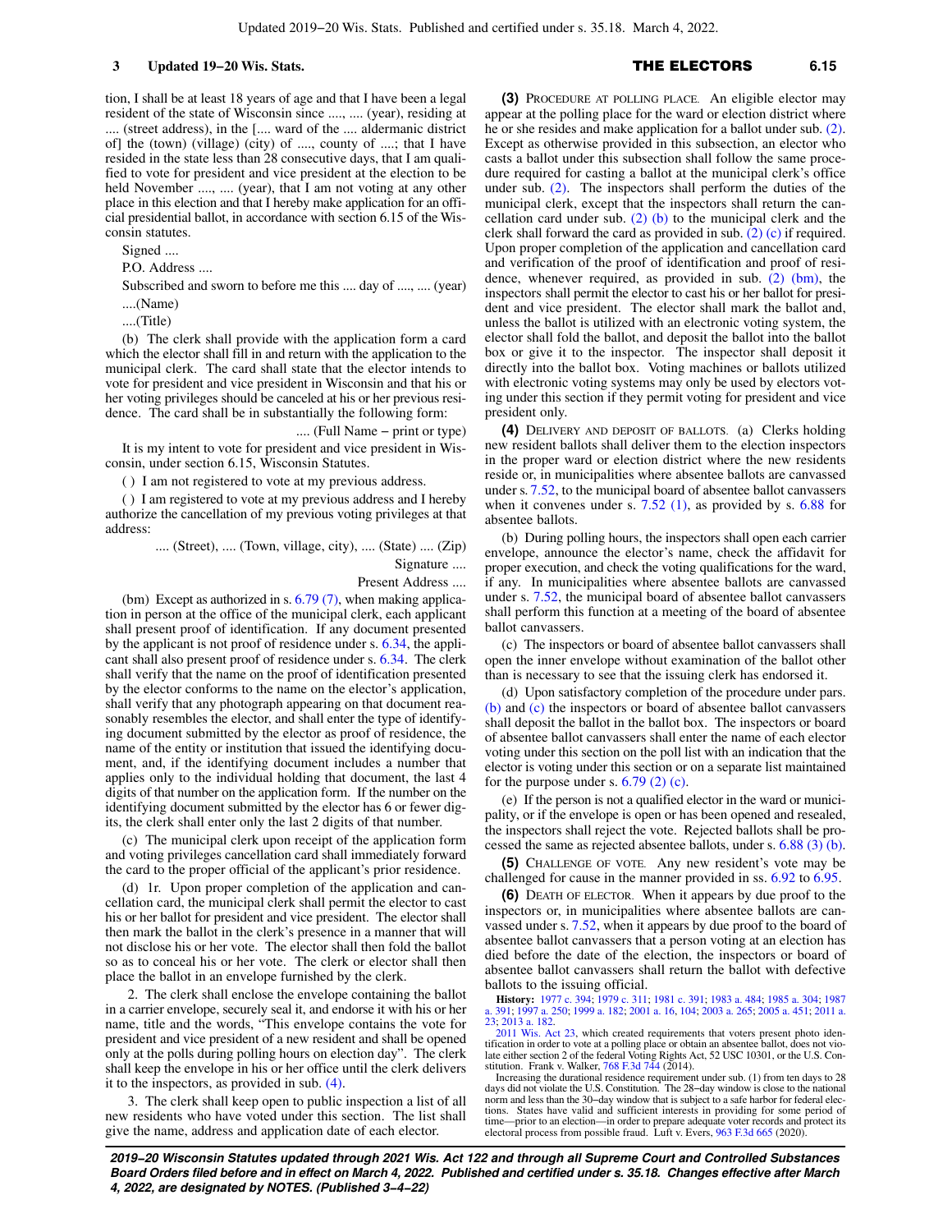tion, I shall be at least 18 years of age and that I have been a legal resident of the state of Wisconsin since ...., .... (year), residing at .... (street address), in the [.... ward of the .... aldermanic district of] the (town) (village) (city) of ...., county of ....; that I have resided in the state less than 28 consecutive days, that I am qualified to vote for president and vice president at the election to be held November ...., .... (year), that I am not voting at any other place in this election and that I hereby make application for an official presidential ballot, in accordance with section 6.15 of the Wisconsin statutes.

Signed ....

P.O. Address ....

Subscribed and sworn to before me this .... day of ...., .... (year) ....(Name)

....(Title)

(b) The clerk shall provide with the application form a card which the elector shall fill in and return with the application to the municipal clerk. The card shall state that the elector intends to vote for president and vice president in Wisconsin and that his or her voting privileges should be canceled at his or her previous residence. The card shall be in substantially the following form:

.... (Full Name − print or type) It is my intent to vote for president and vice president in Wisconsin, under section 6.15, Wisconsin Statutes.

( ) I am not registered to vote at my previous address.

( ) I am registered to vote at my previous address and I hereby authorize the cancellation of my previous voting privileges at that address:

.... (Street), .... (Town, village, city), .... (State) .... (Zip)

Signature ....

Present Address ....

(bm) Except as authorized in s.  $6.79(7)$ , when making application in person at the office of the municipal clerk, each applicant shall present proof of identification. If any document presented by the applicant is not proof of residence under s. [6.34,](https://docs-preview.legis.wisconsin.gov/document/statutes/6.34) the applicant shall also present proof of residence under s. [6.34](https://docs-preview.legis.wisconsin.gov/document/statutes/6.34). The clerk shall verify that the name on the proof of identification presented by the elector conforms to the name on the elector's application, shall verify that any photograph appearing on that document reasonably resembles the elector, and shall enter the type of identifying document submitted by the elector as proof of residence, the name of the entity or institution that issued the identifying document, and, if the identifying document includes a number that applies only to the individual holding that document, the last 4 digits of that number on the application form. If the number on the identifying document submitted by the elector has 6 or fewer digits, the clerk shall enter only the last 2 digits of that number.

(c) The municipal clerk upon receipt of the application form and voting privileges cancellation card shall immediately forward the card to the proper official of the applicant's prior residence.

(d) 1r. Upon proper completion of the application and cancellation card, the municipal clerk shall permit the elector to cast his or her ballot for president and vice president. The elector shall then mark the ballot in the clerk's presence in a manner that will not disclose his or her vote. The elector shall then fold the ballot so as to conceal his or her vote. The clerk or elector shall then place the ballot in an envelope furnished by the clerk.

2. The clerk shall enclose the envelope containing the ballot in a carrier envelope, securely seal it, and endorse it with his or her name, title and the words, "This envelope contains the vote for president and vice president of a new resident and shall be opened only at the polls during polling hours on election day". The clerk shall keep the envelope in his or her office until the clerk delivers it to the inspectors, as provided in sub. [\(4\)](https://docs-preview.legis.wisconsin.gov/document/statutes/6.15(4)).

3. The clerk shall keep open to public inspection a list of all new residents who have voted under this section. The list shall give the name, address and application date of each elector.

# **3 Updated 19−20 Wis. Stats.** THE ELECTORS **6.15**

**(3)** PROCEDURE AT POLLING PLACE. An eligible elector may appear at the polling place for the ward or election district where he or she resides and make application for a ballot under sub. [\(2\).](https://docs-preview.legis.wisconsin.gov/document/statutes/6.15(2)) Except as otherwise provided in this subsection, an elector who casts a ballot under this subsection shall follow the same procedure required for casting a ballot at the municipal clerk's office under sub. [\(2\)](https://docs-preview.legis.wisconsin.gov/document/statutes/6.15(2)). The inspectors shall perform the duties of the municipal clerk, except that the inspectors shall return the cancellation card under sub.  $(2)$  (b) to the municipal clerk and the clerk shall forward the card as provided in sub. [\(2\) \(c\)](https://docs-preview.legis.wisconsin.gov/document/statutes/6.15(2)(c)) if required. Upon proper completion of the application and cancellation card and verification of the proof of identification and proof of residence, whenever required, as provided in sub.  $(2)$  (bm), the inspectors shall permit the elector to cast his or her ballot for president and vice president. The elector shall mark the ballot and, unless the ballot is utilized with an electronic voting system, the elector shall fold the ballot, and deposit the ballot into the ballot box or give it to the inspector. The inspector shall deposit it directly into the ballot box. Voting machines or ballots utilized with electronic voting systems may only be used by electors voting under this section if they permit voting for president and vice president only.

**(4)** DELIVERY AND DEPOSIT OF BALLOTS. (a) Clerks holding new resident ballots shall deliver them to the election inspectors in the proper ward or election district where the new residents reside or, in municipalities where absentee ballots are canvassed under s. [7.52](https://docs-preview.legis.wisconsin.gov/document/statutes/7.52), to the municipal board of absentee ballot canvassers when it convenes under s.  $7.52$  (1), as provided by s.  $6.88$  for absentee ballots.

(b) During polling hours, the inspectors shall open each carrier envelope, announce the elector's name, check the affidavit for proper execution, and check the voting qualifications for the ward, if any. In municipalities where absentee ballots are canvassed under s. [7.52](https://docs-preview.legis.wisconsin.gov/document/statutes/7.52), the municipal board of absentee ballot canvassers shall perform this function at a meeting of the board of absentee ballot canvassers.

(c) The inspectors or board of absentee ballot canvassers shall open the inner envelope without examination of the ballot other than is necessary to see that the issuing clerk has endorsed it.

(d) Upon satisfactory completion of the procedure under pars. [\(b\)](https://docs-preview.legis.wisconsin.gov/document/statutes/6.15(4)(b)) and [\(c\)](https://docs-preview.legis.wisconsin.gov/document/statutes/6.15(4)(c)) the inspectors or board of absentee ballot canvassers shall deposit the ballot in the ballot box. The inspectors or board of absentee ballot canvassers shall enter the name of each elector voting under this section on the poll list with an indication that the elector is voting under this section or on a separate list maintained for the purpose under s.  $6.79$  (2) (c).

(e) If the person is not a qualified elector in the ward or municipality, or if the envelope is open or has been opened and resealed, the inspectors shall reject the vote. Rejected ballots shall be processed the same as rejected absentee ballots, under s. [6.88 \(3\) \(b\).](https://docs-preview.legis.wisconsin.gov/document/statutes/6.88(3)(b))

**(5)** CHALLENGE OF VOTE. Any new resident's vote may be challenged for cause in the manner provided in ss. [6.92](https://docs-preview.legis.wisconsin.gov/document/statutes/6.92) to [6.95](https://docs-preview.legis.wisconsin.gov/document/statutes/6.95).

**(6)** DEATH OF ELECTOR. When it appears by due proof to the inspectors or, in municipalities where absentee ballots are canvassed under s. [7.52,](https://docs-preview.legis.wisconsin.gov/document/statutes/7.52) when it appears by due proof to the board of absentee ballot canvassers that a person voting at an election has died before the date of the election, the inspectors or board of absentee ballot canvassers shall return the ballot with defective ballots to the issuing official.

**History:** [1977 c. 394](https://docs-preview.legis.wisconsin.gov/document/acts/1977/394); [1979 c. 311;](https://docs-preview.legis.wisconsin.gov/document/acts/1979/311) [1981 c. 391](https://docs-preview.legis.wisconsin.gov/document/acts/1981/391); [1983 a. 484;](https://docs-preview.legis.wisconsin.gov/document/acts/1983/484) [1985 a. 304;](https://docs-preview.legis.wisconsin.gov/document/acts/1985/304) [1987](https://docs-preview.legis.wisconsin.gov/document/acts/1987/391) [a. 391;](https://docs-preview.legis.wisconsin.gov/document/acts/1987/391) [1997 a. 250](https://docs-preview.legis.wisconsin.gov/document/acts/1997/250); [1999 a. 182](https://docs-preview.legis.wisconsin.gov/document/acts/1999/182); [2001 a. 16](https://docs-preview.legis.wisconsin.gov/document/acts/2001/16), [104;](https://docs-preview.legis.wisconsin.gov/document/acts/2001/104) [2003 a. 265](https://docs-preview.legis.wisconsin.gov/document/acts/2003/265); [2005 a. 451](https://docs-preview.legis.wisconsin.gov/document/acts/2005/451); [2011 a.](https://docs-preview.legis.wisconsin.gov/document/acts/2011/23) [23](https://docs-preview.legis.wisconsin.gov/document/acts/2011/23); [2013 a. 182.](https://docs-preview.legis.wisconsin.gov/document/acts/2013/182)

[2011 Wis. Act 23](https://docs-preview.legis.wisconsin.gov/document/acts/2011/23), which created requirements that voters present photo identification in order to vote at a polling place or obtain an absentee ballot, does not vio-late either section 2 of the federal Voting Rights Act, 52 USC 10301, or the U.S. Constitution. Frank v. Walker,  $768$  F.3d  $744$  (2014).

Increasing the durational residence requirement under sub. (1) from ten days to 28 days did not violate the U.S. Constitution. The 28−day window is close to the national norm and less than the 30−day window that is subject to a safe harbor for federal elections. States have valid and sufficient interests in providing for some period of time—prior to an election—in order to prepare adequate voter records and protect its electoral process from possible fraud. Luft v. Evers, [963 F.3d 665](https://docs-preview.legis.wisconsin.gov/document/courts/963%20F.3d%20665) (2020).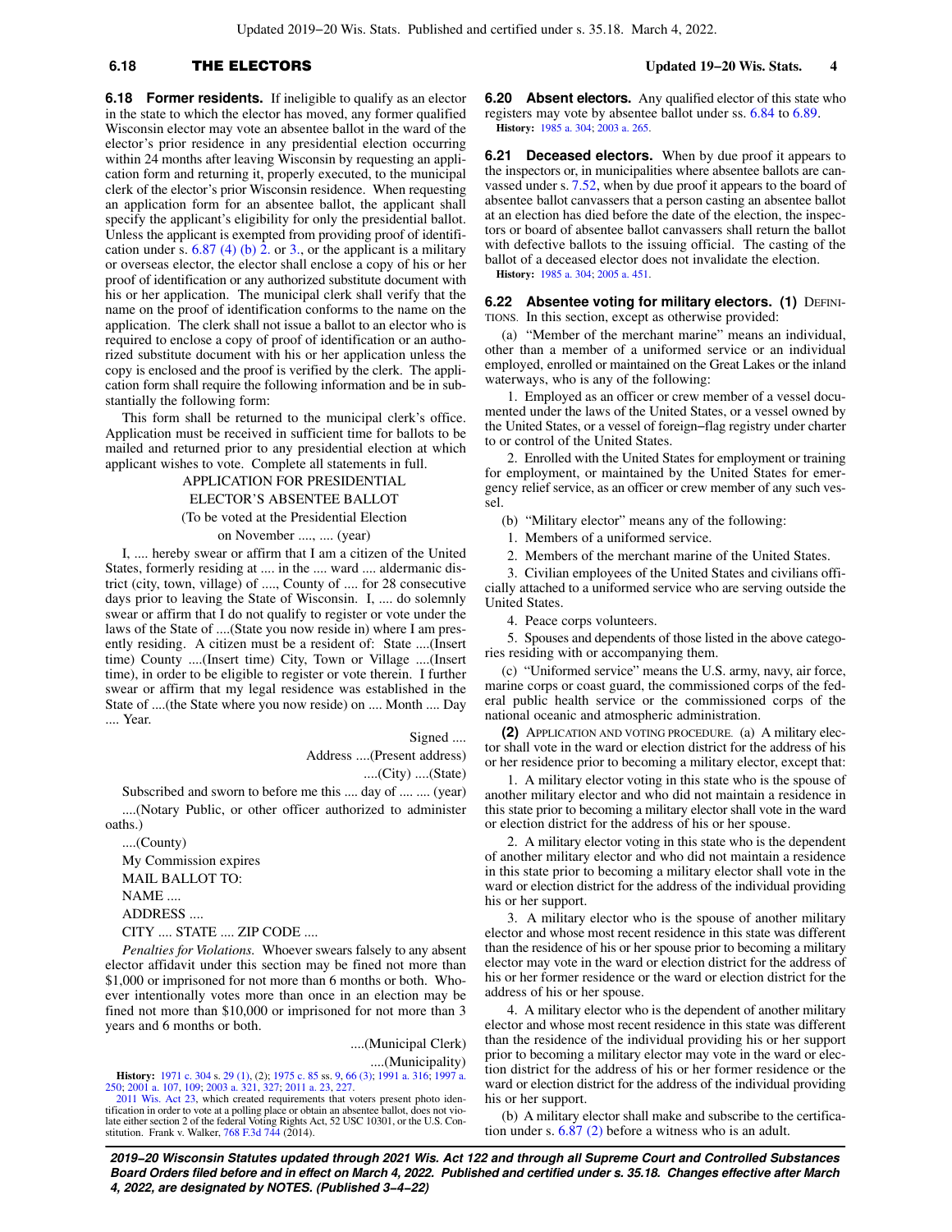# **6.18** THE ELECTORS **Updated 19−20 Wis. Stats. 4**

stantially the following form:

**6.18 Former residents.** If ineligible to qualify as an elector in the state to which the elector has moved, any former qualified Wisconsin elector may vote an absentee ballot in the ward of the elector's prior residence in any presidential election occurring within 24 months after leaving Wisconsin by requesting an application form and returning it, properly executed, to the municipal clerk of the elector's prior Wisconsin residence. When requesting an application form for an absentee ballot, the applicant shall specify the applicant's eligibility for only the presidential ballot. Unless the applicant is exempted from providing proof of identification under s.  $6.87$  (4) (b) 2. or [3.](https://docs-preview.legis.wisconsin.gov/document/statutes/6.87(4)(b)3.), or the applicant is a military or overseas elector, the elector shall enclose a copy of his or her proof of identification or any authorized substitute document with his or her application. The municipal clerk shall verify that the name on the proof of identification conforms to the name on the application. The clerk shall not issue a ballot to an elector who is required to enclose a copy of proof of identification or an authorized substitute document with his or her application unless the copy is enclosed and the proof is verified by the clerk. The application form shall require the following information and be in sub-

This form shall be returned to the municipal clerk's office. Application must be received in sufficient time for ballots to be mailed and returned prior to any presidential election at which applicant wishes to vote. Complete all statements in full.

> APPLICATION FOR PRESIDENTIAL ELECTOR'S ABSENTEE BALLOT

(To be voted at the Presidential Election

on November ...., .... (year)

I, .... hereby swear or affirm that I am a citizen of the United States, formerly residing at .... in the .... ward .... aldermanic district (city, town, village) of ...., County of .... for 28 consecutive days prior to leaving the State of Wisconsin. I, .... do solemnly swear or affirm that I do not qualify to register or vote under the laws of the State of ....(State you now reside in) where I am presently residing. A citizen must be a resident of: State ....(Insert time) County ....(Insert time) City, Town or Village ....(Insert time), in order to be eligible to register or vote therein. I further swear or affirm that my legal residence was established in the State of ....(the State where you now reside) on .... Month .... Day .... Year.

Signed ....

Address ....(Present address)

....(City) ....(State)

Subscribed and sworn to before me this .... day of .... .... (year) ....(Notary Public, or other officer authorized to administer oaths.)

....(County) My Commission expires MAIL BALLOT TO: NAME .... ADDRESS .... CITY .... STATE .... ZIP CODE ....

*Penalties for Violations.* Whoever swears falsely to any absent elector affidavit under this section may be fined not more than \$1,000 or imprisoned for not more than 6 months or both. Whoever intentionally votes more than once in an election may be fined not more than \$10,000 or imprisoned for not more than 3 years and 6 months or both.

> ....(Municipal Clerk) ....(Municipality)

**History:** [1971 c. 304](https://docs-preview.legis.wisconsin.gov/document/acts/1971/304) s. [29 \(1\),](https://docs-preview.legis.wisconsin.gov/document/acts/1971/304,%20s.%2029) (2); [1975 c. 85](https://docs-preview.legis.wisconsin.gov/document/acts/1975/85) ss. [9](https://docs-preview.legis.wisconsin.gov/document/acts/1975/85,%20s.%209), [66 \(3\)](https://docs-preview.legis.wisconsin.gov/document/acts/1975/85,%20s.%2066); [1991 a. 316;](https://docs-preview.legis.wisconsin.gov/document/acts/1991/316) [1997 a.](https://docs-preview.legis.wisconsin.gov/document/acts/1997/250) [250](https://docs-preview.legis.wisconsin.gov/document/acts/1997/250); [2001 a. 107,](https://docs-preview.legis.wisconsin.gov/document/acts/2001/107) [109](https://docs-preview.legis.wisconsin.gov/document/acts/2001/109); [2003 a. 321,](https://docs-preview.legis.wisconsin.gov/document/acts/2003/321) [327;](https://docs-preview.legis.wisconsin.gov/document/acts/2003/327) [2011 a. 23,](https://docs-preview.legis.wisconsin.gov/document/acts/2011/23) [227.](https://docs-preview.legis.wisconsin.gov/document/acts/2011/227)

[2011 Wis. Act 23,](https://docs-preview.legis.wisconsin.gov/document/acts/2011/23) which created requirements that voters present photo identification in order to vote at a polling place or obtain an absentee ballot, does not vio-late either section 2 of the federal Voting Rights Act, 52 USC 10301, or the U.S. Constitution. Frank v. Walker,  $768$  F.3d  $744$  (2014).

**6.20 Absent electors.** Any qualified elector of this state who registers may vote by absentee ballot under ss. [6.84](https://docs-preview.legis.wisconsin.gov/document/statutes/6.84) to [6.89.](https://docs-preview.legis.wisconsin.gov/document/statutes/6.89) **History:** [1985 a. 304;](https://docs-preview.legis.wisconsin.gov/document/acts/1985/304) [2003 a. 265](https://docs-preview.legis.wisconsin.gov/document/acts/2003/265).

**6.21 Deceased electors.** When by due proof it appears to the inspectors or, in municipalities where absentee ballots are canvassed under s. [7.52,](https://docs-preview.legis.wisconsin.gov/document/statutes/7.52) when by due proof it appears to the board of absentee ballot canvassers that a person casting an absentee ballot at an election has died before the date of the election, the inspectors or board of absentee ballot canvassers shall return the ballot with defective ballots to the issuing official. The casting of the ballot of a deceased elector does not invalidate the election. **History:** [1985 a. 304;](https://docs-preview.legis.wisconsin.gov/document/acts/1985/304) [2005 a. 451](https://docs-preview.legis.wisconsin.gov/document/acts/2005/451).

**6.22 Absentee voting for military electors. (1) DEFINI-**TIONS. In this section, except as otherwise provided:

(a) "Member of the merchant marine" means an individual, other than a member of a uniformed service or an individual employed, enrolled or maintained on the Great Lakes or the inland waterways, who is any of the following:

1. Employed as an officer or crew member of a vessel documented under the laws of the United States, or a vessel owned by the United States, or a vessel of foreign−flag registry under charter to or control of the United States.

2. Enrolled with the United States for employment or training for employment, or maintained by the United States for emergency relief service, as an officer or crew member of any such vessel.

(b) "Military elector" means any of the following:

- 1. Members of a uniformed service.
- 2. Members of the merchant marine of the United States.

3. Civilian employees of the United States and civilians officially attached to a uniformed service who are serving outside the United States.

4. Peace corps volunteers.

5. Spouses and dependents of those listed in the above categories residing with or accompanying them.

(c) "Uniformed service" means the U.S. army, navy, air force, marine corps or coast guard, the commissioned corps of the federal public health service or the commissioned corps of the national oceanic and atmospheric administration.

**(2)** APPLICATION AND VOTING PROCEDURE. (a) A military elector shall vote in the ward or election district for the address of his or her residence prior to becoming a military elector, except that:

1. A military elector voting in this state who is the spouse of another military elector and who did not maintain a residence in this state prior to becoming a military elector shall vote in the ward or election district for the address of his or her spouse.

2. A military elector voting in this state who is the dependent of another military elector and who did not maintain a residence in this state prior to becoming a military elector shall vote in the ward or election district for the address of the individual providing his or her support.

3. A military elector who is the spouse of another military elector and whose most recent residence in this state was different than the residence of his or her spouse prior to becoming a military elector may vote in the ward or election district for the address of his or her former residence or the ward or election district for the address of his or her spouse.

4. A military elector who is the dependent of another military elector and whose most recent residence in this state was different than the residence of the individual providing his or her support prior to becoming a military elector may vote in the ward or election district for the address of his or her former residence or the ward or election district for the address of the individual providing his or her support.

(b) A military elector shall make and subscribe to the certification under s. [6.87 \(2\)](https://docs-preview.legis.wisconsin.gov/document/statutes/6.87(2)) before a witness who is an adult.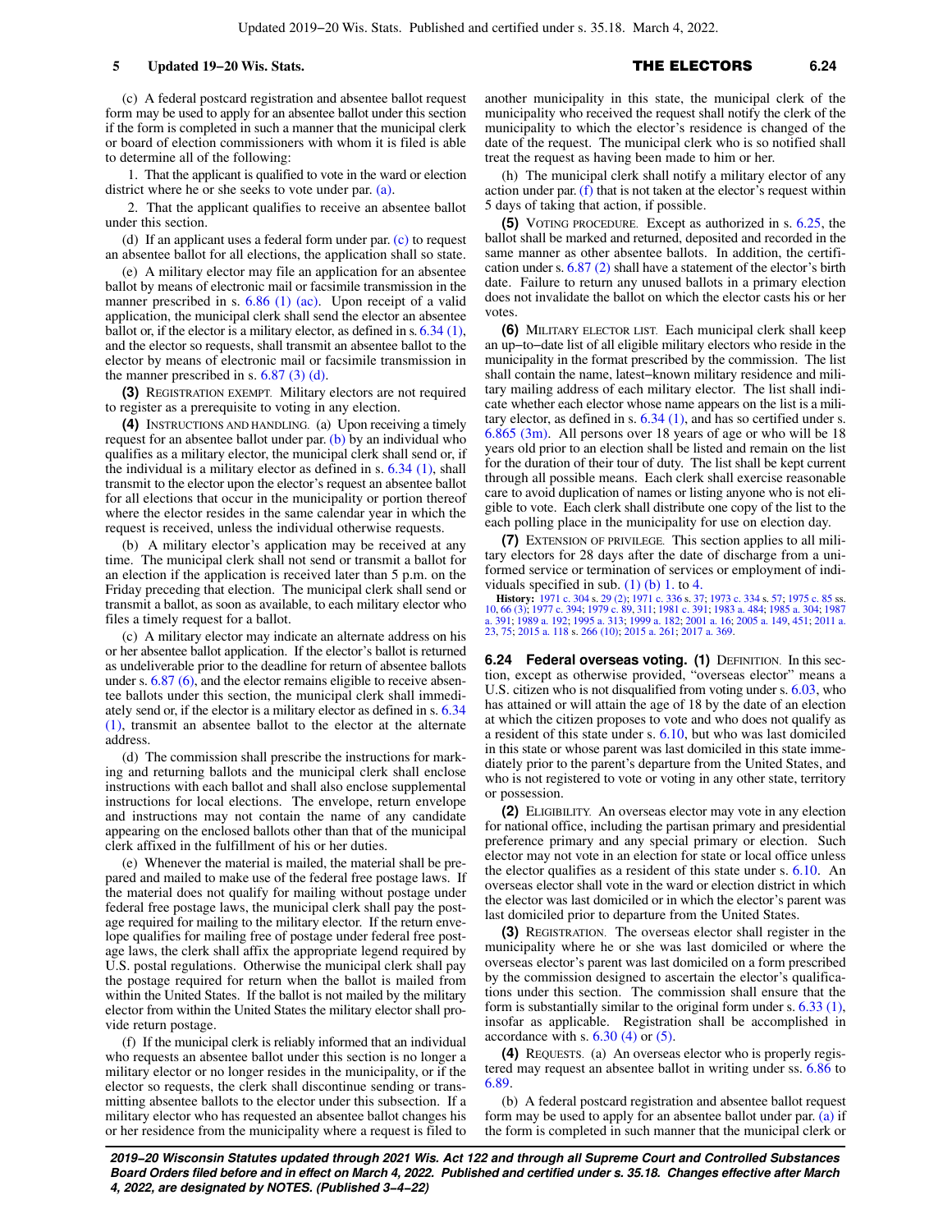(c) A federal postcard registration and absentee ballot request form may be used to apply for an absentee ballot under this section if the form is completed in such a manner that the municipal clerk or board of election commissioners with whom it is filed is able to determine all of the following:

1. That the applicant is qualified to vote in the ward or election district where he or she seeks to vote under par. [\(a\)](https://docs-preview.legis.wisconsin.gov/document/statutes/6.22(2)(a)).

2. That the applicant qualifies to receive an absentee ballot under this section.

(d) If an applicant uses a federal form under par. [\(c\)](https://docs-preview.legis.wisconsin.gov/document/statutes/6.22(2)(c)) to request an absentee ballot for all elections, the application shall so state.

(e) A military elector may file an application for an absentee ballot by means of electronic mail or facsimile transmission in the manner prescribed in s. [6.86 \(1\) \(ac\).](https://docs-preview.legis.wisconsin.gov/document/statutes/6.86(1)(ac)) Upon receipt of a valid application, the municipal clerk shall send the elector an absentee ballot or, if the elector is a military elector, as defined in s. [6.34 \(1\),](https://docs-preview.legis.wisconsin.gov/document/statutes/6.34(1)) and the elector so requests, shall transmit an absentee ballot to the elector by means of electronic mail or facsimile transmission in the manner prescribed in s.  $6.87$  (3) (d).

**(3)** REGISTRATION EXEMPT. Military electors are not required to register as a prerequisite to voting in any election.

**(4)** INSTRUCTIONS AND HANDLING. (a) Upon receiving a timely request for an absentee ballot under par. [\(b\)](https://docs-preview.legis.wisconsin.gov/document/statutes/6.22(4)(b)) by an individual who qualifies as a military elector, the municipal clerk shall send or, if the individual is a military elector as defined in s. [6.34 \(1\)](https://docs-preview.legis.wisconsin.gov/document/statutes/6.34(1)), shall transmit to the elector upon the elector's request an absentee ballot for all elections that occur in the municipality or portion thereof where the elector resides in the same calendar year in which the request is received, unless the individual otherwise requests.

(b) A military elector's application may be received at any time. The municipal clerk shall not send or transmit a ballot for an election if the application is received later than 5 p.m. on the Friday preceding that election. The municipal clerk shall send or transmit a ballot, as soon as available, to each military elector who files a timely request for a ballot.

(c) A military elector may indicate an alternate address on his or her absentee ballot application. If the elector's ballot is returned as undeliverable prior to the deadline for return of absentee ballots under s. [6.87 \(6\),](https://docs-preview.legis.wisconsin.gov/document/statutes/6.87(6)) and the elector remains eligible to receive absentee ballots under this section, the municipal clerk shall immediately send or, if the elector is a military elector as defined in s. [6.34](https://docs-preview.legis.wisconsin.gov/document/statutes/6.34(1)) [\(1\)](https://docs-preview.legis.wisconsin.gov/document/statutes/6.34(1)), transmit an absentee ballot to the elector at the alternate address.

(d) The commission shall prescribe the instructions for marking and returning ballots and the municipal clerk shall enclose instructions with each ballot and shall also enclose supplemental instructions for local elections. The envelope, return envelope and instructions may not contain the name of any candidate appearing on the enclosed ballots other than that of the municipal clerk affixed in the fulfillment of his or her duties.

(e) Whenever the material is mailed, the material shall be prepared and mailed to make use of the federal free postage laws. If the material does not qualify for mailing without postage under federal free postage laws, the municipal clerk shall pay the postage required for mailing to the military elector. If the return envelope qualifies for mailing free of postage under federal free postage laws, the clerk shall affix the appropriate legend required by U.S. postal regulations. Otherwise the municipal clerk shall pay the postage required for return when the ballot is mailed from within the United States. If the ballot is not mailed by the military elector from within the United States the military elector shall provide return postage.

(f) If the municipal clerk is reliably informed that an individual who requests an absentee ballot under this section is no longer a military elector or no longer resides in the municipality, or if the elector so requests, the clerk shall discontinue sending or transmitting absentee ballots to the elector under this subsection. If a military elector who has requested an absentee ballot changes his or her residence from the municipality where a request is filed to

another municipality in this state, the municipal clerk of the municipality who received the request shall notify the clerk of the municipality to which the elector's residence is changed of the date of the request. The municipal clerk who is so notified shall treat the request as having been made to him or her.

(h) The municipal clerk shall notify a military elector of any action under par.  $(f)$  that is not taken at the elector's request within 5 days of taking that action, if possible.

**(5)** VOTING PROCEDURE. Except as authorized in s. [6.25](https://docs-preview.legis.wisconsin.gov/document/statutes/6.25), the ballot shall be marked and returned, deposited and recorded in the same manner as other absentee ballots. In addition, the certification under s. [6.87 \(2\)](https://docs-preview.legis.wisconsin.gov/document/statutes/6.87(2)) shall have a statement of the elector's birth date. Failure to return any unused ballots in a primary election does not invalidate the ballot on which the elector casts his or her votes.

**(6)** MILITARY ELECTOR LIST. Each municipal clerk shall keep an up−to−date list of all eligible military electors who reside in the municipality in the format prescribed by the commission. The list shall contain the name, latest−known military residence and military mailing address of each military elector. The list shall indicate whether each elector whose name appears on the list is a military elector, as defined in s. [6.34 \(1\)](https://docs-preview.legis.wisconsin.gov/document/statutes/6.34(1)), and has so certified under s. [6.865 \(3m\)](https://docs-preview.legis.wisconsin.gov/document/statutes/6.865(3m)). All persons over 18 years of age or who will be 18 years old prior to an election shall be listed and remain on the list for the duration of their tour of duty. The list shall be kept current through all possible means. Each clerk shall exercise reasonable care to avoid duplication of names or listing anyone who is not eligible to vote. Each clerk shall distribute one copy of the list to the each polling place in the municipality for use on election day.

**(7)** EXTENSION OF PRIVILEGE. This section applies to all military electors for 28 days after the date of discharge from a uniformed service or termination of services or employment of individuals specified in sub.  $(1)$  (b) 1. to [4.](https://docs-preview.legis.wisconsin.gov/document/statutes/6.22(1)(b)4.)

**History:** [1971 c. 304](https://docs-preview.legis.wisconsin.gov/document/acts/1971/304) s. [29 \(2\)](https://docs-preview.legis.wisconsin.gov/document/acts/1971/304,%20s.%2029); [1971 c. 336](https://docs-preview.legis.wisconsin.gov/document/acts/1971/336) s. [37](https://docs-preview.legis.wisconsin.gov/document/acts/1971/336,%20s.%2037); [1973 c. 334](https://docs-preview.legis.wisconsin.gov/document/acts/1973/334) s. [57](https://docs-preview.legis.wisconsin.gov/document/acts/1973/334,%20s.%2057); [1975 c. 85](https://docs-preview.legis.wisconsin.gov/document/acts/1975/85) ss. [10](https://docs-preview.legis.wisconsin.gov/document/acts/1975/85,%20s.%2010), [66 \(3\);](https://docs-preview.legis.wisconsin.gov/document/acts/1975/85,%20s.%2066) [1977 c. 394](https://docs-preview.legis.wisconsin.gov/document/acts/1977/394); [1979 c. 89,](https://docs-preview.legis.wisconsin.gov/document/acts/1979/89) [311](https://docs-preview.legis.wisconsin.gov/document/acts/1979/311); [1981 c. 391;](https://docs-preview.legis.wisconsin.gov/document/acts/1981/391) [1983 a. 484](https://docs-preview.legis.wisconsin.gov/document/acts/1983/484); [1985 a. 304;](https://docs-preview.legis.wisconsin.gov/document/acts/1985/304) [1987](https://docs-preview.legis.wisconsin.gov/document/acts/1987/391) [a. 391;](https://docs-preview.legis.wisconsin.gov/document/acts/1987/391) [1989 a. 192](https://docs-preview.legis.wisconsin.gov/document/acts/1989/192); [1995 a. 313](https://docs-preview.legis.wisconsin.gov/document/acts/1995/313); [1999 a. 182;](https://docs-preview.legis.wisconsin.gov/document/acts/1999/182) [2001 a. 16](https://docs-preview.legis.wisconsin.gov/document/acts/2001/16); [2005 a. 149,](https://docs-preview.legis.wisconsin.gov/document/acts/2005/149) [451](https://docs-preview.legis.wisconsin.gov/document/acts/2005/451); [2011 a.](https://docs-preview.legis.wisconsin.gov/document/acts/2011/23) [23](https://docs-preview.legis.wisconsin.gov/document/acts/2011/23), [75;](https://docs-preview.legis.wisconsin.gov/document/acts/2011/75) [2015 a. 118](https://docs-preview.legis.wisconsin.gov/document/acts/2015/118) s. [266 \(10\);](https://docs-preview.legis.wisconsin.gov/document/acts/2015/118,%20s.%20266) [2015 a. 261;](https://docs-preview.legis.wisconsin.gov/document/acts/2015/261) [2017 a. 369](https://docs-preview.legis.wisconsin.gov/document/acts/2017/369).

**6.24 Federal overseas voting. (1)** DEFINITION. In this section, except as otherwise provided, "overseas elector" means a U.S. citizen who is not disqualified from voting under s. [6.03](https://docs-preview.legis.wisconsin.gov/document/statutes/6.03), who has attained or will attain the age of 18 by the date of an election at which the citizen proposes to vote and who does not qualify as a resident of this state under s. [6.10](https://docs-preview.legis.wisconsin.gov/document/statutes/6.10), but who was last domiciled in this state or whose parent was last domiciled in this state immediately prior to the parent's departure from the United States, and who is not registered to vote or voting in any other state, territory or possession.

**(2)** ELIGIBILITY. An overseas elector may vote in any election for national office, including the partisan primary and presidential preference primary and any special primary or election. Such elector may not vote in an election for state or local office unless the elector qualifies as a resident of this state under s. [6.10.](https://docs-preview.legis.wisconsin.gov/document/statutes/6.10) An overseas elector shall vote in the ward or election district in which the elector was last domiciled or in which the elector's parent was last domiciled prior to departure from the United States.

**(3)** REGISTRATION. The overseas elector shall register in the municipality where he or she was last domiciled or where the overseas elector's parent was last domiciled on a form prescribed by the commission designed to ascertain the elector's qualifications under this section. The commission shall ensure that the form is substantially similar to the original form under s. [6.33 \(1\),](https://docs-preview.legis.wisconsin.gov/document/statutes/6.33(1)) insofar as applicable. Registration shall be accomplished in accordance with s.  $6.30$  (4) or  $(5)$ .

**(4)** REQUESTS. (a) An overseas elector who is properly registered may request an absentee ballot in writing under ss. [6.86](https://docs-preview.legis.wisconsin.gov/document/statutes/6.86) to [6.89.](https://docs-preview.legis.wisconsin.gov/document/statutes/6.89)

(b) A federal postcard registration and absentee ballot request form may be used to apply for an absentee ballot under par. [\(a\)](https://docs-preview.legis.wisconsin.gov/document/statutes/6.24(4)(a)) if the form is completed in such manner that the municipal clerk or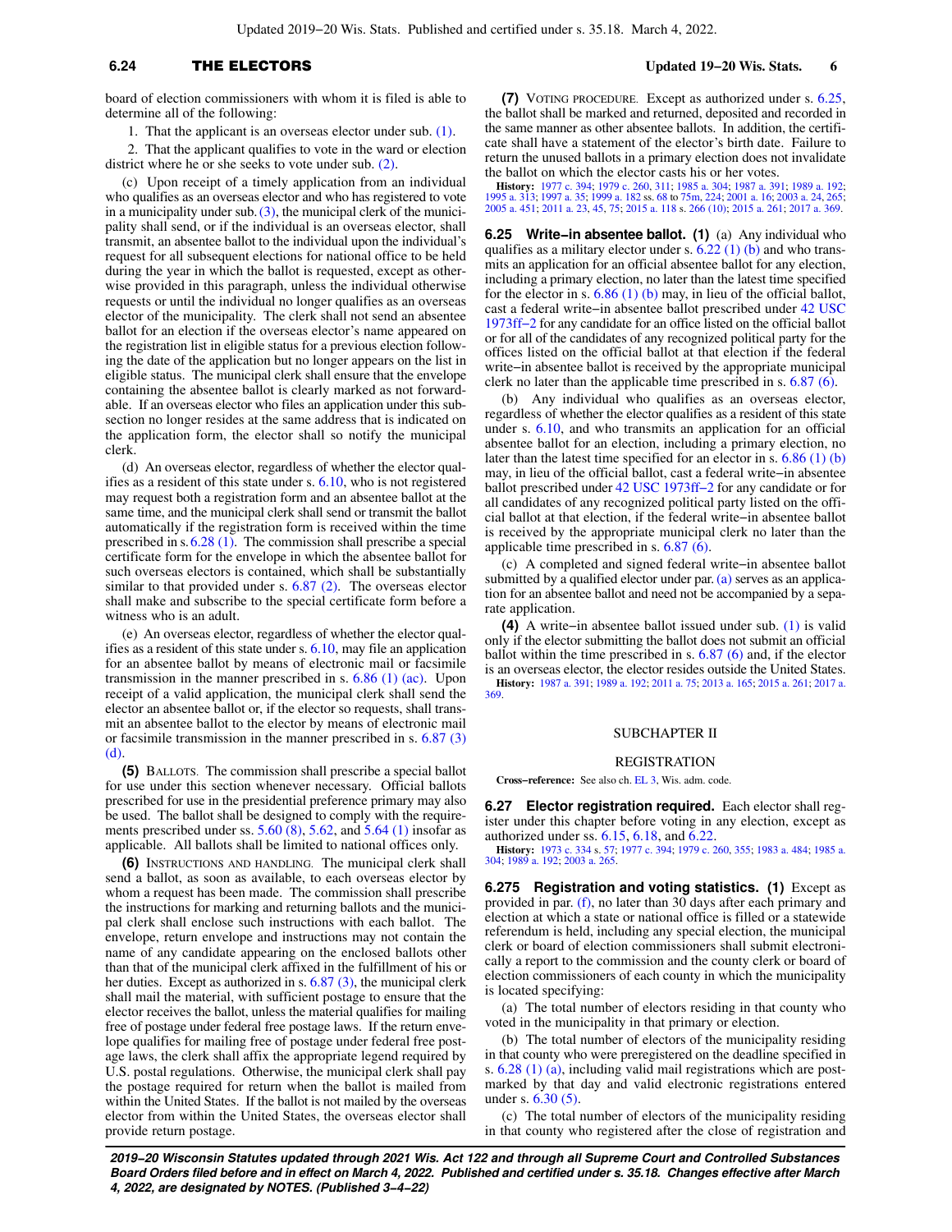# **6.24** THE ELECTORS **Updated 19−20 Wis. Stats. 6**

board of election commissioners with whom it is filed is able to determine all of the following:

1. That the applicant is an overseas elector under sub. [\(1\)](https://docs-preview.legis.wisconsin.gov/document/statutes/6.24(1)).

2. That the applicant qualifies to vote in the ward or election district where he or she seeks to vote under sub. [\(2\)](https://docs-preview.legis.wisconsin.gov/document/statutes/6.24(2)).

(c) Upon receipt of a timely application from an individual who qualifies as an overseas elector and who has registered to vote in a municipality under sub.  $(3)$ , the municipal clerk of the municipality shall send, or if the individual is an overseas elector, shall transmit, an absentee ballot to the individual upon the individual's request for all subsequent elections for national office to be held during the year in which the ballot is requested, except as otherwise provided in this paragraph, unless the individual otherwise requests or until the individual no longer qualifies as an overseas elector of the municipality. The clerk shall not send an absentee ballot for an election if the overseas elector's name appeared on the registration list in eligible status for a previous election following the date of the application but no longer appears on the list in eligible status. The municipal clerk shall ensure that the envelope containing the absentee ballot is clearly marked as not forwardable. If an overseas elector who files an application under this subsection no longer resides at the same address that is indicated on the application form, the elector shall so notify the municipal clerk.

(d) An overseas elector, regardless of whether the elector qualifies as a resident of this state under s. [6.10,](https://docs-preview.legis.wisconsin.gov/document/statutes/6.10) who is not registered may request both a registration form and an absentee ballot at the same time, and the municipal clerk shall send or transmit the ballot automatically if the registration form is received within the time prescribed in s. [6.28 \(1\).](https://docs-preview.legis.wisconsin.gov/document/statutes/6.28(1)) The commission shall prescribe a special certificate form for the envelope in which the absentee ballot for such overseas electors is contained, which shall be substantially similar to that provided under s. [6.87 \(2\)](https://docs-preview.legis.wisconsin.gov/document/statutes/6.87(2)). The overseas elector shall make and subscribe to the special certificate form before a witness who is an adult.

(e) An overseas elector, regardless of whether the elector qualifies as a resident of this state under s. [6.10,](https://docs-preview.legis.wisconsin.gov/document/statutes/6.10) may file an application for an absentee ballot by means of electronic mail or facsimile transmission in the manner prescribed in s.  $6.86$  (1) (ac). Upon receipt of a valid application, the municipal clerk shall send the elector an absentee ballot or, if the elector so requests, shall transmit an absentee ballot to the elector by means of electronic mail or facsimile transmission in the manner prescribed in s. [6.87 \(3\)](https://docs-preview.legis.wisconsin.gov/document/statutes/6.87(3)(d)) [\(d\)](https://docs-preview.legis.wisconsin.gov/document/statutes/6.87(3)(d)).

**(5)** BALLOTS. The commission shall prescribe a special ballot for use under this section whenever necessary. Official ballots prescribed for use in the presidential preference primary may also be used. The ballot shall be designed to comply with the requirements prescribed under ss. [5.60 \(8\)](https://docs-preview.legis.wisconsin.gov/document/statutes/5.60(8)), [5.62,](https://docs-preview.legis.wisconsin.gov/document/statutes/5.62) and [5.64 \(1\)](https://docs-preview.legis.wisconsin.gov/document/statutes/5.64(1)) insofar as applicable. All ballots shall be limited to national offices only.

**(6)** INSTRUCTIONS AND HANDLING. The municipal clerk shall send a ballot, as soon as available, to each overseas elector by whom a request has been made. The commission shall prescribe the instructions for marking and returning ballots and the municipal clerk shall enclose such instructions with each ballot. The envelope, return envelope and instructions may not contain the name of any candidate appearing on the enclosed ballots other than that of the municipal clerk affixed in the fulfillment of his or her duties. Except as authorized in s. [6.87 \(3\),](https://docs-preview.legis.wisconsin.gov/document/statutes/6.87(3)) the municipal clerk shall mail the material, with sufficient postage to ensure that the elector receives the ballot, unless the material qualifies for mailing free of postage under federal free postage laws. If the return envelope qualifies for mailing free of postage under federal free postage laws, the clerk shall affix the appropriate legend required by U.S. postal regulations. Otherwise, the municipal clerk shall pay the postage required for return when the ballot is mailed from within the United States. If the ballot is not mailed by the overseas elector from within the United States, the overseas elector shall provide return postage.

**(7)** VOTING PROCEDURE. Except as authorized under s. [6.25,](https://docs-preview.legis.wisconsin.gov/document/statutes/6.25) the ballot shall be marked and returned, deposited and recorded in the same manner as other absentee ballots. In addition, the certificate shall have a statement of the elector's birth date. Failure to return the unused ballots in a primary election does not invalidate the ballot on which the elector casts his or her votes.

**History:** [1977 c. 394;](https://docs-preview.legis.wisconsin.gov/document/acts/1977/394) [1979 c. 260,](https://docs-preview.legis.wisconsin.gov/document/acts/1979/260) [311;](https://docs-preview.legis.wisconsin.gov/document/acts/1979/311) [1985 a. 304](https://docs-preview.legis.wisconsin.gov/document/acts/1985/304); [1987 a. 391](https://docs-preview.legis.wisconsin.gov/document/acts/1987/391); [1989 a. 192](https://docs-preview.legis.wisconsin.gov/document/acts/1989/192); [1995 a. 313](https://docs-preview.legis.wisconsin.gov/document/acts/1995/313); [1997 a. 35;](https://docs-preview.legis.wisconsin.gov/document/acts/1997/35) [1999 a. 182](https://docs-preview.legis.wisconsin.gov/document/acts/1999/182) ss. [68](https://docs-preview.legis.wisconsin.gov/document/acts/1999/182,%20s.%2068) to [75m](https://docs-preview.legis.wisconsin.gov/document/acts/1999/182,%20s.%2075m), [224](https://docs-preview.legis.wisconsin.gov/document/acts/1999/182,%20s.%20224); [2001 a. 16](https://docs-preview.legis.wisconsin.gov/document/acts/2001/16); [2003 a. 24,](https://docs-preview.legis.wisconsin.gov/document/acts/2003/24) [265](https://docs-preview.legis.wisconsin.gov/document/acts/2003/265); [2005 a. 451;](https://docs-preview.legis.wisconsin.gov/document/acts/2005/451) [2011 a. 23,](https://docs-preview.legis.wisconsin.gov/document/acts/2011/23) [45](https://docs-preview.legis.wisconsin.gov/document/acts/2011/45), [75;](https://docs-preview.legis.wisconsin.gov/document/acts/2011/75) [2015 a. 118](https://docs-preview.legis.wisconsin.gov/document/acts/2015/118) s. [266 \(10\)](https://docs-preview.legis.wisconsin.gov/document/acts/2015/118,%20s.%20266); [2015 a. 261](https://docs-preview.legis.wisconsin.gov/document/acts/2015/261); [2017 a. 369.](https://docs-preview.legis.wisconsin.gov/document/acts/2017/369)

**6.25 Write−in absentee ballot. (1)** (a) Any individual who qualifies as a military elector under s.  $6.22$  (1) (b) and who transmits an application for an official absentee ballot for any election, including a primary election, no later than the latest time specified for the elector in s.  $6.86$  (1) (b) may, in lieu of the official ballot, cast a federal write−in absentee ballot prescribed under [42 USC](https://docs-preview.legis.wisconsin.gov/document/usc/42%20USC%201973ff-2) [1973ff−2](https://docs-preview.legis.wisconsin.gov/document/usc/42%20USC%201973ff-2) for any candidate for an office listed on the official ballot or for all of the candidates of any recognized political party for the offices listed on the official ballot at that election if the federal write−in absentee ballot is received by the appropriate municipal clerk no later than the applicable time prescribed in s.  $6.87(6)$ .

(b) Any individual who qualifies as an overseas elector, regardless of whether the elector qualifies as a resident of this state under s. [6.10,](https://docs-preview.legis.wisconsin.gov/document/statutes/6.10) and who transmits an application for an official absentee ballot for an election, including a primary election, no later than the latest time specified for an elector in s. [6.86 \(1\) \(b\)](https://docs-preview.legis.wisconsin.gov/document/statutes/6.86(1)(b)) may, in lieu of the official ballot, cast a federal write−in absentee ballot prescribed under [42 USC 1973ff−2](https://docs-preview.legis.wisconsin.gov/document/usc/42%20USC%201973ff-2) for any candidate or for all candidates of any recognized political party listed on the official ballot at that election, if the federal write−in absentee ballot is received by the appropriate municipal clerk no later than the applicable time prescribed in s. [6.87 \(6\).](https://docs-preview.legis.wisconsin.gov/document/statutes/6.87(6))

(c) A completed and signed federal write−in absentee ballot submitted by a qualified elector under par.  $(a)$  serves as an application for an absentee ballot and need not be accompanied by a separate application.

**(4)** A write−in absentee ballot issued under sub. [\(1\)](https://docs-preview.legis.wisconsin.gov/document/statutes/6.25(1)) is valid only if the elector submitting the ballot does not submit an official ballot within the time prescribed in s. [6.87 \(6\)](https://docs-preview.legis.wisconsin.gov/document/statutes/6.87(6)) and, if the elector is an overseas elector, the elector resides outside the United States. **History:** [1987 a. 391;](https://docs-preview.legis.wisconsin.gov/document/acts/1987/391) [1989 a. 192;](https://docs-preview.legis.wisconsin.gov/document/acts/1989/192) [2011 a. 75](https://docs-preview.legis.wisconsin.gov/document/acts/2011/75); [2013 a. 165](https://docs-preview.legis.wisconsin.gov/document/acts/2013/165); [2015 a. 261](https://docs-preview.legis.wisconsin.gov/document/acts/2015/261); [2017 a.](https://docs-preview.legis.wisconsin.gov/document/acts/2017/369) [369.](https://docs-preview.legis.wisconsin.gov/document/acts/2017/369)

#### SUBCHAPTER II

#### REGISTRATION

**Cross−reference:** See also ch. [EL 3](https://docs-preview.legis.wisconsin.gov/document/administrativecode/ch.%20EL%203), Wis. adm. code.

**6.27 Elector registration required.** Each elector shall register under this chapter before voting in any election, except as authorized under ss. [6.15,](https://docs-preview.legis.wisconsin.gov/document/statutes/6.15) [6.18](https://docs-preview.legis.wisconsin.gov/document/statutes/6.18), and [6.22.](https://docs-preview.legis.wisconsin.gov/document/statutes/6.22)

**History:** [1973 c. 334](https://docs-preview.legis.wisconsin.gov/document/acts/1973/334) s. [57;](https://docs-preview.legis.wisconsin.gov/document/acts/1973/334,%20s.%2057) [1977 c. 394](https://docs-preview.legis.wisconsin.gov/document/acts/1977/394); [1979 c. 260,](https://docs-preview.legis.wisconsin.gov/document/acts/1979/260) [355](https://docs-preview.legis.wisconsin.gov/document/acts/1979/355); [1983 a. 484;](https://docs-preview.legis.wisconsin.gov/document/acts/1983/484) [1985 a.](https://docs-preview.legis.wisconsin.gov/document/acts/1985/304) [304;](https://docs-preview.legis.wisconsin.gov/document/acts/1985/304) [1989 a. 192](https://docs-preview.legis.wisconsin.gov/document/acts/1989/192); [2003 a. 265.](https://docs-preview.legis.wisconsin.gov/document/acts/2003/265)

**6.275 Registration and voting statistics. (1)** Except as provided in par. [\(f\)](https://docs-preview.legis.wisconsin.gov/document/statutes/6.275(1)(f)), no later than 30 days after each primary and election at which a state or national office is filled or a statewide referendum is held, including any special election, the municipal clerk or board of election commissioners shall submit electronically a report to the commission and the county clerk or board of election commissioners of each county in which the municipality is located specifying:

(a) The total number of electors residing in that county who voted in the municipality in that primary or election.

(b) The total number of electors of the municipality residing in that county who were preregistered on the deadline specified in s. [6.28 \(1\) \(a\)](https://docs-preview.legis.wisconsin.gov/document/statutes/6.28(1)(a)), including valid mail registrations which are postmarked by that day and valid electronic registrations entered under s. [6.30 \(5\).](https://docs-preview.legis.wisconsin.gov/document/statutes/6.30(5))

(c) The total number of electors of the municipality residing in that county who registered after the close of registration and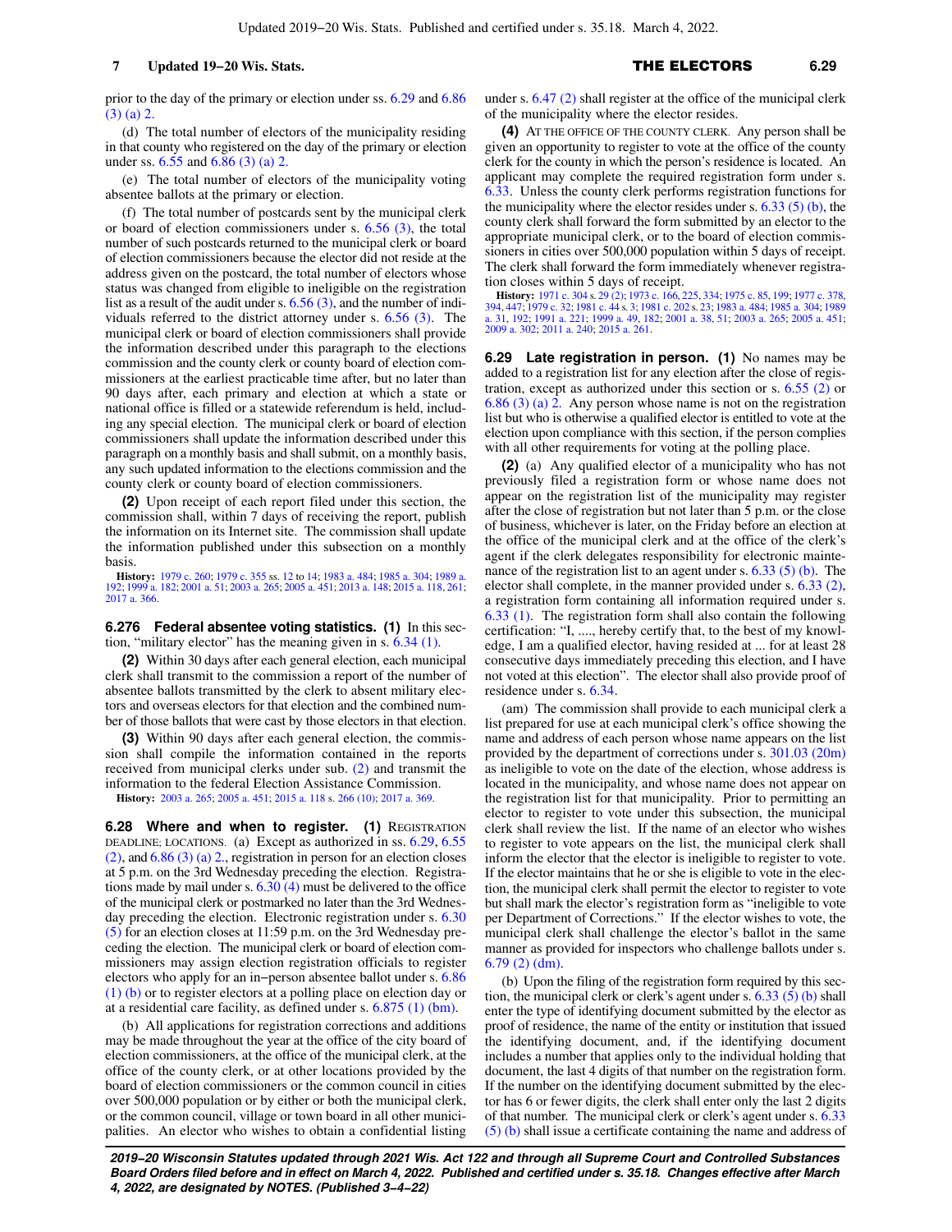prior to the day of the primary or election under ss. [6.29](https://docs-preview.legis.wisconsin.gov/document/statutes/6.29) and [6.86](https://docs-preview.legis.wisconsin.gov/document/statutes/6.86(3)(a)2.) [\(3\) \(a\) 2.](https://docs-preview.legis.wisconsin.gov/document/statutes/6.86(3)(a)2.)

(d) The total number of electors of the municipality residing in that county who registered on the day of the primary or election under ss. [6.55](https://docs-preview.legis.wisconsin.gov/document/statutes/6.55) and [6.86 \(3\) \(a\) 2.](https://docs-preview.legis.wisconsin.gov/document/statutes/6.86(3)(a)2.)

(e) The total number of electors of the municipality voting absentee ballots at the primary or election.

(f) The total number of postcards sent by the municipal clerk or board of election commissioners under s. [6.56 \(3\)](https://docs-preview.legis.wisconsin.gov/document/statutes/6.56(3)), the total number of such postcards returned to the municipal clerk or board of election commissioners because the elector did not reside at the address given on the postcard, the total number of electors whose status was changed from eligible to ineligible on the registration list as a result of the audit under s.  $6.56(3)$ , and the number of individuals referred to the district attorney under s. [6.56 \(3\)](https://docs-preview.legis.wisconsin.gov/document/statutes/6.56(3)). The municipal clerk or board of election commissioners shall provide the information described under this paragraph to the elections commission and the county clerk or county board of election commissioners at the earliest practicable time after, but no later than 90 days after, each primary and election at which a state or national office is filled or a statewide referendum is held, including any special election. The municipal clerk or board of election commissioners shall update the information described under this paragraph on a monthly basis and shall submit, on a monthly basis, any such updated information to the elections commission and the county clerk or county board of election commissioners.

**(2)** Upon receipt of each report filed under this section, the commission shall, within 7 days of receiving the report, publish the information on its Internet site. The commission shall update the information published under this subsection on a monthly basis.

**History:** [1979 c. 260](https://docs-preview.legis.wisconsin.gov/document/acts/1979/260); [1979 c. 355](https://docs-preview.legis.wisconsin.gov/document/acts/1979/355) ss. [12](https://docs-preview.legis.wisconsin.gov/document/acts/1979/355,%20s.%2012) to [14](https://docs-preview.legis.wisconsin.gov/document/acts/1979/355,%20s.%2014); [1983 a. 484](https://docs-preview.legis.wisconsin.gov/document/acts/1983/484); [1985 a. 304](https://docs-preview.legis.wisconsin.gov/document/acts/1985/304); [1989 a.](https://docs-preview.legis.wisconsin.gov/document/acts/1989/192) [192](https://docs-preview.legis.wisconsin.gov/document/acts/1989/192); [1999 a. 182](https://docs-preview.legis.wisconsin.gov/document/acts/1999/182); [2001 a. 51;](https://docs-preview.legis.wisconsin.gov/document/acts/2001/51) [2003 a. 265;](https://docs-preview.legis.wisconsin.gov/document/acts/2003/265) [2005 a. 451;](https://docs-preview.legis.wisconsin.gov/document/acts/2005/451) [2013 a. 148;](https://docs-preview.legis.wisconsin.gov/document/acts/2013/148) [2015 a. 118,](https://docs-preview.legis.wisconsin.gov/document/acts/2015/118) [261](https://docs-preview.legis.wisconsin.gov/document/acts/2015/261); [2017 a. 366.](https://docs-preview.legis.wisconsin.gov/document/acts/2017/366)

**6.276 Federal absentee voting statistics. (1)** In this section, "military elector" has the meaning given in s. [6.34 \(1\).](https://docs-preview.legis.wisconsin.gov/document/statutes/6.34(1))

**(2)** Within 30 days after each general election, each municipal clerk shall transmit to the commission a report of the number of absentee ballots transmitted by the clerk to absent military electors and overseas electors for that election and the combined number of those ballots that were cast by those electors in that election.

**(3)** Within 90 days after each general election, the commission shall compile the information contained in the reports received from municipal clerks under sub. [\(2\)](https://docs-preview.legis.wisconsin.gov/document/statutes/6.276(2)) and transmit the information to the federal Election Assistance Commission.

**History:** [2003 a. 265](https://docs-preview.legis.wisconsin.gov/document/acts/2003/265); [2005 a. 451](https://docs-preview.legis.wisconsin.gov/document/acts/2005/451); [2015 a. 118](https://docs-preview.legis.wisconsin.gov/document/acts/2015/118) s. [266 \(10\)](https://docs-preview.legis.wisconsin.gov/document/acts/2015/118,%20s.%20266); [2017 a. 369](https://docs-preview.legis.wisconsin.gov/document/acts/2017/369).

**6.28 Where and when to register. (1)** REGISTRATION DEADLINE; LOCATIONS. (a) Except as authorized in ss. [6.29,](https://docs-preview.legis.wisconsin.gov/document/statutes/6.29) [6.55](https://docs-preview.legis.wisconsin.gov/document/statutes/6.55(2)) [\(2\)](https://docs-preview.legis.wisconsin.gov/document/statutes/6.55(2)), and [6.86 \(3\) \(a\) 2.,](https://docs-preview.legis.wisconsin.gov/document/statutes/6.86(3)(a)2.) registration in person for an election closes at 5 p.m. on the 3rd Wednesday preceding the election. Registrations made by mail under s. [6.30 \(4\)](https://docs-preview.legis.wisconsin.gov/document/statutes/6.30(4)) must be delivered to the office of the municipal clerk or postmarked no later than the 3rd Wednesday preceding the election. Electronic registration under s. [6.30](https://docs-preview.legis.wisconsin.gov/document/statutes/6.30(5)) [\(5\)](https://docs-preview.legis.wisconsin.gov/document/statutes/6.30(5)) for an election closes at 11:59 p.m. on the 3rd Wednesday preceding the election. The municipal clerk or board of election commissioners may assign election registration officials to register electors who apply for an in−person absentee ballot under s. [6.86](https://docs-preview.legis.wisconsin.gov/document/statutes/6.86(1)(b)) [\(1\) \(b\)](https://docs-preview.legis.wisconsin.gov/document/statutes/6.86(1)(b)) or to register electors at a polling place on election day or at a residential care facility, as defined under s. [6.875 \(1\) \(bm\).](https://docs-preview.legis.wisconsin.gov/document/statutes/6.875(1)(bm))

(b) All applications for registration corrections and additions may be made throughout the year at the office of the city board of election commissioners, at the office of the municipal clerk, at the office of the county clerk, or at other locations provided by the board of election commissioners or the common council in cities over 500,000 population or by either or both the municipal clerk, or the common council, village or town board in all other municipalities. An elector who wishes to obtain a confidential listing

under s. [6.47 \(2\)](https://docs-preview.legis.wisconsin.gov/document/statutes/6.47(2)) shall register at the office of the municipal clerk of the municipality where the elector resides.

**(4)** AT THE OFFICE OF THE COUNTY CLERK. Any person shall be given an opportunity to register to vote at the office of the county clerk for the county in which the person's residence is located. An applicant may complete the required registration form under s. [6.33.](https://docs-preview.legis.wisconsin.gov/document/statutes/6.33) Unless the county clerk performs registration functions for the municipality where the elector resides under s.  $6.33$  (5) (b), the county clerk shall forward the form submitted by an elector to the appropriate municipal clerk, or to the board of election commissioners in cities over 500,000 population within 5 days of receipt. The clerk shall forward the form immediately whenever registration closes within 5 days of receipt.

**History:** [1971 c. 304](https://docs-preview.legis.wisconsin.gov/document/acts/1971/304) s. [29 \(2\)](https://docs-preview.legis.wisconsin.gov/document/acts/1971/304,%20s.%2029); [1973 c. 166,](https://docs-preview.legis.wisconsin.gov/document/acts/1973/166) [225](https://docs-preview.legis.wisconsin.gov/document/acts/1973/225), [334;](https://docs-preview.legis.wisconsin.gov/document/acts/1973/334) [1975 c. 85](https://docs-preview.legis.wisconsin.gov/document/acts/1975/85), [199;](https://docs-preview.legis.wisconsin.gov/document/acts/1975/199) [1977 c. 378](https://docs-preview.legis.wisconsin.gov/document/acts/1977/378), [394,](https://docs-preview.legis.wisconsin.gov/document/acts/1977/394) [447;](https://docs-preview.legis.wisconsin.gov/document/acts/1977/447) [1979 c. 32](https://docs-preview.legis.wisconsin.gov/document/acts/1979/32); [1981 c. 44](https://docs-preview.legis.wisconsin.gov/document/acts/1981/44) s. [3;](https://docs-preview.legis.wisconsin.gov/document/acts/1981/44,%20s.%203) [1981 c. 202](https://docs-preview.legis.wisconsin.gov/document/acts/1981/202) s. [23](https://docs-preview.legis.wisconsin.gov/document/acts/1981/202,%20s.%2023); [1983 a. 484](https://docs-preview.legis.wisconsin.gov/document/acts/1983/484); [1985 a. 304](https://docs-preview.legis.wisconsin.gov/document/acts/1985/304); [1989](https://docs-preview.legis.wisconsin.gov/document/acts/1989/31) [a. 31,](https://docs-preview.legis.wisconsin.gov/document/acts/1989/31) [192;](https://docs-preview.legis.wisconsin.gov/document/acts/1989/192) [1991 a. 221;](https://docs-preview.legis.wisconsin.gov/document/acts/1991/221) [1999 a. 49](https://docs-preview.legis.wisconsin.gov/document/acts/1999/49), [182](https://docs-preview.legis.wisconsin.gov/document/acts/1999/182); [2001 a. 38,](https://docs-preview.legis.wisconsin.gov/document/acts/2001/38) [51](https://docs-preview.legis.wisconsin.gov/document/acts/2001/51); [2003 a. 265](https://docs-preview.legis.wisconsin.gov/document/acts/2003/265); [2005 a. 451](https://docs-preview.legis.wisconsin.gov/document/acts/2005/451); [2009 a. 302;](https://docs-preview.legis.wisconsin.gov/document/acts/2009/302) [2011 a. 240](https://docs-preview.legis.wisconsin.gov/document/acts/2011/240); [2015 a. 261](https://docs-preview.legis.wisconsin.gov/document/acts/2015/261).

**6.29 Late registration in person. (1)** No names may be added to a registration list for any election after the close of registration, except as authorized under this section or s. [6.55 \(2\)](https://docs-preview.legis.wisconsin.gov/document/statutes/6.55(2)) or [6.86 \(3\) \(a\) 2.](https://docs-preview.legis.wisconsin.gov/document/statutes/6.86(3)(a)2.) Any person whose name is not on the registration list but who is otherwise a qualified elector is entitled to vote at the election upon compliance with this section, if the person complies with all other requirements for voting at the polling place.

**(2)** (a) Any qualified elector of a municipality who has not previously filed a registration form or whose name does not appear on the registration list of the municipality may register after the close of registration but not later than 5 p.m. or the close of business, whichever is later, on the Friday before an election at the office of the municipal clerk and at the office of the clerk's agent if the clerk delegates responsibility for electronic maintenance of the registration list to an agent under s. [6.33 \(5\) \(b\)](https://docs-preview.legis.wisconsin.gov/document/statutes/6.33(5)(b)). The elector shall complete, in the manner provided under s. [6.33 \(2\),](https://docs-preview.legis.wisconsin.gov/document/statutes/6.33(2)) a registration form containing all information required under s. [6.33 \(1\)](https://docs-preview.legis.wisconsin.gov/document/statutes/6.33(1)). The registration form shall also contain the following certification: "I, ...., hereby certify that, to the best of my knowledge, I am a qualified elector, having resided at ... for at least 28 consecutive days immediately preceding this election, and I have not voted at this election". The elector shall also provide proof of residence under s. [6.34](https://docs-preview.legis.wisconsin.gov/document/statutes/6.34).

(am) The commission shall provide to each municipal clerk a list prepared for use at each municipal clerk's office showing the name and address of each person whose name appears on the list provided by the department of corrections under s. [301.03 \(20m\)](https://docs-preview.legis.wisconsin.gov/document/statutes/301.03(20m)) as ineligible to vote on the date of the election, whose address is located in the municipality, and whose name does not appear on the registration list for that municipality. Prior to permitting an elector to register to vote under this subsection, the municipal clerk shall review the list. If the name of an elector who wishes to register to vote appears on the list, the municipal clerk shall inform the elector that the elector is ineligible to register to vote. If the elector maintains that he or she is eligible to vote in the election, the municipal clerk shall permit the elector to register to vote but shall mark the elector's registration form as "ineligible to vote per Department of Corrections." If the elector wishes to vote, the municipal clerk shall challenge the elector's ballot in the same manner as provided for inspectors who challenge ballots under s. [6.79 \(2\) \(dm\).](https://docs-preview.legis.wisconsin.gov/document/statutes/6.79(2)(dm))

(b) Upon the filing of the registration form required by this section, the municipal clerk or clerk's agent under s. [6.33 \(5\) \(b\)](https://docs-preview.legis.wisconsin.gov/document/statutes/6.33(5)(b)) shall enter the type of identifying document submitted by the elector as proof of residence, the name of the entity or institution that issued the identifying document, and, if the identifying document includes a number that applies only to the individual holding that document, the last 4 digits of that number on the registration form. If the number on the identifying document submitted by the elector has 6 or fewer digits, the clerk shall enter only the last 2 digits of that number. The municipal clerk or clerk's agent under s. [6.33](https://docs-preview.legis.wisconsin.gov/document/statutes/6.33(5)(b)) [\(5\) \(b\)](https://docs-preview.legis.wisconsin.gov/document/statutes/6.33(5)(b)) shall issue a certificate containing the name and address of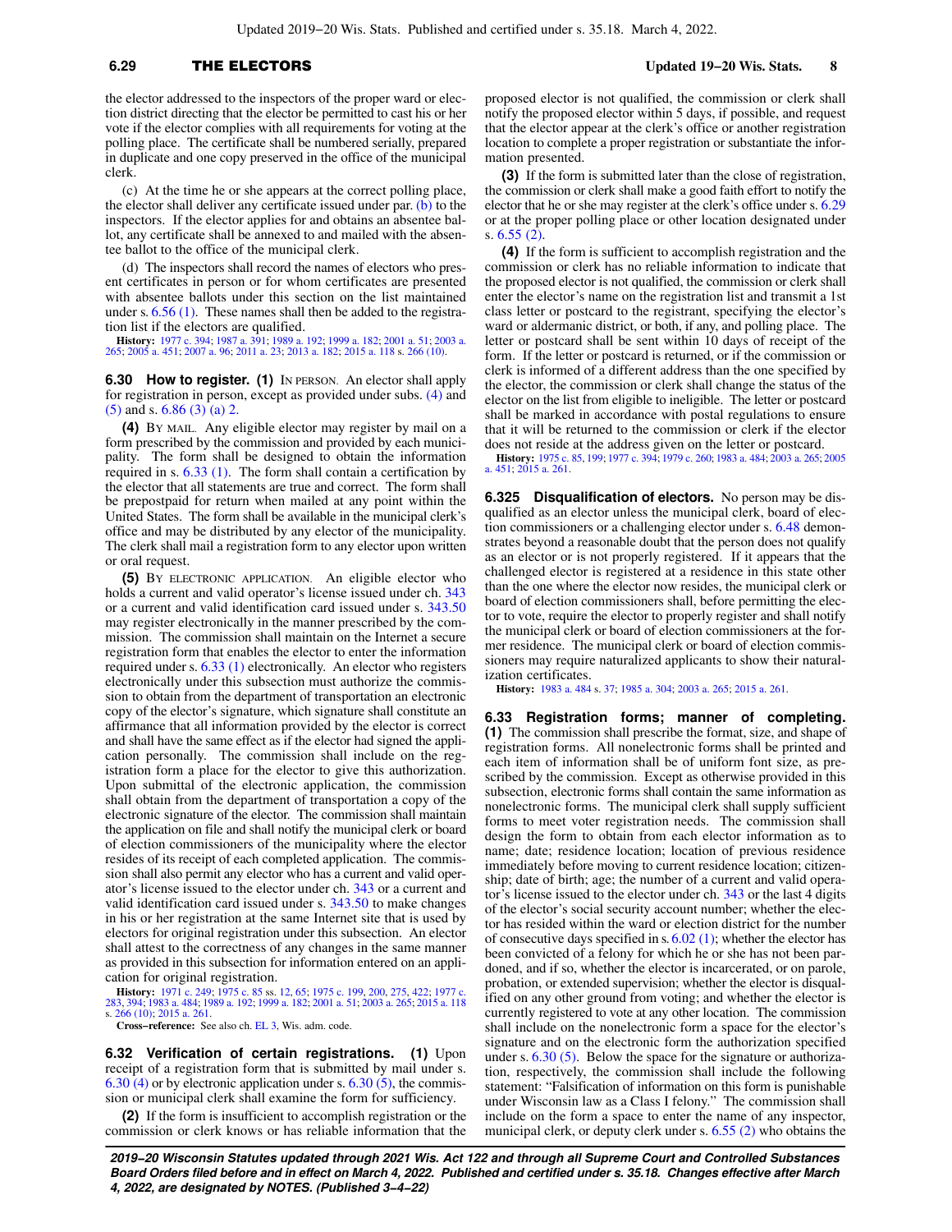### **6.29** THE ELECTORS **Updated 19−20 Wis. Stats. 8**

the elector addressed to the inspectors of the proper ward or election district directing that the elector be permitted to cast his or her vote if the elector complies with all requirements for voting at the polling place. The certificate shall be numbered serially, prepared in duplicate and one copy preserved in the office of the municipal clerk.

(c) At the time he or she appears at the correct polling place, the elector shall deliver any certificate issued under par.  $(b)$  to the inspectors. If the elector applies for and obtains an absentee ballot, any certificate shall be annexed to and mailed with the absentee ballot to the office of the municipal clerk.

(d) The inspectors shall record the names of electors who present certificates in person or for whom certificates are presented with absentee ballots under this section on the list maintained under s. [6.56 \(1\).](https://docs-preview.legis.wisconsin.gov/document/statutes/6.56(1)) These names shall then be added to the registration list if the electors are qualified.

**History:** [1977 c. 394](https://docs-preview.legis.wisconsin.gov/document/acts/1977/394); [1987 a. 391](https://docs-preview.legis.wisconsin.gov/document/acts/1987/391); [1989 a. 192](https://docs-preview.legis.wisconsin.gov/document/acts/1989/192); [1999 a. 182](https://docs-preview.legis.wisconsin.gov/document/acts/1999/182); [2001 a. 51](https://docs-preview.legis.wisconsin.gov/document/acts/2001/51); [2003 a.](https://docs-preview.legis.wisconsin.gov/document/acts/2003/265) [265](https://docs-preview.legis.wisconsin.gov/document/acts/2003/265); [2005 a. 451;](https://docs-preview.legis.wisconsin.gov/document/acts/2005/451) [2007 a. 96](https://docs-preview.legis.wisconsin.gov/document/acts/2007/96); [2011 a. 23](https://docs-preview.legis.wisconsin.gov/document/acts/2011/23); [2013 a. 182;](https://docs-preview.legis.wisconsin.gov/document/acts/2013/182) [2015 a. 118](https://docs-preview.legis.wisconsin.gov/document/acts/2015/118) s. [266 \(10\)](https://docs-preview.legis.wisconsin.gov/document/acts/2015/118,%20s.%20266).

**6.30 How to register. (1)** In PERSON. An elector shall apply for registration in person, except as provided under subs. [\(4\)](https://docs-preview.legis.wisconsin.gov/document/statutes/6.30(4)) and [\(5\)](https://docs-preview.legis.wisconsin.gov/document/statutes/6.30(5)) and s. [6.86 \(3\) \(a\) 2.](https://docs-preview.legis.wisconsin.gov/document/statutes/6.86(3)(a)2.)

**(4)** BY MAIL. Any eligible elector may register by mail on a form prescribed by the commission and provided by each municipality. The form shall be designed to obtain the information required in s. [6.33 \(1\).](https://docs-preview.legis.wisconsin.gov/document/statutes/6.33(1)) The form shall contain a certification by the elector that all statements are true and correct. The form shall be prepostpaid for return when mailed at any point within the United States. The form shall be available in the municipal clerk's office and may be distributed by any elector of the municipality. The clerk shall mail a registration form to any elector upon written or oral request.

**(5)** BY ELECTRONIC APPLICATION. An eligible elector who holds a current and valid operator's license issued under ch. [343](https://docs-preview.legis.wisconsin.gov/document/statutes/ch.%20343) or a current and valid identification card issued under s. [343.50](https://docs-preview.legis.wisconsin.gov/document/statutes/343.50) may register electronically in the manner prescribed by the commission. The commission shall maintain on the Internet a secure registration form that enables the elector to enter the information required under s. [6.33 \(1\)](https://docs-preview.legis.wisconsin.gov/document/statutes/6.33(1)) electronically. An elector who registers electronically under this subsection must authorize the commission to obtain from the department of transportation an electronic copy of the elector's signature, which signature shall constitute an affirmance that all information provided by the elector is correct and shall have the same effect as if the elector had signed the application personally. The commission shall include on the registration form a place for the elector to give this authorization. Upon submittal of the electronic application, the commission shall obtain from the department of transportation a copy of the electronic signature of the elector. The commission shall maintain the application on file and shall notify the municipal clerk or board of election commissioners of the municipality where the elector resides of its receipt of each completed application. The commission shall also permit any elector who has a current and valid operator's license issued to the elector under ch. [343](https://docs-preview.legis.wisconsin.gov/document/statutes/ch.%20343) or a current and valid identification card issued under s. [343.50](https://docs-preview.legis.wisconsin.gov/document/statutes/343.50) to make changes in his or her registration at the same Internet site that is used by electors for original registration under this subsection. An elector shall attest to the correctness of any changes in the same manner as provided in this subsection for information entered on an application for original registration.

**History:** [1971 c. 249](https://docs-preview.legis.wisconsin.gov/document/acts/1971/249); [1975 c. 85](https://docs-preview.legis.wisconsin.gov/document/acts/1975/85) ss. [12,](https://docs-preview.legis.wisconsin.gov/document/acts/1975/85,%20s.%2012) [65](https://docs-preview.legis.wisconsin.gov/document/acts/1975/85,%20s.%2065); [1975 c. 199,](https://docs-preview.legis.wisconsin.gov/document/acts/1975/199) [200,](https://docs-preview.legis.wisconsin.gov/document/acts/1975/200) [275,](https://docs-preview.legis.wisconsin.gov/document/acts/1975/275) [422;](https://docs-preview.legis.wisconsin.gov/document/acts/1975/422) [1977 c.](https://docs-preview.legis.wisconsin.gov/document/acts/1977/283) [283](https://docs-preview.legis.wisconsin.gov/document/acts/1977/283), [394;](https://docs-preview.legis.wisconsin.gov/document/acts/1977/394) [1983 a. 484](https://docs-preview.legis.wisconsin.gov/document/acts/1983/484); [1989 a. 192;](https://docs-preview.legis.wisconsin.gov/document/acts/1989/192) [1999 a. 182;](https://docs-preview.legis.wisconsin.gov/document/acts/1999/182) [2001 a. 51;](https://docs-preview.legis.wisconsin.gov/document/acts/2001/51) [2003 a. 265;](https://docs-preview.legis.wisconsin.gov/document/acts/2003/265) [2015 a. 118](https://docs-preview.legis.wisconsin.gov/document/acts/2015/118) s. [266 \(10\);](https://docs-preview.legis.wisconsin.gov/document/acts/2015/118,%20s.%20266) [2015 a. 261.](https://docs-preview.legis.wisconsin.gov/document/acts/2015/261)

**Cross−reference:** See also ch. [EL 3,](https://docs-preview.legis.wisconsin.gov/document/administrativecode/ch.%20EL%203) Wis. adm. code.

**6.32 Verification of certain registrations. (1)** Upon receipt of a registration form that is submitted by mail under s.  $6.30$  (4) or by electronic application under s.  $6.30$  (5), the commission or municipal clerk shall examine the form for sufficiency.

**(2)** If the form is insufficient to accomplish registration or the commission or clerk knows or has reliable information that the proposed elector is not qualified, the commission or clerk shall notify the proposed elector within 5 days, if possible, and request that the elector appear at the clerk's office or another registration location to complete a proper registration or substantiate the information presented.

**(3)** If the form is submitted later than the close of registration, the commission or clerk shall make a good faith effort to notify the elector that he or she may register at the clerk's office under s. [6.29](https://docs-preview.legis.wisconsin.gov/document/statutes/6.29) or at the proper polling place or other location designated under s. [6.55 \(2\).](https://docs-preview.legis.wisconsin.gov/document/statutes/6.55(2))

**(4)** If the form is sufficient to accomplish registration and the commission or clerk has no reliable information to indicate that the proposed elector is not qualified, the commission or clerk shall enter the elector's name on the registration list and transmit a 1st class letter or postcard to the registrant, specifying the elector's ward or aldermanic district, or both, if any, and polling place. The letter or postcard shall be sent within 10 days of receipt of the form. If the letter or postcard is returned, or if the commission or clerk is informed of a different address than the one specified by the elector, the commission or clerk shall change the status of the elector on the list from eligible to ineligible. The letter or postcard shall be marked in accordance with postal regulations to ensure that it will be returned to the commission or clerk if the elector does not reside at the address given on the letter or postcard.

**History:** [1975 c. 85,](https://docs-preview.legis.wisconsin.gov/document/acts/1975/85) [199](https://docs-preview.legis.wisconsin.gov/document/acts/1975/199); [1977 c. 394;](https://docs-preview.legis.wisconsin.gov/document/acts/1977/394) [1979 c. 260;](https://docs-preview.legis.wisconsin.gov/document/acts/1979/260) [1983 a. 484](https://docs-preview.legis.wisconsin.gov/document/acts/1983/484); [2003 a. 265](https://docs-preview.legis.wisconsin.gov/document/acts/2003/265); [2005](https://docs-preview.legis.wisconsin.gov/document/acts/2005/451) [a. 451](https://docs-preview.legis.wisconsin.gov/document/acts/2005/451); [2015 a. 261.](https://docs-preview.legis.wisconsin.gov/document/acts/2015/261)

**6.325 Disqualification of electors.** No person may be disqualified as an elector unless the municipal clerk, board of election commissioners or a challenging elector under s. [6.48](https://docs-preview.legis.wisconsin.gov/document/statutes/6.48) demonstrates beyond a reasonable doubt that the person does not qualify as an elector or is not properly registered. If it appears that the challenged elector is registered at a residence in this state other than the one where the elector now resides, the municipal clerk or board of election commissioners shall, before permitting the elector to vote, require the elector to properly register and shall notify the municipal clerk or board of election commissioners at the former residence. The municipal clerk or board of election commissioners may require naturalized applicants to show their naturalization certificates.

**History:** [1983 a. 484](https://docs-preview.legis.wisconsin.gov/document/acts/1983/484) s. [37;](https://docs-preview.legis.wisconsin.gov/document/acts/1983/484,%20s.%2037) [1985 a. 304](https://docs-preview.legis.wisconsin.gov/document/acts/1985/304); [2003 a. 265;](https://docs-preview.legis.wisconsin.gov/document/acts/2003/265) [2015 a. 261.](https://docs-preview.legis.wisconsin.gov/document/acts/2015/261)

**6.33 Registration forms; manner of completing. (1)** The commission shall prescribe the format, size, and shape of registration forms. All nonelectronic forms shall be printed and each item of information shall be of uniform font size, as prescribed by the commission. Except as otherwise provided in this subsection, electronic forms shall contain the same information as nonelectronic forms. The municipal clerk shall supply sufficient forms to meet voter registration needs. The commission shall design the form to obtain from each elector information as to name; date; residence location; location of previous residence immediately before moving to current residence location; citizenship; date of birth; age; the number of a current and valid operator's license issued to the elector under ch. [343](https://docs-preview.legis.wisconsin.gov/document/statutes/ch.%20343) or the last 4 digits of the elector's social security account number; whether the elector has resided within the ward or election district for the number of consecutive days specified in s. [6.02 \(1\);](https://docs-preview.legis.wisconsin.gov/document/statutes/6.02(1)) whether the elector has been convicted of a felony for which he or she has not been pardoned, and if so, whether the elector is incarcerated, or on parole, probation, or extended supervision; whether the elector is disqualified on any other ground from voting; and whether the elector is currently registered to vote at any other location. The commission shall include on the nonelectronic form a space for the elector's signature and on the electronic form the authorization specified under s. [6.30 \(5\).](https://docs-preview.legis.wisconsin.gov/document/statutes/6.30(5)) Below the space for the signature or authorization, respectively, the commission shall include the following statement: "Falsification of information on this form is punishable under Wisconsin law as a Class I felony." The commission shall include on the form a space to enter the name of any inspector, municipal clerk, or deputy clerk under s. [6.55 \(2\)](https://docs-preview.legis.wisconsin.gov/document/statutes/6.55(2)) who obtains the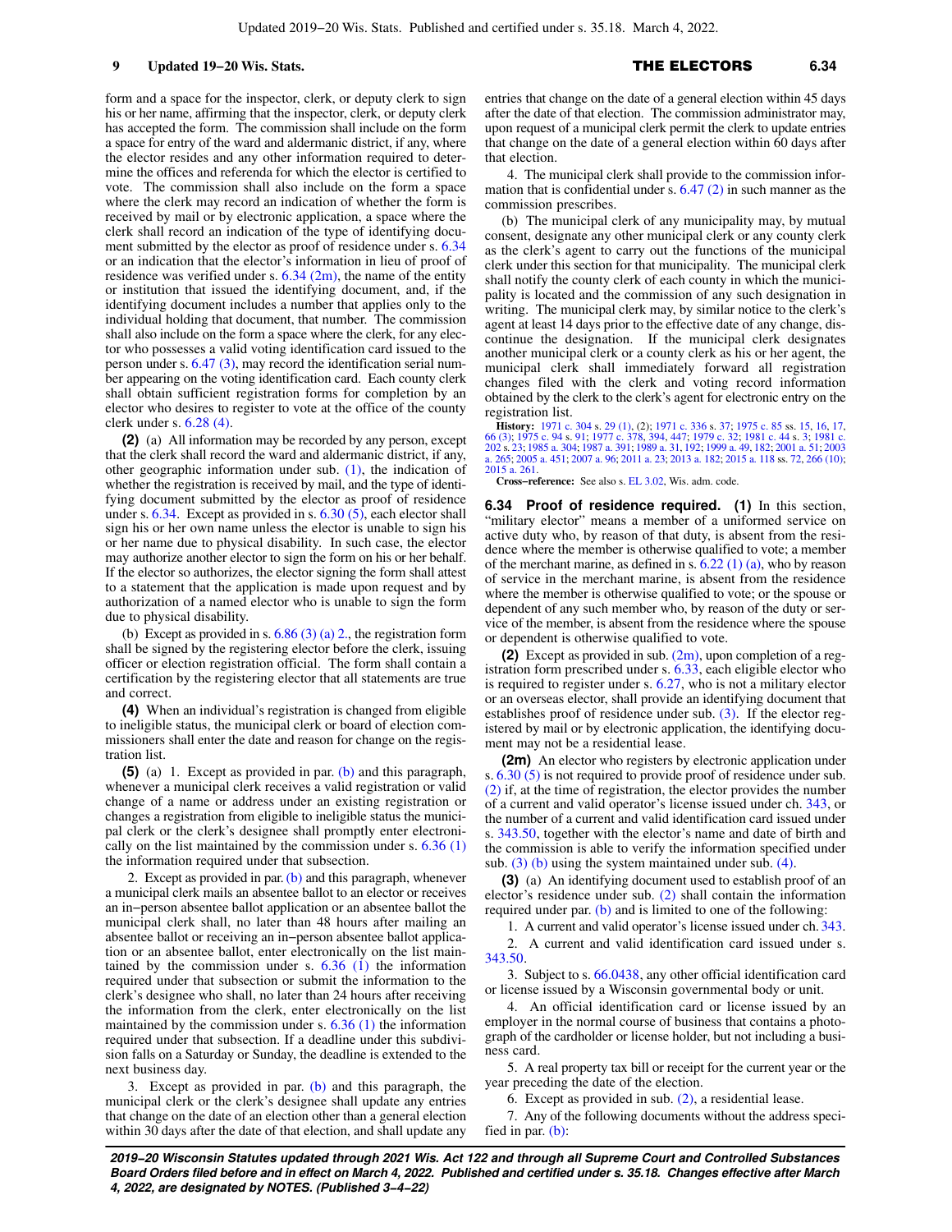9 **Updated 19−20 Wis. Stats.** 6.34

form and a space for the inspector, clerk, or deputy clerk to sign his or her name, affirming that the inspector, clerk, or deputy clerk has accepted the form. The commission shall include on the form a space for entry of the ward and aldermanic district, if any, where the elector resides and any other information required to determine the offices and referenda for which the elector is certified to vote. The commission shall also include on the form a space where the clerk may record an indication of whether the form is received by mail or by electronic application, a space where the clerk shall record an indication of the type of identifying document submitted by the elector as proof of residence under s. [6.34](https://docs-preview.legis.wisconsin.gov/document/statutes/6.34) or an indication that the elector's information in lieu of proof of residence was verified under s.  $6.34$  (2m), the name of the entity or institution that issued the identifying document, and, if the identifying document includes a number that applies only to the individual holding that document, that number. The commission shall also include on the form a space where the clerk, for any elector who possesses a valid voting identification card issued to the person under s. [6.47 \(3\)](https://docs-preview.legis.wisconsin.gov/document/statutes/6.47(3)), may record the identification serial number appearing on the voting identification card. Each county clerk shall obtain sufficient registration forms for completion by an elector who desires to register to vote at the office of the county clerk under s. [6.28 \(4\).](https://docs-preview.legis.wisconsin.gov/document/statutes/6.28(4))

**(2)** (a) All information may be recorded by any person, except that the clerk shall record the ward and aldermanic district, if any, other geographic information under sub. [\(1\),](https://docs-preview.legis.wisconsin.gov/document/statutes/6.33(1)) the indication of whether the registration is received by mail, and the type of identifying document submitted by the elector as proof of residence under s.  $6.34$ . Except as provided in s.  $6.30(5)$ , each elector shall sign his or her own name unless the elector is unable to sign his or her name due to physical disability. In such case, the elector may authorize another elector to sign the form on his or her behalf. If the elector so authorizes, the elector signing the form shall attest to a statement that the application is made upon request and by authorization of a named elector who is unable to sign the form due to physical disability.

(b) Except as provided in s.  $6.86$  (3) (a) 2., the registration form shall be signed by the registering elector before the clerk, issuing officer or election registration official. The form shall contain a certification by the registering elector that all statements are true and correct.

**(4)** When an individual's registration is changed from eligible to ineligible status, the municipal clerk or board of election commissioners shall enter the date and reason for change on the registration list.

**(5)** (a) 1. Except as provided in par. [\(b\)](https://docs-preview.legis.wisconsin.gov/document/statutes/6.33(5)(b)) and this paragraph, whenever a municipal clerk receives a valid registration or valid change of a name or address under an existing registration or changes a registration from eligible to ineligible status the municipal clerk or the clerk's designee shall promptly enter electronically on the list maintained by the commission under s.  $6.36(1)$ the information required under that subsection.

2. Except as provided in par.  $(b)$  and this paragraph, whenever a municipal clerk mails an absentee ballot to an elector or receives an in−person absentee ballot application or an absentee ballot the municipal clerk shall, no later than 48 hours after mailing an absentee ballot or receiving an in−person absentee ballot application or an absentee ballot, enter electronically on the list maintained by the commission under s.  $6.36$  (1) the information required under that subsection or submit the information to the clerk's designee who shall, no later than 24 hours after receiving the information from the clerk, enter electronically on the list maintained by the commission under s.  $6.36$  (1) the information required under that subsection. If a deadline under this subdivision falls on a Saturday or Sunday, the deadline is extended to the next business day.

3. Except as provided in par. [\(b\)](https://docs-preview.legis.wisconsin.gov/document/statutes/6.33(5)(b)) and this paragraph, the municipal clerk or the clerk's designee shall update any entries that change on the date of an election other than a general election within 30 days after the date of that election, and shall update any entries that change on the date of a general election within 45 days after the date of that election. The commission administrator may, upon request of a municipal clerk permit the clerk to update entries that change on the date of a general election within 60 days after that election.

4. The municipal clerk shall provide to the commission information that is confidential under s.  $6.47(2)$  in such manner as the commission prescribes.

(b) The municipal clerk of any municipality may, by mutual consent, designate any other municipal clerk or any county clerk as the clerk's agent to carry out the functions of the municipal clerk under this section for that municipality. The municipal clerk shall notify the county clerk of each county in which the municipality is located and the commission of any such designation in writing. The municipal clerk may, by similar notice to the clerk's agent at least 14 days prior to the effective date of any change, discontinue the designation. If the municipal clerk designates another municipal clerk or a county clerk as his or her agent, the municipal clerk shall immediately forward all registration changes filed with the clerk and voting record information obtained by the clerk to the clerk's agent for electronic entry on the registration list.

**History:** [1971 c. 304](https://docs-preview.legis.wisconsin.gov/document/acts/1971/304) s. [29 \(1\)](https://docs-preview.legis.wisconsin.gov/document/acts/1971/304,%20s.%2029), (2): [1971 c. 336](https://docs-preview.legis.wisconsin.gov/document/acts/1971/336) s. 37: [1975 c. 85](https://docs-preview.legis.wisconsin.gov/document/acts/1975/85) ss. [15](https://docs-preview.legis.wisconsin.gov/document/acts/1975/85,%20s.%2015), [16,](https://docs-preview.legis.wisconsin.gov/document/acts/1975/85,%20s.%2016) [17](https://docs-preview.legis.wisconsin.gov/document/acts/1975/85,%20s.%2017), 166 (3): [1975 c. 94](https://docs-preview.legis.wisconsin.gov/document/acts/1975/94) s. [91](https://docs-preview.legis.wisconsin.gov/document/acts/1975/94,%20s.%2091); 1977 c. 336 s. 37: 1978 c. 94 s. 91; [1977 c. 378,](https://docs-preview.legis.wisconsin.gov/document/acts/1977/378) [394,](https://docs-preview.legis.wisconsin.gov/document/acts/1977/394) [447;](https://docs-preview.legis.wisconsin.gov/document/acts/1977/447) [1979 c. 32](https://docs-preview.legis.wisconsin.gov/document/acts/1979/32); [1981 c.](https://docs-preview.legis.wisconsin.gov/document/acts/1981/202)<br>[202](https://docs-preview.legis.wisconsin.gov/document/acts/1981/202) s. [23](https://docs-preview.legis.wisconsin.gov/document/acts/1981/202,%20s.%2023): [1985 a. 304](https://docs-preview.legis.wisconsin.gov/document/acts/1985/304); 1987 a [a. 265;](https://docs-preview.legis.wisconsin.gov/document/acts/2003/265) [2005 a. 451](https://docs-preview.legis.wisconsin.gov/document/acts/2005/451); [2007 a. 96](https://docs-preview.legis.wisconsin.gov/document/acts/2007/96); [2011 a. 23;](https://docs-preview.legis.wisconsin.gov/document/acts/2011/23) [2013 a. 182](https://docs-preview.legis.wisconsin.gov/document/acts/2013/182); [2015 a. 118](https://docs-preview.legis.wisconsin.gov/document/acts/2015/118) ss. [72,](https://docs-preview.legis.wisconsin.gov/document/acts/2015/118,%20s.%2072) [266 \(10\)](https://docs-preview.legis.wisconsin.gov/document/acts/2015/118,%20s.%20266); [2015 a. 261.](https://docs-preview.legis.wisconsin.gov/document/acts/2015/261)

**Cross−reference:** See also s. [EL 3.02](https://docs-preview.legis.wisconsin.gov/document/administrativecode/EL%203.02), Wis. adm. code.

**6.34 Proof of residence required. (1)** In this section, "military elector" means a member of a uniformed service on active duty who, by reason of that duty, is absent from the residence where the member is otherwise qualified to vote; a member of the merchant marine, as defined in s.  $6.22$  (1) (a), who by reason of service in the merchant marine, is absent from the residence where the member is otherwise qualified to vote; or the spouse or dependent of any such member who, by reason of the duty or service of the member, is absent from the residence where the spouse or dependent is otherwise qualified to vote.

**(2)** Except as provided in sub. [\(2m\),](https://docs-preview.legis.wisconsin.gov/document/statutes/6.34(2m)) upon completion of a registration form prescribed under s. [6.33,](https://docs-preview.legis.wisconsin.gov/document/statutes/6.33) each eligible elector who is required to register under s. [6.27](https://docs-preview.legis.wisconsin.gov/document/statutes/6.27), who is not a military elector or an overseas elector, shall provide an identifying document that establishes proof of residence under sub. [\(3\)](https://docs-preview.legis.wisconsin.gov/document/statutes/6.34(3)). If the elector registered by mail or by electronic application, the identifying document may not be a residential lease.

**(2m)** An elector who registers by electronic application under s. [6.30 \(5\)](https://docs-preview.legis.wisconsin.gov/document/statutes/6.30(5)) is not required to provide proof of residence under sub. [\(2\)](https://docs-preview.legis.wisconsin.gov/document/statutes/6.34(2)) if, at the time of registration, the elector provides the number of a current and valid operator's license issued under ch. [343](https://docs-preview.legis.wisconsin.gov/document/statutes/ch.%20343), or the number of a current and valid identification card issued under s. [343.50](https://docs-preview.legis.wisconsin.gov/document/statutes/343.50), together with the elector's name and date of birth and the commission is able to verify the information specified under sub.  $(3)$  (b) using the system maintained under sub.  $(4)$ .

**(3)** (a) An identifying document used to establish proof of an elector's residence under sub. [\(2\)](https://docs-preview.legis.wisconsin.gov/document/statutes/6.34(2)) shall contain the information required under par. [\(b\)](https://docs-preview.legis.wisconsin.gov/document/statutes/6.34(3)(b)) and is limited to one of the following:

1. A current and valid operator's license issued under ch. [343.](https://docs-preview.legis.wisconsin.gov/document/statutes/ch.%20343)

2. A current and valid identification card issued under s. [343.50.](https://docs-preview.legis.wisconsin.gov/document/statutes/343.50)

3. Subject to s. [66.0438,](https://docs-preview.legis.wisconsin.gov/document/statutes/66.0438) any other official identification card or license issued by a Wisconsin governmental body or unit.

4. An official identification card or license issued by an employer in the normal course of business that contains a photograph of the cardholder or license holder, but not including a business card.

5. A real property tax bill or receipt for the current year or the year preceding the date of the election.

6. Except as provided in sub. [\(2\)](https://docs-preview.legis.wisconsin.gov/document/statutes/6.34(2)), a residential lease.

7. Any of the following documents without the address specified in par. [\(b\):](https://docs-preview.legis.wisconsin.gov/document/statutes/6.34(3)(b))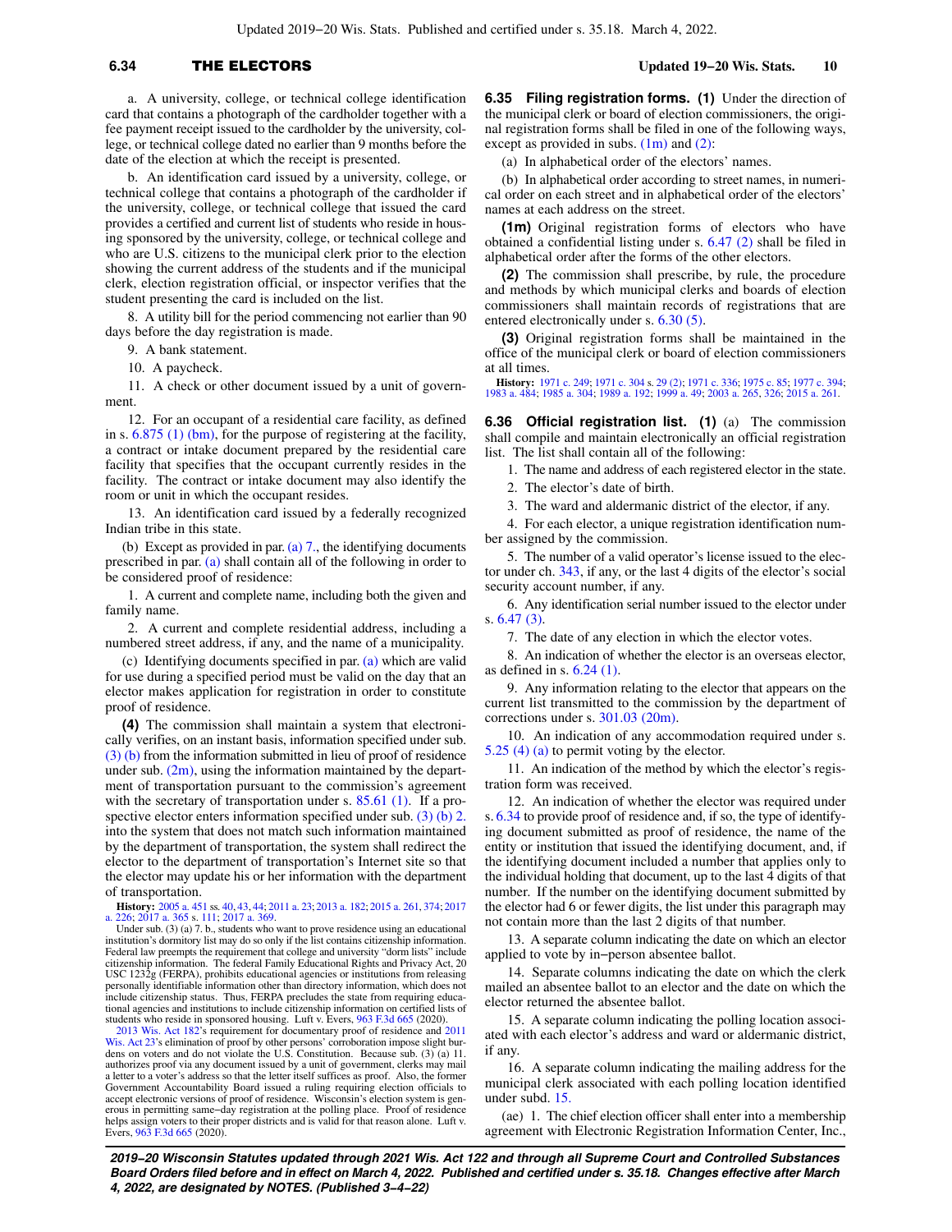a. A university, college, or technical college identification card that contains a photograph of the cardholder together with a fee payment receipt issued to the cardholder by the university, college, or technical college dated no earlier than 9 months before the date of the election at which the receipt is presented.

b. An identification card issued by a university, college, or technical college that contains a photograph of the cardholder if the university, college, or technical college that issued the card provides a certified and current list of students who reside in housing sponsored by the university, college, or technical college and who are U.S. citizens to the municipal clerk prior to the election showing the current address of the students and if the municipal clerk, election registration official, or inspector verifies that the student presenting the card is included on the list.

8. A utility bill for the period commencing not earlier than 90 days before the day registration is made.

9. A bank statement.

10. A paycheck.

11. A check or other document issued by a unit of government.

12. For an occupant of a residential care facility, as defined in s. [6.875 \(1\) \(bm\)](https://docs-preview.legis.wisconsin.gov/document/statutes/6.875(1)(bm)), for the purpose of registering at the facility, a contract or intake document prepared by the residential care facility that specifies that the occupant currently resides in the facility. The contract or intake document may also identify the room or unit in which the occupant resides.

13. An identification card issued by a federally recognized Indian tribe in this state.

(b) Except as provided in par. (a)  $7<sub>.,</sub>$ , the identifying documents prescribed in par. [\(a\)](https://docs-preview.legis.wisconsin.gov/document/statutes/6.34(3)(a)) shall contain all of the following in order to be considered proof of residence:

1. A current and complete name, including both the given and family name.

2. A current and complete residential address, including a numbered street address, if any, and the name of a municipality.

(c) Identifying documents specified in par. [\(a\)](https://docs-preview.legis.wisconsin.gov/document/statutes/6.34(3)(a)) which are valid for use during a specified period must be valid on the day that an elector makes application for registration in order to constitute proof of residence.

**(4)** The commission shall maintain a system that electronically verifies, on an instant basis, information specified under sub. [\(3\) \(b\)](https://docs-preview.legis.wisconsin.gov/document/statutes/6.34(3)(b)) from the information submitted in lieu of proof of residence under sub.  $(2m)$ , using the information maintained by the department of transportation pursuant to the commission's agreement with the secretary of transportation under s. [85.61 \(1\).](https://docs-preview.legis.wisconsin.gov/document/statutes/85.61(1)) If a pro-spective elector enters information specified under sub. [\(3\) \(b\) 2.](https://docs-preview.legis.wisconsin.gov/document/statutes/6.34(3)(b)2.) into the system that does not match such information maintained by the department of transportation, the system shall redirect the elector to the department of transportation's Internet site so that the elector may update his or her information with the department of transportation.

**History:** [2005 a. 451](https://docs-preview.legis.wisconsin.gov/document/acts/2005/451) ss. [40](https://docs-preview.legis.wisconsin.gov/document/acts/2005/451,%20s.%2040), [43,](https://docs-preview.legis.wisconsin.gov/document/acts/2005/451,%20s.%2043) [44;](https://docs-preview.legis.wisconsin.gov/document/acts/2005/451,%20s.%2044) [2011 a. 23;](https://docs-preview.legis.wisconsin.gov/document/acts/2011/23) [2013 a. 182](https://docs-preview.legis.wisconsin.gov/document/acts/2013/182); [2015 a. 261,](https://docs-preview.legis.wisconsin.gov/document/acts/2015/261) [374](https://docs-preview.legis.wisconsin.gov/document/acts/2015/374); [2017](https://docs-preview.legis.wisconsin.gov/document/acts/2017/226) [a. 226;](https://docs-preview.legis.wisconsin.gov/document/acts/2017/226) [2017 a. 365](https://docs-preview.legis.wisconsin.gov/document/acts/2017/365) s. [111;](https://docs-preview.legis.wisconsin.gov/document/acts/2017/365,%20s.%20111) [2017 a. 369](https://docs-preview.legis.wisconsin.gov/document/acts/2017/369).

Under sub. (3) (a) 7. b., students who want to prove residence using an educational institution's dormitory list may do so only if the list contains citizenship information. Federal law preempts the requirement that college and university "dorm lists" include citizenship information. The federal Family Educational Rights and Privacy Act, 20 USC 1232g (FERPA), prohibits educational agencies or institutions from releasing personally identifiable information other than directory information, which does not include citizenship status. Thus, FERPA precludes the state from requiring educa-tional agencies and institutions to include citizenship information on certified lists of students who reside in sponsored housing. Luft v. Evers, [963 F.3d 665](https://docs-preview.legis.wisconsin.gov/document/courts/963%20F.3d%20665) (2020).<br>[2013 Wis. Act 182](https://docs-preview.legis.wisconsin.gov/document/acts/2013/182)'s requirement for documentary proof

[Wis. Act 23'](https://docs-preview.legis.wisconsin.gov/document/acts/2011/23)s elimination of proof by other persons' corroboration impose slight bur-dens on voters and do not violate the U.S. Constitution. Because sub. (3) (a) 11. authorizes proof via any document issued by a unit of government, clerks may mail a letter to a voter's address so that the letter itself suffices as proof. Also, the former Government Accountability Board issued a ruling requiring election officials to accept electronic versions of proof of residence. Wisconsin's election system is generous in permitting same−day registration at the polling place. Proof of residence helps assign voters to their proper districts and is valid for that reason alone. Luft v. Evers, [963 F.3d 665](https://docs-preview.legis.wisconsin.gov/document/courts/963%20F.3d%20665) (2020).

**6.35 Filing registration forms. (1)** Under the direction of the municipal clerk or board of election commissioners, the original registration forms shall be filed in one of the following ways, except as provided in subs. [\(1m\)](https://docs-preview.legis.wisconsin.gov/document/statutes/6.35(1m)) and [\(2\):](https://docs-preview.legis.wisconsin.gov/document/statutes/6.35(2))

(a) In alphabetical order of the electors' names.

(b) In alphabetical order according to street names, in numerical order on each street and in alphabetical order of the electors' names at each address on the street.

**(1m)** Original registration forms of electors who have obtained a confidential listing under s. [6.47 \(2\)](https://docs-preview.legis.wisconsin.gov/document/statutes/6.47(2)) shall be filed in alphabetical order after the forms of the other electors.

**(2)** The commission shall prescribe, by rule, the procedure and methods by which municipal clerks and boards of election commissioners shall maintain records of registrations that are entered electronically under s. [6.30 \(5\)](https://docs-preview.legis.wisconsin.gov/document/statutes/6.30(5)).

**(3)** Original registration forms shall be maintained in the office of the municipal clerk or board of election commissioners at all times.

**History:** [1971 c. 249](https://docs-preview.legis.wisconsin.gov/document/acts/1971/249); [1971 c. 304](https://docs-preview.legis.wisconsin.gov/document/acts/1971/304) s. [29 \(2\);](https://docs-preview.legis.wisconsin.gov/document/acts/1971/304,%20s.%2029) [1971 c. 336](https://docs-preview.legis.wisconsin.gov/document/acts/1971/336); [1975 c. 85;](https://docs-preview.legis.wisconsin.gov/document/acts/1975/85) [1977 c. 394](https://docs-preview.legis.wisconsin.gov/document/acts/1977/394); [1983 a. 484;](https://docs-preview.legis.wisconsin.gov/document/acts/1983/484) [1985 a. 304;](https://docs-preview.legis.wisconsin.gov/document/acts/1985/304) [1989 a. 192](https://docs-preview.legis.wisconsin.gov/document/acts/1989/192); [1999 a. 49;](https://docs-preview.legis.wisconsin.gov/document/acts/1999/49) [2003 a. 265](https://docs-preview.legis.wisconsin.gov/document/acts/2003/265), [326](https://docs-preview.legis.wisconsin.gov/document/acts/2003/326); [2015 a. 261.](https://docs-preview.legis.wisconsin.gov/document/acts/2015/261)

**6.36 Official registration list. (1)** (a) The commission shall compile and maintain electronically an official registration list. The list shall contain all of the following:

1. The name and address of each registered elector in the state.

2. The elector's date of birth.

3. The ward and aldermanic district of the elector, if any.

4. For each elector, a unique registration identification number assigned by the commission.

5. The number of a valid operator's license issued to the elector under ch. [343](https://docs-preview.legis.wisconsin.gov/document/statutes/ch.%20343), if any, or the last 4 digits of the elector's social security account number, if any.

6. Any identification serial number issued to the elector under s. [6.47 \(3\).](https://docs-preview.legis.wisconsin.gov/document/statutes/6.47(3))

7. The date of any election in which the elector votes.

8. An indication of whether the elector is an overseas elector, as defined in s. [6.24 \(1\)](https://docs-preview.legis.wisconsin.gov/document/statutes/6.24(1)).

9. Any information relating to the elector that appears on the current list transmitted to the commission by the department of corrections under s. [301.03 \(20m\).](https://docs-preview.legis.wisconsin.gov/document/statutes/301.03(20m))

10. An indication of any accommodation required under s. [5.25 \(4\) \(a\)](https://docs-preview.legis.wisconsin.gov/document/statutes/5.25(4)(a)) to permit voting by the elector.

11. An indication of the method by which the elector's registration form was received.

12. An indication of whether the elector was required under s. [6.34](https://docs-preview.legis.wisconsin.gov/document/statutes/6.34) to provide proof of residence and, if so, the type of identifying document submitted as proof of residence, the name of the entity or institution that issued the identifying document, and, if the identifying document included a number that applies only to the individual holding that document, up to the last 4 digits of that number. If the number on the identifying document submitted by the elector had 6 or fewer digits, the list under this paragraph may not contain more than the last 2 digits of that number.

13. A separate column indicating the date on which an elector applied to vote by in−person absentee ballot.

14. Separate columns indicating the date on which the clerk mailed an absentee ballot to an elector and the date on which the elector returned the absentee ballot.

15. A separate column indicating the polling location associated with each elector's address and ward or aldermanic district, if any.

16. A separate column indicating the mailing address for the municipal clerk associated with each polling location identified under subd. [15.](https://docs-preview.legis.wisconsin.gov/document/statutes/6.36(1)(a)15.)

(ae) 1. The chief election officer shall enter into a membership agreement with Electronic Registration Information Center, Inc.,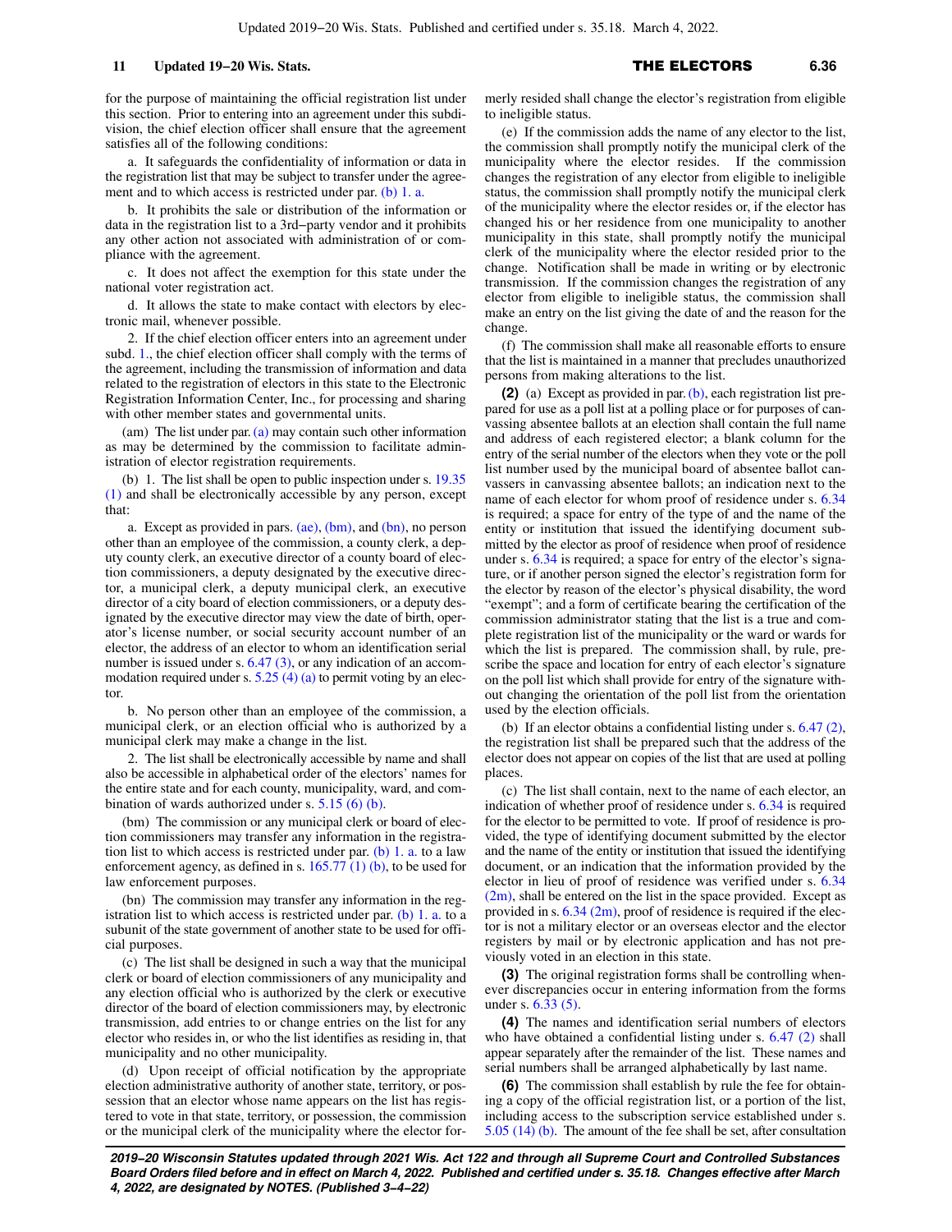for the purpose of maintaining the official registration list under this section. Prior to entering into an agreement under this subdivision, the chief election officer shall ensure that the agreement satisfies all of the following conditions:

a. It safeguards the confidentiality of information or data in the registration list that may be subject to transfer under the agree-ment and to which access is restricted under par. [\(b\) 1. a.](https://docs-preview.legis.wisconsin.gov/document/statutes/6.36(1)(b)1.a.)

b. It prohibits the sale or distribution of the information or data in the registration list to a 3rd−party vendor and it prohibits any other action not associated with administration of or compliance with the agreement.

c. It does not affect the exemption for this state under the national voter registration act.

d. It allows the state to make contact with electors by electronic mail, whenever possible.

2. If the chief election officer enters into an agreement under subd. [1.](https://docs-preview.legis.wisconsin.gov/document/statutes/6.36(1)(ae)1.), the chief election officer shall comply with the terms of the agreement, including the transmission of information and data related to the registration of electors in this state to the Electronic Registration Information Center, Inc., for processing and sharing with other member states and governmental units.

(am) The list under par. [\(a\)](https://docs-preview.legis.wisconsin.gov/document/statutes/6.36(1)(a)) may contain such other information as may be determined by the commission to facilitate administration of elector registration requirements.

(b) 1. The list shall be open to public inspection under s. [19.35](https://docs-preview.legis.wisconsin.gov/document/statutes/19.35(1)) [\(1\)](https://docs-preview.legis.wisconsin.gov/document/statutes/19.35(1)) and shall be electronically accessible by any person, except that:

a. Except as provided in pars.  $(ae)$ ,  $(bm)$ , and  $(bn)$ , no person other than an employee of the commission, a county clerk, a deputy county clerk, an executive director of a county board of election commissioners, a deputy designated by the executive director, a municipal clerk, a deputy municipal clerk, an executive director of a city board of election commissioners, or a deputy designated by the executive director may view the date of birth, operator's license number, or social security account number of an elector, the address of an elector to whom an identification serial number is issued under s. [6.47 \(3\)](https://docs-preview.legis.wisconsin.gov/document/statutes/6.47(3)), or any indication of an accommodation required under s.  $5.25$  (4) (a) to permit voting by an elector.

b. No person other than an employee of the commission, a municipal clerk, or an election official who is authorized by a municipal clerk may make a change in the list.

2. The list shall be electronically accessible by name and shall also be accessible in alphabetical order of the electors' names for the entire state and for each county, municipality, ward, and combination of wards authorized under s. [5.15 \(6\) \(b\)](https://docs-preview.legis.wisconsin.gov/document/statutes/5.15(6)(b)).

(bm) The commission or any municipal clerk or board of election commissioners may transfer any information in the registration list to which access is restricted under par. [\(b\) 1. a.](https://docs-preview.legis.wisconsin.gov/document/statutes/6.36(1)(b)1.a.) to a law enforcement agency, as defined in s. [165.77 \(1\) \(b\),](https://docs-preview.legis.wisconsin.gov/document/statutes/165.77(1)(b)) to be used for law enforcement purposes.

(bn) The commission may transfer any information in the registration list to which access is restricted under par.  $(b)$  1. a. to a subunit of the state government of another state to be used for official purposes.

(c) The list shall be designed in such a way that the municipal clerk or board of election commissioners of any municipality and any election official who is authorized by the clerk or executive director of the board of election commissioners may, by electronic transmission, add entries to or change entries on the list for any elector who resides in, or who the list identifies as residing in, that municipality and no other municipality.

(d) Upon receipt of official notification by the appropriate election administrative authority of another state, territory, or possession that an elector whose name appears on the list has registered to vote in that state, territory, or possession, the commission or the municipal clerk of the municipality where the elector formerly resided shall change the elector's registration from eligible to ineligible status.

(e) If the commission adds the name of any elector to the list, the commission shall promptly notify the municipal clerk of the municipality where the elector resides. If the commission changes the registration of any elector from eligible to ineligible status, the commission shall promptly notify the municipal clerk of the municipality where the elector resides or, if the elector has changed his or her residence from one municipality to another municipality in this state, shall promptly notify the municipal clerk of the municipality where the elector resided prior to the change. Notification shall be made in writing or by electronic transmission. If the commission changes the registration of any elector from eligible to ineligible status, the commission shall make an entry on the list giving the date of and the reason for the change.

(f) The commission shall make all reasonable efforts to ensure that the list is maintained in a manner that precludes unauthorized persons from making alterations to the list.

**(2)** (a) Except as provided in par. [\(b\)](https://docs-preview.legis.wisconsin.gov/document/statutes/6.36(2)(b)), each registration list prepared for use as a poll list at a polling place or for purposes of canvassing absentee ballots at an election shall contain the full name and address of each registered elector; a blank column for the entry of the serial number of the electors when they vote or the poll list number used by the municipal board of absentee ballot canvassers in canvassing absentee ballots; an indication next to the name of each elector for whom proof of residence under s. [6.34](https://docs-preview.legis.wisconsin.gov/document/statutes/6.34) is required; a space for entry of the type of and the name of the entity or institution that issued the identifying document submitted by the elector as proof of residence when proof of residence under s. [6.34](https://docs-preview.legis.wisconsin.gov/document/statutes/6.34) is required; a space for entry of the elector's signature, or if another person signed the elector's registration form for the elector by reason of the elector's physical disability, the word "exempt"; and a form of certificate bearing the certification of the commission administrator stating that the list is a true and complete registration list of the municipality or the ward or wards for which the list is prepared. The commission shall, by rule, prescribe the space and location for entry of each elector's signature on the poll list which shall provide for entry of the signature without changing the orientation of the poll list from the orientation used by the election officials.

(b) If an elector obtains a confidential listing under s. [6.47 \(2\),](https://docs-preview.legis.wisconsin.gov/document/statutes/6.47(2)) the registration list shall be prepared such that the address of the elector does not appear on copies of the list that are used at polling places.

(c) The list shall contain, next to the name of each elector, an indication of whether proof of residence under s. [6.34](https://docs-preview.legis.wisconsin.gov/document/statutes/6.34) is required for the elector to be permitted to vote. If proof of residence is provided, the type of identifying document submitted by the elector and the name of the entity or institution that issued the identifying document, or an indication that the information provided by the elector in lieu of proof of residence was verified under s. [6.34](https://docs-preview.legis.wisconsin.gov/document/statutes/6.34(2m))  $(2m)$ , shall be entered on the list in the space provided. Except as provided in s. [6.34 \(2m\)](https://docs-preview.legis.wisconsin.gov/document/statutes/6.34(2m)), proof of residence is required if the elector is not a military elector or an overseas elector and the elector registers by mail or by electronic application and has not previously voted in an election in this state.

**(3)** The original registration forms shall be controlling whenever discrepancies occur in entering information from the forms under s. [6.33 \(5\).](https://docs-preview.legis.wisconsin.gov/document/statutes/6.33(5))

**(4)** The names and identification serial numbers of electors who have obtained a confidential listing under s. [6.47 \(2\)](https://docs-preview.legis.wisconsin.gov/document/statutes/6.47(2)) shall appear separately after the remainder of the list. These names and serial numbers shall be arranged alphabetically by last name.

**(6)** The commission shall establish by rule the fee for obtaining a copy of the official registration list, or a portion of the list, including access to the subscription service established under s. [5.05 \(14\) \(b\)](https://docs-preview.legis.wisconsin.gov/document/statutes/5.05(14)(b)). The amount of the fee shall be set, after consultation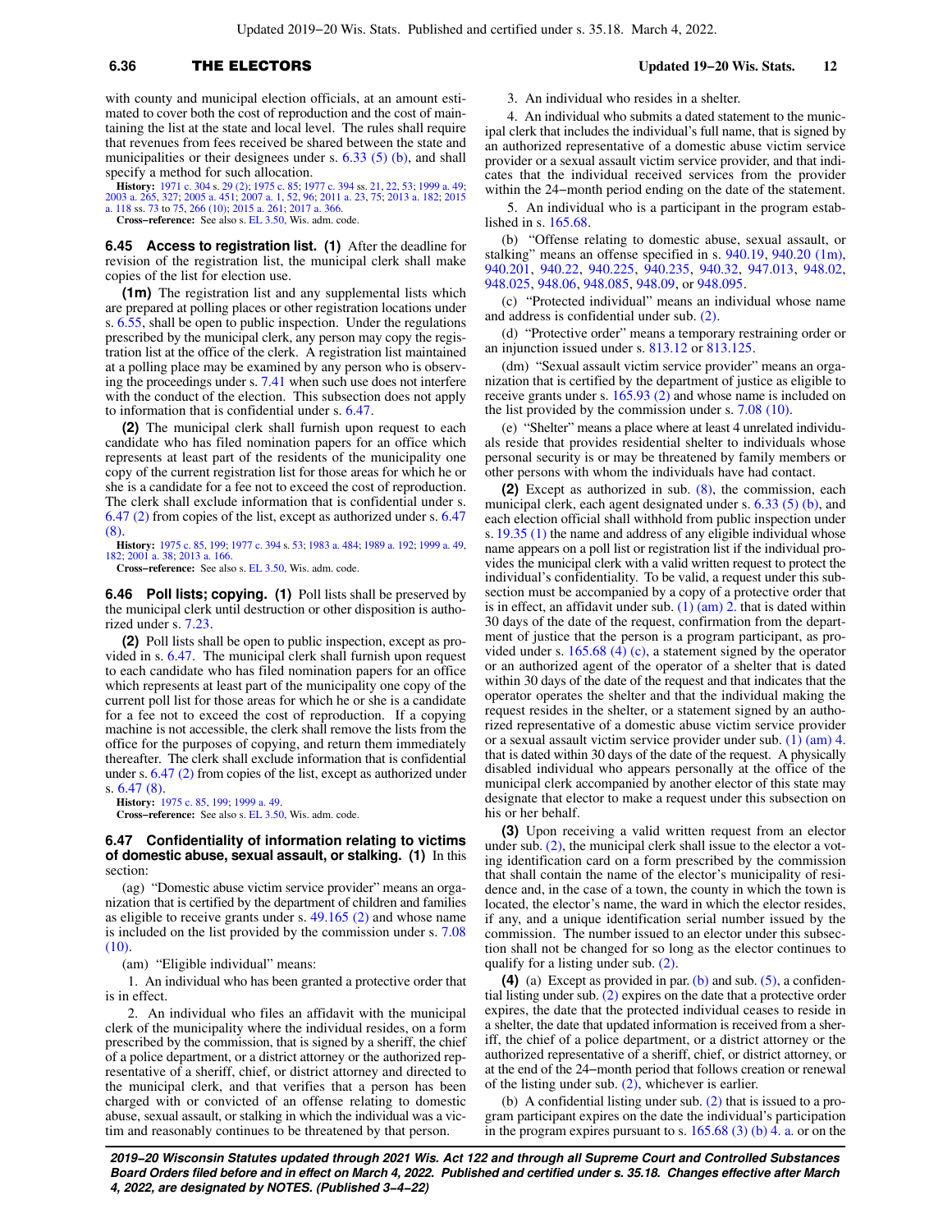# **6.36** THE ELECTORS **Updated 19−20 Wis. Stats. 12**

with county and municipal election officials, at an amount estimated to cover both the cost of reproduction and the cost of maintaining the list at the state and local level. The rules shall require that revenues from fees received be shared between the state and municipalities or their designees under s.  $6.33$  (5) (b), and shall specify a method for such allocation.

**History:** [1971 c. 304](https://docs-preview.legis.wisconsin.gov/document/acts/1971/304) s. [29 \(2\);](https://docs-preview.legis.wisconsin.gov/document/acts/1971/304,%20s.%2029) [1975 c. 85;](https://docs-preview.legis.wisconsin.gov/document/acts/1975/85) [1977 c. 394](https://docs-preview.legis.wisconsin.gov/document/acts/1977/394) ss. [21](https://docs-preview.legis.wisconsin.gov/document/acts/1977/394,%20s.%2021), [22](https://docs-preview.legis.wisconsin.gov/document/acts/1977/394,%20s.%2022), [53;](https://docs-preview.legis.wisconsin.gov/document/acts/1977/394,%20s.%2053) [1999 a. 49](https://docs-preview.legis.wisconsin.gov/document/acts/1999/49); [2003 a. 265,](https://docs-preview.legis.wisconsin.gov/document/acts/2003/265) [327;](https://docs-preview.legis.wisconsin.gov/document/acts/2003/327) [2005 a. 451](https://docs-preview.legis.wisconsin.gov/document/acts/2005/451); [2007 a. 1](https://docs-preview.legis.wisconsin.gov/document/acts/2007/1), [52,](https://docs-preview.legis.wisconsin.gov/document/acts/2007/52) [96](https://docs-preview.legis.wisconsin.gov/document/acts/2007/96); [2011 a. 23](https://docs-preview.legis.wisconsin.gov/document/acts/2011/23), [75;](https://docs-preview.legis.wisconsin.gov/document/acts/2011/75) [2013 a. 182](https://docs-preview.legis.wisconsin.gov/document/acts/2013/182); [2015](https://docs-preview.legis.wisconsin.gov/document/acts/2015/118) [a. 118](https://docs-preview.legis.wisconsin.gov/document/acts/2015/118) ss. [73](https://docs-preview.legis.wisconsin.gov/document/acts/2015/118,%20s.%2073) to [75](https://docs-preview.legis.wisconsin.gov/document/acts/2015/118,%20s.%2075), [266 \(10\);](https://docs-preview.legis.wisconsin.gov/document/acts/2015/118,%20s.%20266) [2015 a. 261;](https://docs-preview.legis.wisconsin.gov/document/acts/2015/261) [2017 a. 366](https://docs-preview.legis.wisconsin.gov/document/acts/2017/366).

**Cross−reference:** See also s. [EL 3.50,](https://docs-preview.legis.wisconsin.gov/document/administrativecode/EL%203.50) Wis. adm. code.

**6.45 Access to registration list. (1)** After the deadline for revision of the registration list, the municipal clerk shall make copies of the list for election use.

**(1m)** The registration list and any supplemental lists which are prepared at polling places or other registration locations under s. [6.55](https://docs-preview.legis.wisconsin.gov/document/statutes/6.55), shall be open to public inspection. Under the regulations prescribed by the municipal clerk, any person may copy the registration list at the office of the clerk. A registration list maintained at a polling place may be examined by any person who is observing the proceedings under s. [7.41](https://docs-preview.legis.wisconsin.gov/document/statutes/7.41) when such use does not interfere with the conduct of the election. This subsection does not apply to information that is confidential under s. [6.47](https://docs-preview.legis.wisconsin.gov/document/statutes/6.47).

**(2)** The municipal clerk shall furnish upon request to each candidate who has filed nomination papers for an office which represents at least part of the residents of the municipality one copy of the current registration list for those areas for which he or she is a candidate for a fee not to exceed the cost of reproduction. The clerk shall exclude information that is confidential under s. [6.47 \(2\)](https://docs-preview.legis.wisconsin.gov/document/statutes/6.47(2)) from copies of the list, except as authorized under s. [6.47](https://docs-preview.legis.wisconsin.gov/document/statutes/6.47(8)) [\(8\)](https://docs-preview.legis.wisconsin.gov/document/statutes/6.47(8)).

**History:** [1975 c. 85](https://docs-preview.legis.wisconsin.gov/document/acts/1975/85), [199](https://docs-preview.legis.wisconsin.gov/document/acts/1975/199); [1977 c. 394](https://docs-preview.legis.wisconsin.gov/document/acts/1977/394) s. [53](https://docs-preview.legis.wisconsin.gov/document/acts/1977/394,%20s.%2053); [1983 a. 484;](https://docs-preview.legis.wisconsin.gov/document/acts/1983/484) [1989 a. 192](https://docs-preview.legis.wisconsin.gov/document/acts/1989/192); [1999 a. 49](https://docs-preview.legis.wisconsin.gov/document/acts/1999/49), [182](https://docs-preview.legis.wisconsin.gov/document/acts/1999/182); [2001 a. 38](https://docs-preview.legis.wisconsin.gov/document/acts/2001/38); [2013 a. 166](https://docs-preview.legis.wisconsin.gov/document/acts/2013/166).

**Cross−reference:** See also s. [EL 3.50,](https://docs-preview.legis.wisconsin.gov/document/administrativecode/EL%203.50) Wis. adm. code.

**6.46 Poll lists; copying. (1)** Poll lists shall be preserved by the municipal clerk until destruction or other disposition is authorized under s. [7.23.](https://docs-preview.legis.wisconsin.gov/document/statutes/7.23)

**(2)** Poll lists shall be open to public inspection, except as provided in s. [6.47.](https://docs-preview.legis.wisconsin.gov/document/statutes/6.47) The municipal clerk shall furnish upon request to each candidate who has filed nomination papers for an office which represents at least part of the municipality one copy of the current poll list for those areas for which he or she is a candidate for a fee not to exceed the cost of reproduction. If a copying machine is not accessible, the clerk shall remove the lists from the office for the purposes of copying, and return them immediately thereafter. The clerk shall exclude information that is confidential under s. [6.47 \(2\)](https://docs-preview.legis.wisconsin.gov/document/statutes/6.47(2)) from copies of the list, except as authorized under s. [6.47 \(8\)](https://docs-preview.legis.wisconsin.gov/document/statutes/6.47(8)).

**History:** [1975 c. 85,](https://docs-preview.legis.wisconsin.gov/document/acts/1975/85) [199;](https://docs-preview.legis.wisconsin.gov/document/acts/1975/199) [1999 a. 49](https://docs-preview.legis.wisconsin.gov/document/acts/1999/49). **Cross−reference:** See also s. [EL 3.50,](https://docs-preview.legis.wisconsin.gov/document/administrativecode/EL%203.50) Wis. adm. code.

#### **6.47 Confidentiality of information relating to victims of domestic abuse, sexual assault, or stalking. (1)** In this section:

(ag) "Domestic abuse victim service provider" means an organization that is certified by the department of children and families as eligible to receive grants under s. [49.165 \(2\)](https://docs-preview.legis.wisconsin.gov/document/statutes/49.165(2)) and whose name is included on the list provided by the commission under s. [7.08](https://docs-preview.legis.wisconsin.gov/document/statutes/7.08(10)) [\(10\).](https://docs-preview.legis.wisconsin.gov/document/statutes/7.08(10))

(am) "Eligible individual" means:

1. An individual who has been granted a protective order that is in effect.

2. An individual who files an affidavit with the municipal clerk of the municipality where the individual resides, on a form prescribed by the commission, that is signed by a sheriff, the chief of a police department, or a district attorney or the authorized representative of a sheriff, chief, or district attorney and directed to the municipal clerk, and that verifies that a person has been charged with or convicted of an offense relating to domestic abuse, sexual assault, or stalking in which the individual was a victim and reasonably continues to be threatened by that person.

3. An individual who resides in a shelter.

4. An individual who submits a dated statement to the municipal clerk that includes the individual's full name, that is signed by an authorized representative of a domestic abuse victim service provider or a sexual assault victim service provider, and that indicates that the individual received services from the provider within the 24−month period ending on the date of the statement.

5. An individual who is a participant in the program established in s. [165.68](https://docs-preview.legis.wisconsin.gov/document/statutes/165.68).

(b) "Offense relating to domestic abuse, sexual assault, or stalking" means an offense specified in s. [940.19,](https://docs-preview.legis.wisconsin.gov/document/statutes/940.19) [940.20 \(1m\),](https://docs-preview.legis.wisconsin.gov/document/statutes/940.20(1m)) [940.201](https://docs-preview.legis.wisconsin.gov/document/statutes/940.201), [940.22,](https://docs-preview.legis.wisconsin.gov/document/statutes/940.22) [940.225](https://docs-preview.legis.wisconsin.gov/document/statutes/940.225), [940.235](https://docs-preview.legis.wisconsin.gov/document/statutes/940.235), [940.32](https://docs-preview.legis.wisconsin.gov/document/statutes/940.32), [947.013,](https://docs-preview.legis.wisconsin.gov/document/statutes/947.013) [948.02,](https://docs-preview.legis.wisconsin.gov/document/statutes/948.02) [948.025](https://docs-preview.legis.wisconsin.gov/document/statutes/948.025), [948.06,](https://docs-preview.legis.wisconsin.gov/document/statutes/948.06) [948.085,](https://docs-preview.legis.wisconsin.gov/document/statutes/948.085) [948.09](https://docs-preview.legis.wisconsin.gov/document/statutes/948.09), or [948.095](https://docs-preview.legis.wisconsin.gov/document/statutes/948.095).

(c) "Protected individual" means an individual whose name and address is confidential under sub. [\(2\)](https://docs-preview.legis.wisconsin.gov/document/statutes/6.47(2)).

(d) "Protective order" means a temporary restraining order or an injunction issued under s. [813.12](https://docs-preview.legis.wisconsin.gov/document/statutes/813.12) or [813.125](https://docs-preview.legis.wisconsin.gov/document/statutes/813.125).

(dm) "Sexual assault victim service provider" means an organization that is certified by the department of justice as eligible to receive grants under s. [165.93 \(2\)](https://docs-preview.legis.wisconsin.gov/document/statutes/165.93(2)) and whose name is included on the list provided by the commission under s. [7.08 \(10\).](https://docs-preview.legis.wisconsin.gov/document/statutes/7.08(10))

(e) "Shelter" means a place where at least 4 unrelated individuals reside that provides residential shelter to individuals whose personal security is or may be threatened by family members or other persons with whom the individuals have had contact.

**(2)** Except as authorized in sub. [\(8\)](https://docs-preview.legis.wisconsin.gov/document/statutes/6.47(8)), the commission, each municipal clerk, each agent designated under s. [6.33 \(5\) \(b\),](https://docs-preview.legis.wisconsin.gov/document/statutes/6.33(5)(b)) and each election official shall withhold from public inspection under s. [19.35 \(1\)](https://docs-preview.legis.wisconsin.gov/document/statutes/19.35(1)) the name and address of any eligible individual whose name appears on a poll list or registration list if the individual provides the municipal clerk with a valid written request to protect the individual's confidentiality. To be valid, a request under this subsection must be accompanied by a copy of a protective order that is in effect, an affidavit under sub.  $(1)$   $(am)$  2. that is dated within 30 days of the date of the request, confirmation from the department of justice that the person is a program participant, as provided under s. [165.68 \(4\) \(c\),](https://docs-preview.legis.wisconsin.gov/document/statutes/165.68(4)(c)) a statement signed by the operator or an authorized agent of the operator of a shelter that is dated within 30 days of the date of the request and that indicates that the operator operates the shelter and that the individual making the request resides in the shelter, or a statement signed by an authorized representative of a domestic abuse victim service provider or a sexual assault victim service provider under sub. [\(1\) \(am\) 4.](https://docs-preview.legis.wisconsin.gov/document/statutes/6.47(1)(am)4.) that is dated within 30 days of the date of the request. A physically disabled individual who appears personally at the office of the municipal clerk accompanied by another elector of this state may designate that elector to make a request under this subsection on his or her behalf.

**(3)** Upon receiving a valid written request from an elector under sub.  $(2)$ , the municipal clerk shall issue to the elector a voting identification card on a form prescribed by the commission that shall contain the name of the elector's municipality of residence and, in the case of a town, the county in which the town is located, the elector's name, the ward in which the elector resides, if any, and a unique identification serial number issued by the commission. The number issued to an elector under this subsection shall not be changed for so long as the elector continues to qualify for a listing under sub. [\(2\)](https://docs-preview.legis.wisconsin.gov/document/statutes/6.47(2)).

**(4)** (a) Except as provided in par. [\(b\)](https://docs-preview.legis.wisconsin.gov/document/statutes/6.47(4)(b)) and sub. [\(5\),](https://docs-preview.legis.wisconsin.gov/document/statutes/6.47(5)) a confidential listing under sub. [\(2\)](https://docs-preview.legis.wisconsin.gov/document/statutes/6.47(2)) expires on the date that a protective order expires, the date that the protected individual ceases to reside in a shelter, the date that updated information is received from a sheriff, the chief of a police department, or a district attorney or the authorized representative of a sheriff, chief, or district attorney, or at the end of the 24−month period that follows creation or renewal of the listing under sub.  $(2)$ , whichever is earlier.

(b) A confidential listing under sub. [\(2\)](https://docs-preview.legis.wisconsin.gov/document/statutes/6.47(2)) that is issued to a program participant expires on the date the individual's participation in the program expires pursuant to s.  $165.68$  (3) (b) 4. a. or on the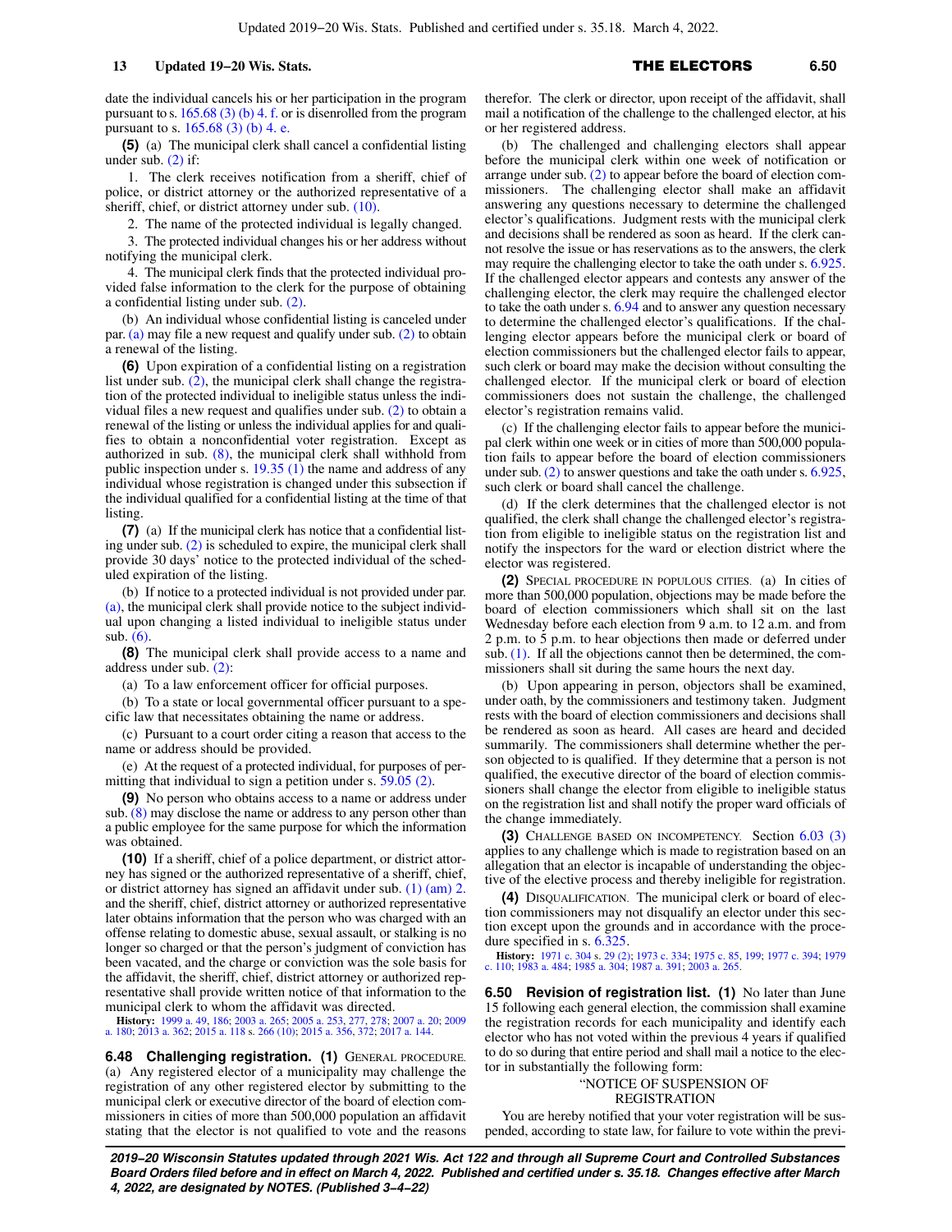date the individual cancels his or her participation in the program pursuant to s.  $165.68$  (3) (b) 4. f. or is disenrolled from the program pursuant to s. [165.68 \(3\) \(b\) 4. e.](https://docs-preview.legis.wisconsin.gov/document/statutes/165.68(3)(b)4.e.)

**(5)** (a) The municipal clerk shall cancel a confidential listing under sub.  $(2)$  if:

1. The clerk receives notification from a sheriff, chief of police, or district attorney or the authorized representative of a sheriff, chief, or district attorney under sub. [\(10\)](https://docs-preview.legis.wisconsin.gov/document/statutes/6.47(10)).

2. The name of the protected individual is legally changed.

3. The protected individual changes his or her address without notifying the municipal clerk.

4. The municipal clerk finds that the protected individual provided false information to the clerk for the purpose of obtaining a confidential listing under sub. [\(2\).](https://docs-preview.legis.wisconsin.gov/document/statutes/6.47(2))

(b) An individual whose confidential listing is canceled under par. [\(a\)](https://docs-preview.legis.wisconsin.gov/document/statutes/6.47(5)(a)) may file a new request and qualify under sub. [\(2\)](https://docs-preview.legis.wisconsin.gov/document/statutes/6.47(2)) to obtain a renewal of the listing.

**(6)** Upon expiration of a confidential listing on a registration list under sub. [\(2\),](https://docs-preview.legis.wisconsin.gov/document/statutes/6.47(2)) the municipal clerk shall change the registration of the protected individual to ineligible status unless the individual files a new request and qualifies under sub. [\(2\)](https://docs-preview.legis.wisconsin.gov/document/statutes/6.47(2)) to obtain a renewal of the listing or unless the individual applies for and qualifies to obtain a nonconfidential voter registration. Except as authorized in sub. [\(8\)](https://docs-preview.legis.wisconsin.gov/document/statutes/6.47(8)), the municipal clerk shall withhold from public inspection under s. [19.35 \(1\)](https://docs-preview.legis.wisconsin.gov/document/statutes/19.35(1)) the name and address of any individual whose registration is changed under this subsection if the individual qualified for a confidential listing at the time of that listing.

**(7)** (a) If the municipal clerk has notice that a confidential listing under sub. [\(2\)](https://docs-preview.legis.wisconsin.gov/document/statutes/6.47(2)) is scheduled to expire, the municipal clerk shall provide 30 days' notice to the protected individual of the scheduled expiration of the listing.

(b) If notice to a protected individual is not provided under par. [\(a\),](https://docs-preview.legis.wisconsin.gov/document/statutes/6.47(7)(a)) the municipal clerk shall provide notice to the subject individual upon changing a listed individual to ineligible status under sub. [\(6\)](https://docs-preview.legis.wisconsin.gov/document/statutes/6.47(6)).

**(8)** The municipal clerk shall provide access to a name and address under sub. [\(2\):](https://docs-preview.legis.wisconsin.gov/document/statutes/6.47(2))

(a) To a law enforcement officer for official purposes.

(b) To a state or local governmental officer pursuant to a specific law that necessitates obtaining the name or address.

(c) Pursuant to a court order citing a reason that access to the name or address should be provided.

(e) At the request of a protected individual, for purposes of permitting that individual to sign a petition under s. [59.05 \(2\).](https://docs-preview.legis.wisconsin.gov/document/statutes/59.05(2))

**(9)** No person who obtains access to a name or address under sub. [\(8\)](https://docs-preview.legis.wisconsin.gov/document/statutes/6.47(8)) may disclose the name or address to any person other than a public employee for the same purpose for which the information was obtained.

**(10)** If a sheriff, chief of a police department, or district attorney has signed or the authorized representative of a sheriff, chief, or district attorney has signed an affidavit under sub. [\(1\) \(am\) 2.](https://docs-preview.legis.wisconsin.gov/document/statutes/6.47(1)(am)2.) and the sheriff, chief, district attorney or authorized representative later obtains information that the person who was charged with an offense relating to domestic abuse, sexual assault, or stalking is no longer so charged or that the person's judgment of conviction has been vacated, and the charge or conviction was the sole basis for the affidavit, the sheriff, chief, district attorney or authorized representative shall provide written notice of that information to the municipal clerk to whom the affidavit was directed.

**History:** [1999 a. 49](https://docs-preview.legis.wisconsin.gov/document/acts/1999/49), [186](https://docs-preview.legis.wisconsin.gov/document/acts/1999/186); [2003 a. 265](https://docs-preview.legis.wisconsin.gov/document/acts/2003/265); [2005 a. 253,](https://docs-preview.legis.wisconsin.gov/document/acts/2005/253) [277,](https://docs-preview.legis.wisconsin.gov/document/acts/2005/277) [278;](https://docs-preview.legis.wisconsin.gov/document/acts/2005/278) [2007 a. 20](https://docs-preview.legis.wisconsin.gov/document/acts/2007/20); [2009](https://docs-preview.legis.wisconsin.gov/document/acts/2009/180) [a. 180;](https://docs-preview.legis.wisconsin.gov/document/acts/2009/180) [2013 a. 362;](https://docs-preview.legis.wisconsin.gov/document/acts/2013/362) [2015 a. 118](https://docs-preview.legis.wisconsin.gov/document/acts/2015/118) s. [266 \(10\);](https://docs-preview.legis.wisconsin.gov/document/acts/2015/118,%20s.%20266) [2015 a. 356,](https://docs-preview.legis.wisconsin.gov/document/acts/2015/356) [372;](https://docs-preview.legis.wisconsin.gov/document/acts/2015/372) [2017 a. 144](https://docs-preview.legis.wisconsin.gov/document/acts/2017/144).

**6.48 Challenging registration. (1)** GENERAL PROCEDURE. (a) Any registered elector of a municipality may challenge the registration of any other registered elector by submitting to the municipal clerk or executive director of the board of election commissioners in cities of more than 500,000 population an affidavit stating that the elector is not qualified to vote and the reasons therefor. The clerk or director, upon receipt of the affidavit, shall mail a notification of the challenge to the challenged elector, at his or her registered address.

(b) The challenged and challenging electors shall appear before the municipal clerk within one week of notification or arrange under sub. [\(2\)](https://docs-preview.legis.wisconsin.gov/document/statutes/6.48(2)) to appear before the board of election commissioners. The challenging elector shall make an affidavit answering any questions necessary to determine the challenged elector's qualifications. Judgment rests with the municipal clerk and decisions shall be rendered as soon as heard. If the clerk cannot resolve the issue or has reservations as to the answers, the clerk may require the challenging elector to take the oath under s. [6.925.](https://docs-preview.legis.wisconsin.gov/document/statutes/6.925) If the challenged elector appears and contests any answer of the challenging elector, the clerk may require the challenged elector to take the oath under s. [6.94](https://docs-preview.legis.wisconsin.gov/document/statutes/6.94) and to answer any question necessary to determine the challenged elector's qualifications. If the challenging elector appears before the municipal clerk or board of election commissioners but the challenged elector fails to appear, such clerk or board may make the decision without consulting the challenged elector. If the municipal clerk or board of election commissioners does not sustain the challenge, the challenged elector's registration remains valid.

(c) If the challenging elector fails to appear before the municipal clerk within one week or in cities of more than 500,000 population fails to appear before the board of election commissioners under sub. [\(2\)](https://docs-preview.legis.wisconsin.gov/document/statutes/6.48(2)) to answer questions and take the oath under s. [6.925,](https://docs-preview.legis.wisconsin.gov/document/statutes/6.925) such clerk or board shall cancel the challenge.

(d) If the clerk determines that the challenged elector is not qualified, the clerk shall change the challenged elector's registration from eligible to ineligible status on the registration list and notify the inspectors for the ward or election district where the elector was registered.

**(2)** SPECIAL PROCEDURE IN POPULOUS CITIES. (a) In cities of more than 500,000 population, objections may be made before the board of election commissioners which shall sit on the last Wednesday before each election from 9 a.m. to 12 a.m. and from 2 p.m. to 5 p.m. to hear objections then made or deferred under sub. [\(1\)](https://docs-preview.legis.wisconsin.gov/document/statutes/6.48(1)). If all the objections cannot then be determined, the commissioners shall sit during the same hours the next day.

(b) Upon appearing in person, objectors shall be examined, under oath, by the commissioners and testimony taken. Judgment rests with the board of election commissioners and decisions shall be rendered as soon as heard. All cases are heard and decided summarily. The commissioners shall determine whether the person objected to is qualified. If they determine that a person is not qualified, the executive director of the board of election commissioners shall change the elector from eligible to ineligible status on the registration list and shall notify the proper ward officials of the change immediately.

**(3)** CHALLENGE BASED ON INCOMPETENCY. Section [6.03 \(3\)](https://docs-preview.legis.wisconsin.gov/document/statutes/6.03(3)) applies to any challenge which is made to registration based on an allegation that an elector is incapable of understanding the objective of the elective process and thereby ineligible for registration.

**(4)** DISQUALIFICATION. The municipal clerk or board of election commissioners may not disqualify an elector under this section except upon the grounds and in accordance with the procedure specified in s. [6.325](https://docs-preview.legis.wisconsin.gov/document/statutes/6.325).

**History:** [1971 c. 304](https://docs-preview.legis.wisconsin.gov/document/acts/1971/304) s. [29 \(2\);](https://docs-preview.legis.wisconsin.gov/document/acts/1971/304,%20s.%2029) [1973 c. 334](https://docs-preview.legis.wisconsin.gov/document/acts/1973/334); [1975 c. 85,](https://docs-preview.legis.wisconsin.gov/document/acts/1975/85) [199;](https://docs-preview.legis.wisconsin.gov/document/acts/1975/199) [1977 c. 394;](https://docs-preview.legis.wisconsin.gov/document/acts/1977/394) [1979](https://docs-preview.legis.wisconsin.gov/document/acts/1979/110) [c. 110;](https://docs-preview.legis.wisconsin.gov/document/acts/1979/110) [1983 a. 484;](https://docs-preview.legis.wisconsin.gov/document/acts/1983/484) [1985 a. 304](https://docs-preview.legis.wisconsin.gov/document/acts/1985/304); [1987 a. 391;](https://docs-preview.legis.wisconsin.gov/document/acts/1987/391) [2003 a. 265.](https://docs-preview.legis.wisconsin.gov/document/acts/2003/265)

**6.50 Revision of registration list. (1)** No later than June 15 following each general election, the commission shall examine the registration records for each municipality and identify each elector who has not voted within the previous 4 years if qualified to do so during that entire period and shall mail a notice to the elector in substantially the following form:

### "NOTICE OF SUSPENSION OF REGISTRATION

You are hereby notified that your voter registration will be suspended, according to state law, for failure to vote within the previ-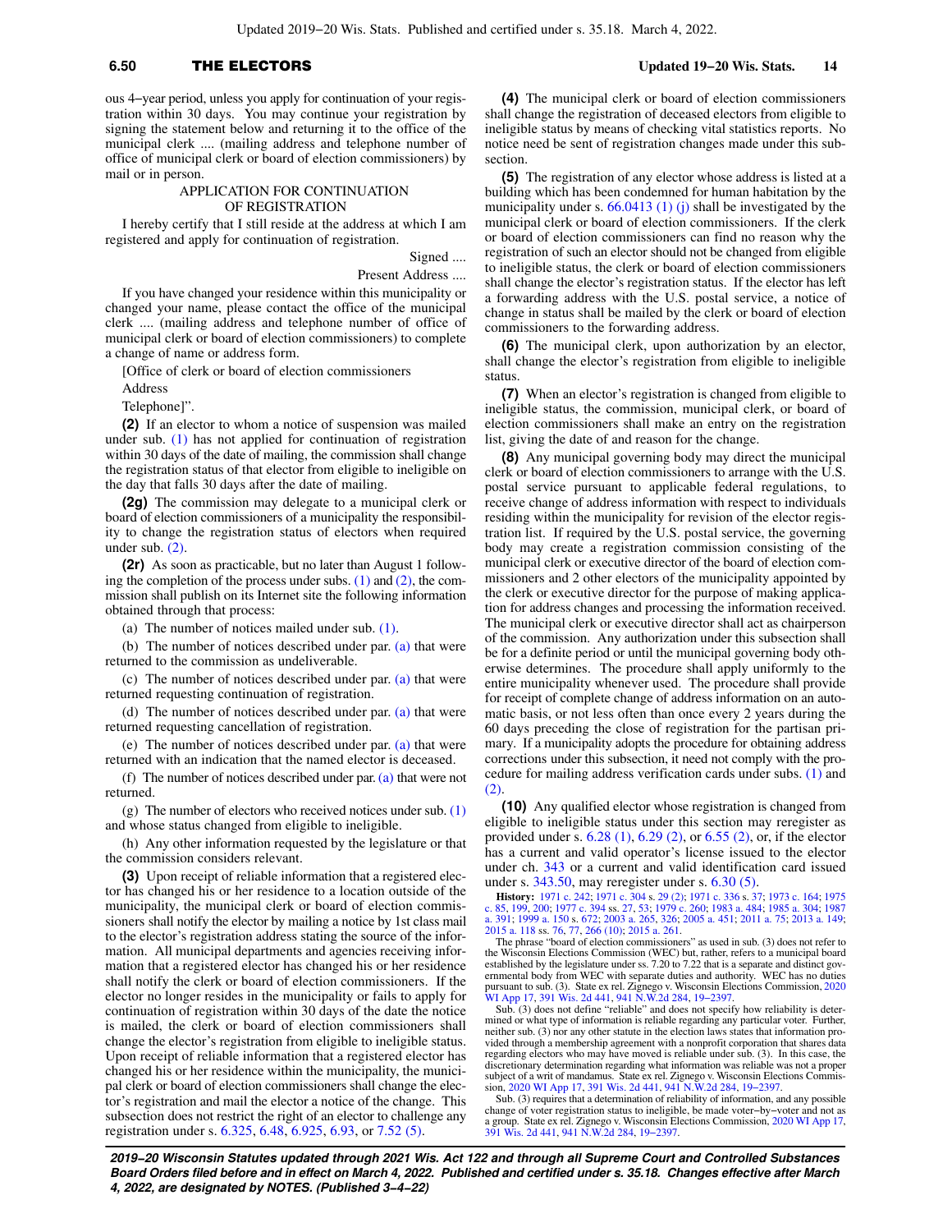# **6.50** THE ELECTORS **Updated 19−20 Wis. Stats. 14**

ous 4−year period, unless you apply for continuation of your registration within 30 days. You may continue your registration by signing the statement below and returning it to the office of the municipal clerk .... (mailing address and telephone number of office of municipal clerk or board of election commissioners) by mail or in person.

### APPLICATION FOR CONTINUATION OF REGISTRATION

I hereby certify that I still reside at the address at which I am registered and apply for continuation of registration.

> Signed .... Present Address ....

If you have changed your residence within this municipality or changed your name, please contact the office of the municipal clerk .... (mailing address and telephone number of office of municipal clerk or board of election commissioners) to complete a change of name or address form.

[Office of clerk or board of election commissioners

Address

Telephone]".

**(2)** If an elector to whom a notice of suspension was mailed under sub. [\(1\)](https://docs-preview.legis.wisconsin.gov/document/statutes/6.50(1)) has not applied for continuation of registration within 30 days of the date of mailing, the commission shall change the registration status of that elector from eligible to ineligible on the day that falls 30 days after the date of mailing.

**(2g)** The commission may delegate to a municipal clerk or board of election commissioners of a municipality the responsibility to change the registration status of electors when required under sub. [\(2\)](https://docs-preview.legis.wisconsin.gov/document/statutes/6.50(2)).

**(2r)** As soon as practicable, but no later than August 1 following the completion of the process under subs.  $(1)$  and  $(2)$ , the commission shall publish on its Internet site the following information obtained through that process:

(a) The number of notices mailed under sub. [\(1\).](https://docs-preview.legis.wisconsin.gov/document/statutes/6.50(1))

(b) The number of notices described under par. [\(a\)](https://docs-preview.legis.wisconsin.gov/document/statutes/6.50(2r)(a)) that were returned to the commission as undeliverable.

(c) The number of notices described under par. [\(a\)](https://docs-preview.legis.wisconsin.gov/document/statutes/6.50(2r)(a)) that were returned requesting continuation of registration.

(d) The number of notices described under par. [\(a\)](https://docs-preview.legis.wisconsin.gov/document/statutes/6.50(2r)(a)) that were returned requesting cancellation of registration.

(e) The number of notices described under par. [\(a\)](https://docs-preview.legis.wisconsin.gov/document/statutes/6.50(2r)(a)) that were returned with an indication that the named elector is deceased.

(f) The number of notices described under par. [\(a\)](https://docs-preview.legis.wisconsin.gov/document/statutes/6.50(2r)(a)) that were not returned.

(g) The number of electors who received notices under sub.  $(1)$ and whose status changed from eligible to ineligible.

(h) Any other information requested by the legislature or that the commission considers relevant.

**(3)** Upon receipt of reliable information that a registered elector has changed his or her residence to a location outside of the municipality, the municipal clerk or board of election commissioners shall notify the elector by mailing a notice by 1st class mail to the elector's registration address stating the source of the information. All municipal departments and agencies receiving information that a registered elector has changed his or her residence shall notify the clerk or board of election commissioners. If the elector no longer resides in the municipality or fails to apply for continuation of registration within 30 days of the date the notice is mailed, the clerk or board of election commissioners shall change the elector's registration from eligible to ineligible status. Upon receipt of reliable information that a registered elector has changed his or her residence within the municipality, the municipal clerk or board of election commissioners shall change the elector's registration and mail the elector a notice of the change. This subsection does not restrict the right of an elector to challenge any registration under s. [6.325,](https://docs-preview.legis.wisconsin.gov/document/statutes/6.325) [6.48,](https://docs-preview.legis.wisconsin.gov/document/statutes/6.48) [6.925,](https://docs-preview.legis.wisconsin.gov/document/statutes/6.925) [6.93](https://docs-preview.legis.wisconsin.gov/document/statutes/6.93), or [7.52 \(5\)](https://docs-preview.legis.wisconsin.gov/document/statutes/7.52(5)).

**(4)** The municipal clerk or board of election commissioners shall change the registration of deceased electors from eligible to ineligible status by means of checking vital statistics reports. No notice need be sent of registration changes made under this subsection.

**(5)** The registration of any elector whose address is listed at a building which has been condemned for human habitation by the municipality under s.  $66.0413$  (1) (j) shall be investigated by the municipal clerk or board of election commissioners. If the clerk or board of election commissioners can find no reason why the registration of such an elector should not be changed from eligible to ineligible status, the clerk or board of election commissioners shall change the elector's registration status. If the elector has left a forwarding address with the U.S. postal service, a notice of change in status shall be mailed by the clerk or board of election commissioners to the forwarding address.

**(6)** The municipal clerk, upon authorization by an elector, shall change the elector's registration from eligible to ineligible status.

**(7)** When an elector's registration is changed from eligible to ineligible status, the commission, municipal clerk, or board of election commissioners shall make an entry on the registration list, giving the date of and reason for the change.

**(8)** Any municipal governing body may direct the municipal clerk or board of election commissioners to arrange with the U.S. postal service pursuant to applicable federal regulations, to receive change of address information with respect to individuals residing within the municipality for revision of the elector registration list. If required by the U.S. postal service, the governing body may create a registration commission consisting of the municipal clerk or executive director of the board of election commissioners and 2 other electors of the municipality appointed by the clerk or executive director for the purpose of making application for address changes and processing the information received. The municipal clerk or executive director shall act as chairperson of the commission. Any authorization under this subsection shall be for a definite period or until the municipal governing body otherwise determines. The procedure shall apply uniformly to the entire municipality whenever used. The procedure shall provide for receipt of complete change of address information on an automatic basis, or not less often than once every 2 years during the 60 days preceding the close of registration for the partisan primary. If a municipality adopts the procedure for obtaining address corrections under this subsection, it need not comply with the procedure for mailing address verification cards under subs. [\(1\)](https://docs-preview.legis.wisconsin.gov/document/statutes/6.50(1)) and [\(2\).](https://docs-preview.legis.wisconsin.gov/document/statutes/6.50(2))

**(10)** Any qualified elector whose registration is changed from eligible to ineligible status under this section may reregister as provided under s. [6.28 \(1\)](https://docs-preview.legis.wisconsin.gov/document/statutes/6.28(1)), [6.29 \(2\)](https://docs-preview.legis.wisconsin.gov/document/statutes/6.29(2)), or [6.55 \(2\)](https://docs-preview.legis.wisconsin.gov/document/statutes/6.55(2)), or, if the elector has a current and valid operator's license issued to the elector under ch. [343](https://docs-preview.legis.wisconsin.gov/document/statutes/ch.%20343) or a current and valid identification card issued under s. [343.50,](https://docs-preview.legis.wisconsin.gov/document/statutes/343.50) may reregister under s. [6.30 \(5\)](https://docs-preview.legis.wisconsin.gov/document/statutes/6.30(5)).

**History:** [1971 c. 242;](https://docs-preview.legis.wisconsin.gov/document/acts/1971/242) [1971 c. 304](https://docs-preview.legis.wisconsin.gov/document/acts/1971/304) s. [29 \(2\);](https://docs-preview.legis.wisconsin.gov/document/acts/1971/304,%20s.%2029) [1971 c. 336](https://docs-preview.legis.wisconsin.gov/document/acts/1971/336) s. [37;](https://docs-preview.legis.wisconsin.gov/document/acts/1971/336,%20s.%2037) [1973 c. 164;](https://docs-preview.legis.wisconsin.gov/document/acts/1973/164) [1975](https://docs-preview.legis.wisconsin.gov/document/acts/1975/85)<br>[c. 85,](https://docs-preview.legis.wisconsin.gov/document/acts/1975/85) [199](https://docs-preview.legis.wisconsin.gov/document/acts/1975/199), [200](https://docs-preview.legis.wisconsin.gov/document/acts/1975/200); [1977 c. 394](https://docs-preview.legis.wisconsin.gov/document/acts/1977/394) ss. [27](https://docs-preview.legis.wisconsin.gov/document/acts/1977/394,%20s.%2027), [53;](https://docs-preview.legis.wisconsin.gov/document/acts/1977/394,%20s.%2053) [1979 c. 260](https://docs-preview.legis.wisconsin.gov/document/acts/1979/260); [1983 a. 484](https://docs-preview.legis.wisconsin.gov/document/acts/1983/484); [1985 a. 304;](https://docs-preview.legis.wisconsin.gov/document/acts/1985/304) [1987](https://docs-preview.legis.wisconsin.gov/document/acts/1987/391)<br>[a. 391](https://docs-preview.legis.wisconsin.gov/document/acts/1987/391); [1999 a. 150](https://docs-preview.legis.wisconsin.gov/document/acts/1999/150) s. [672;](https://docs-preview.legis.wisconsin.gov/document/acts/1999/150,%20s.%20672) [2003 a. 265,](https://docs-preview.legis.wisconsin.gov/document/acts/2003/265) [326;](https://docs-preview.legis.wisconsin.gov/document/acts/2003/326) 2005 a. [2015 a. 118](https://docs-preview.legis.wisconsin.gov/document/acts/2015/118) ss. [76](https://docs-preview.legis.wisconsin.gov/document/acts/2015/118,%20s.%2076), [77,](https://docs-preview.legis.wisconsin.gov/document/acts/2015/118,%20s.%2077) [266 \(10\)](https://docs-preview.legis.wisconsin.gov/document/acts/2015/118,%20s.%20266); [2015 a. 261](https://docs-preview.legis.wisconsin.gov/document/acts/2015/261). The phrase "board of election commissioners" as used in sub. (3) does not refer to

the Wisconsin Elections Commission (WEC) but, rather, refers to a municipal board established by the legislature under ss. 7.20 to 7.22 that is a separate and distinct governmental body from WEC with separate duties and authority. WEC has no duties pursuant to sub. (3). State ex rel. Zignego v. Wisconsin Elections Commission, [2020](https://docs-preview.legis.wisconsin.gov/document/courts/2020%20WI%20App%2017) [WI App 17,](https://docs-preview.legis.wisconsin.gov/document/courts/2020%20WI%20App%2017) [391 Wis. 2d 441](https://docs-preview.legis.wisconsin.gov/document/courts/391%20Wis.%202d%20441), [941 N.W.2d 284,](https://docs-preview.legis.wisconsin.gov/document/courts/941%20N.W.2d%20284) [19−2397.](https://docs-preview.legis.wisconsin.gov/document/wicourtofappeals/19-2397)

Sub. (3) does not define "reliable" and does not specify how reliability is determined or what type of information is reliable regarding any particular voter. Further, neither sub. (3) nor any other statute in the election laws states that information provided through a membership agreement with a nonprofit corporation that shares data regarding electors who may have moved is reliable under sub. (3). In this case, the discretionary determination regarding what information was reliable was not a proper subject of a writ of mandamus. State ex rel. Zignego v. Wisconsin Elections Commis-sion, [2020 WI App 17,](https://docs-preview.legis.wisconsin.gov/document/courts/2020%20WI%20App%2017) [391 Wis. 2d 441](https://docs-preview.legis.wisconsin.gov/document/courts/391%20Wis.%202d%20441), [941 N.W.2d 284,](https://docs-preview.legis.wisconsin.gov/document/courts/941%20N.W.2d%20284) [19−2397.](https://docs-preview.legis.wisconsin.gov/document/wicourtofappeals/19-2397)

Sub. (3) requires that a determination of reliability of information, and any possible change of voter registration status to ineligible, be made voter−by−voter and not as a group. State ex rel. Zignego v. Wisconsin Elections Commission, [2020 WI App 17](https://docs-preview.legis.wisconsin.gov/document/courts/2020%20WI%20App%2017), [391 Wis. 2d 441](https://docs-preview.legis.wisconsin.gov/document/courts/391%20Wis.%202d%20441), [941 N.W.2d 284,](https://docs-preview.legis.wisconsin.gov/document/courts/941%20N.W.2d%20284) [19−2397.](https://docs-preview.legis.wisconsin.gov/document/wicourtofappeals/19-2397)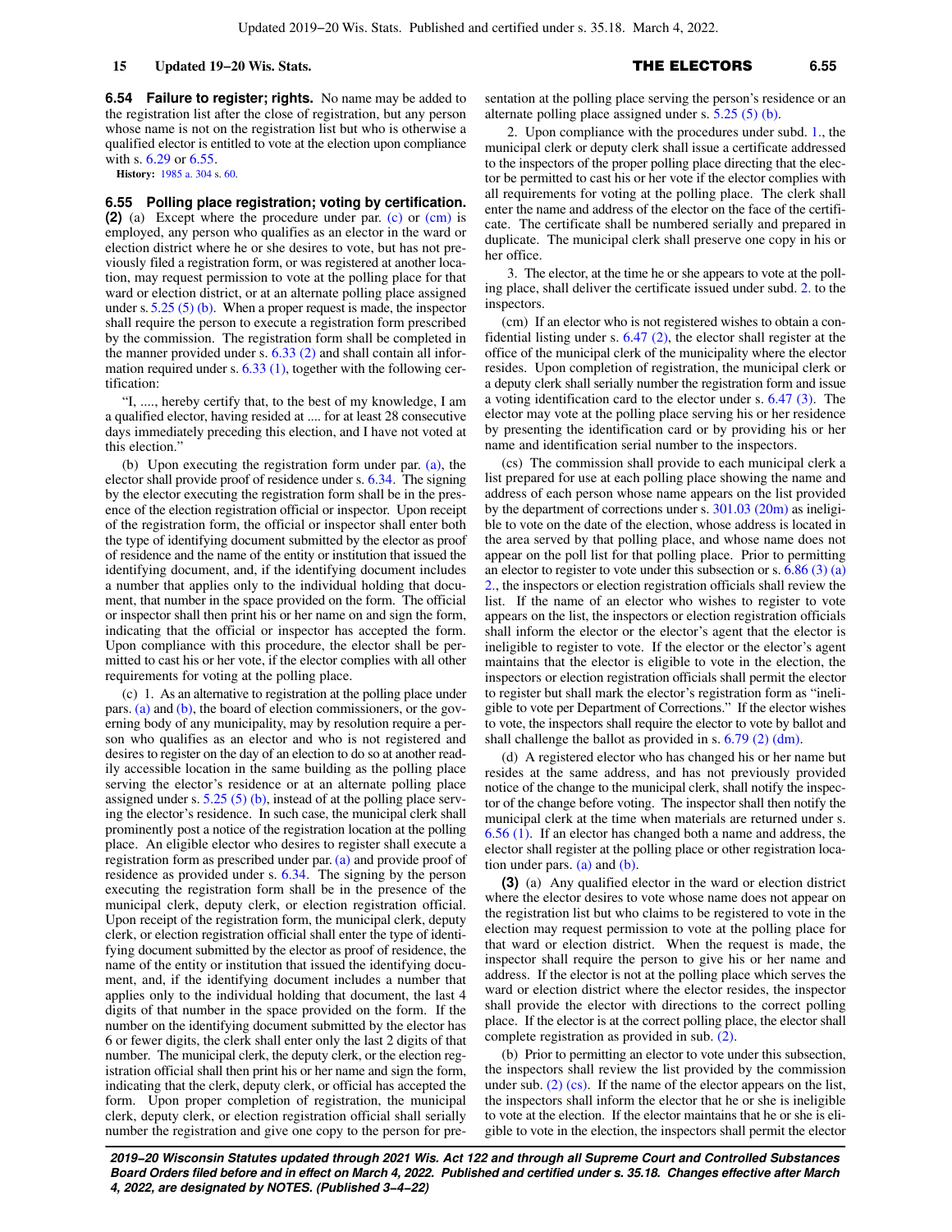**6.54 Failure to register; rights.** No name may be added to the registration list after the close of registration, but any person whose name is not on the registration list but who is otherwise a qualified elector is entitled to vote at the election upon compliance with s. [6.29](https://docs-preview.legis.wisconsin.gov/document/statutes/6.29) or [6.55.](https://docs-preview.legis.wisconsin.gov/document/statutes/6.55)

**History:** [1985 a. 304](https://docs-preview.legis.wisconsin.gov/document/acts/1985/304) s. [60](https://docs-preview.legis.wisconsin.gov/document/acts/1985/304,%20s.%2060).

**6.55 Polling place registration; voting by certification. (2)** (a) Except where the procedure under par. [\(c\)](https://docs-preview.legis.wisconsin.gov/document/statutes/6.55(2)(c)) or [\(cm\)](https://docs-preview.legis.wisconsin.gov/document/statutes/6.55(2)(cm)) is employed, any person who qualifies as an elector in the ward or election district where he or she desires to vote, but has not previously filed a registration form, or was registered at another location, may request permission to vote at the polling place for that ward or election district, or at an alternate polling place assigned under s.  $5.25(5)(b)$ . When a proper request is made, the inspector shall require the person to execute a registration form prescribed by the commission. The registration form shall be completed in the manner provided under s.  $6.33$  (2) and shall contain all information required under s. [6.33 \(1\),](https://docs-preview.legis.wisconsin.gov/document/statutes/6.33(1)) together with the following certification:

"I, ...., hereby certify that, to the best of my knowledge, I am a qualified elector, having resided at .... for at least 28 consecutive days immediately preceding this election, and I have not voted at this election."

(b) Upon executing the registration form under par.  $(a)$ , the elector shall provide proof of residence under s. [6.34.](https://docs-preview.legis.wisconsin.gov/document/statutes/6.34) The signing by the elector executing the registration form shall be in the presence of the election registration official or inspector. Upon receipt of the registration form, the official or inspector shall enter both the type of identifying document submitted by the elector as proof of residence and the name of the entity or institution that issued the identifying document, and, if the identifying document includes a number that applies only to the individual holding that document, that number in the space provided on the form. The official or inspector shall then print his or her name on and sign the form, indicating that the official or inspector has accepted the form. Upon compliance with this procedure, the elector shall be permitted to cast his or her vote, if the elector complies with all other requirements for voting at the polling place.

(c) 1. As an alternative to registration at the polling place under pars. [\(a\)](https://docs-preview.legis.wisconsin.gov/document/statutes/6.55(2)(a)) and [\(b\)](https://docs-preview.legis.wisconsin.gov/document/statutes/6.55(2)(b)), the board of election commissioners, or the governing body of any municipality, may by resolution require a person who qualifies as an elector and who is not registered and desires to register on the day of an election to do so at another readily accessible location in the same building as the polling place serving the elector's residence or at an alternate polling place assigned under s.  $5.25(5)(b)$ , instead of at the polling place serving the elector's residence. In such case, the municipal clerk shall prominently post a notice of the registration location at the polling place. An eligible elector who desires to register shall execute a registration form as prescribed under par. [\(a\)](https://docs-preview.legis.wisconsin.gov/document/statutes/6.55(2)(a)) and provide proof of residence as provided under s. [6.34](https://docs-preview.legis.wisconsin.gov/document/statutes/6.34). The signing by the person executing the registration form shall be in the presence of the municipal clerk, deputy clerk, or election registration official. Upon receipt of the registration form, the municipal clerk, deputy clerk, or election registration official shall enter the type of identifying document submitted by the elector as proof of residence, the name of the entity or institution that issued the identifying document, and, if the identifying document includes a number that applies only to the individual holding that document, the last 4 digits of that number in the space provided on the form. If the number on the identifying document submitted by the elector has 6 or fewer digits, the clerk shall enter only the last 2 digits of that number. The municipal clerk, the deputy clerk, or the election registration official shall then print his or her name and sign the form, indicating that the clerk, deputy clerk, or official has accepted the form. Upon proper completion of registration, the municipal clerk, deputy clerk, or election registration official shall serially number the registration and give one copy to the person for presentation at the polling place serving the person's residence or an alternate polling place assigned under s. [5.25 \(5\) \(b\).](https://docs-preview.legis.wisconsin.gov/document/statutes/5.25(5)(b))

2. Upon compliance with the procedures under subd. [1.,](https://docs-preview.legis.wisconsin.gov/document/statutes/6.55(2)(c)1.) the municipal clerk or deputy clerk shall issue a certificate addressed to the inspectors of the proper polling place directing that the elector be permitted to cast his or her vote if the elector complies with all requirements for voting at the polling place. The clerk shall enter the name and address of the elector on the face of the certificate. The certificate shall be numbered serially and prepared in duplicate. The municipal clerk shall preserve one copy in his or her office.

3. The elector, at the time he or she appears to vote at the polling place, shall deliver the certificate issued under subd. [2.](https://docs-preview.legis.wisconsin.gov/document/statutes/6.55(2)(c)2.) to the inspectors.

(cm) If an elector who is not registered wishes to obtain a confidential listing under s. [6.47 \(2\),](https://docs-preview.legis.wisconsin.gov/document/statutes/6.47(2)) the elector shall register at the office of the municipal clerk of the municipality where the elector resides. Upon completion of registration, the municipal clerk or a deputy clerk shall serially number the registration form and issue a voting identification card to the elector under s. [6.47 \(3\).](https://docs-preview.legis.wisconsin.gov/document/statutes/6.47(3)) The elector may vote at the polling place serving his or her residence by presenting the identification card or by providing his or her name and identification serial number to the inspectors.

(cs) The commission shall provide to each municipal clerk a list prepared for use at each polling place showing the name and address of each person whose name appears on the list provided by the department of corrections under s. [301.03 \(20m\)](https://docs-preview.legis.wisconsin.gov/document/statutes/301.03(20m)) as ineligible to vote on the date of the election, whose address is located in the area served by that polling place, and whose name does not appear on the poll list for that polling place. Prior to permitting an elector to register to vote under this subsection or s.  $6.86$  (3) (a) [2.,](https://docs-preview.legis.wisconsin.gov/document/statutes/6.86(3)(a)2.) the inspectors or election registration officials shall review the list. If the name of an elector who wishes to register to vote appears on the list, the inspectors or election registration officials shall inform the elector or the elector's agent that the elector is ineligible to register to vote. If the elector or the elector's agent maintains that the elector is eligible to vote in the election, the inspectors or election registration officials shall permit the elector to register but shall mark the elector's registration form as "ineligible to vote per Department of Corrections." If the elector wishes to vote, the inspectors shall require the elector to vote by ballot and shall challenge the ballot as provided in s. [6.79 \(2\) \(dm\).](https://docs-preview.legis.wisconsin.gov/document/statutes/6.79(2)(dm))

(d) A registered elector who has changed his or her name but resides at the same address, and has not previously provided notice of the change to the municipal clerk, shall notify the inspector of the change before voting. The inspector shall then notify the municipal clerk at the time when materials are returned under s. [6.56 \(1\).](https://docs-preview.legis.wisconsin.gov/document/statutes/6.56(1)) If an elector has changed both a name and address, the elector shall register at the polling place or other registration location under pars. [\(a\)](https://docs-preview.legis.wisconsin.gov/document/statutes/6.55(2)(a)) and [\(b\)](https://docs-preview.legis.wisconsin.gov/document/statutes/6.55(2)(b)).

**(3)** (a) Any qualified elector in the ward or election district where the elector desires to vote whose name does not appear on the registration list but who claims to be registered to vote in the election may request permission to vote at the polling place for that ward or election district. When the request is made, the inspector shall require the person to give his or her name and address. If the elector is not at the polling place which serves the ward or election district where the elector resides, the inspector shall provide the elector with directions to the correct polling place. If the elector is at the correct polling place, the elector shall complete registration as provided in sub. [\(2\)](https://docs-preview.legis.wisconsin.gov/document/statutes/6.55(2)).

(b) Prior to permitting an elector to vote under this subsection, the inspectors shall review the list provided by the commission under sub. [\(2\) \(cs\).](https://docs-preview.legis.wisconsin.gov/document/statutes/6.55(2)(cs)) If the name of the elector appears on the list, the inspectors shall inform the elector that he or she is ineligible to vote at the election. If the elector maintains that he or she is eligible to vote in the election, the inspectors shall permit the elector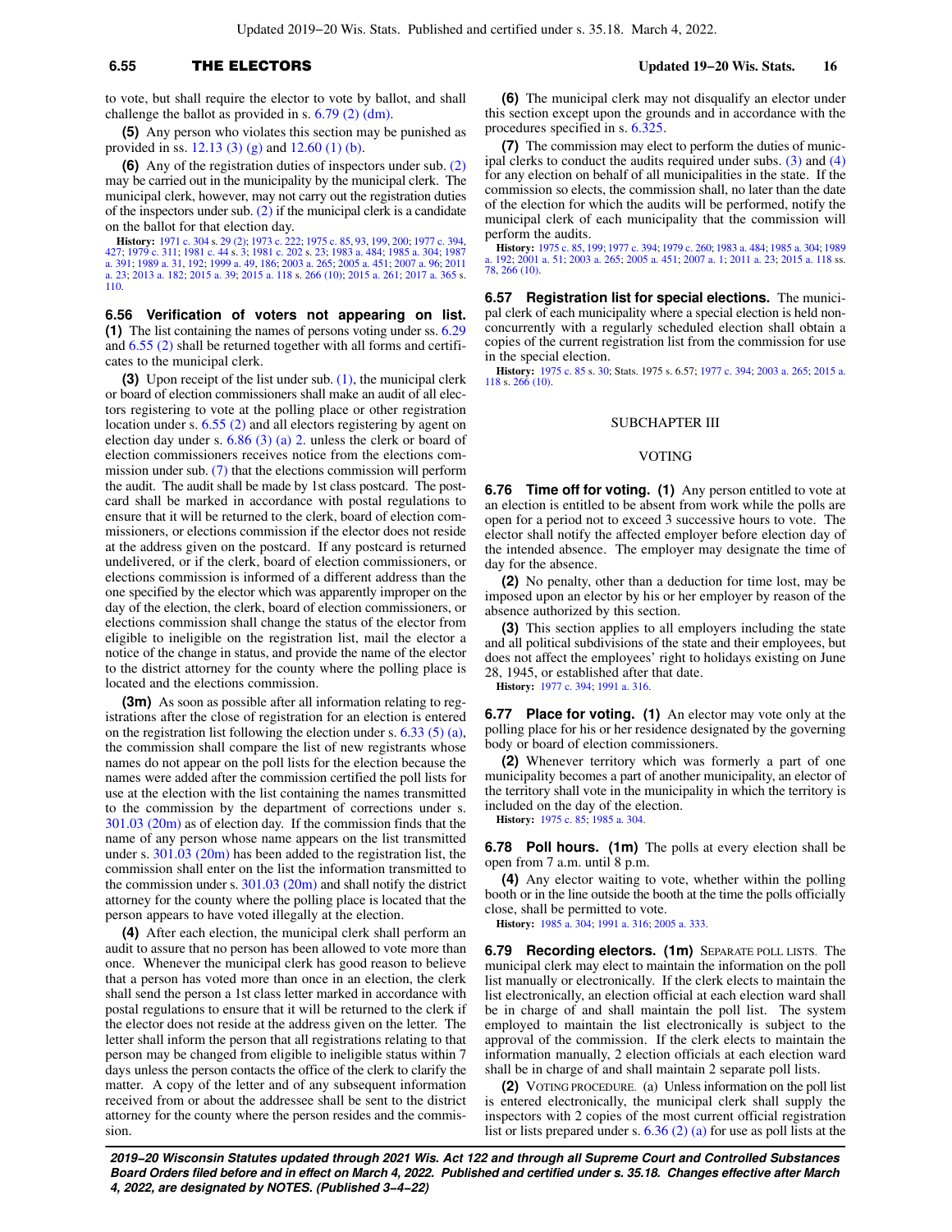# **6.55** THE ELECTORS **Updated 19−20 Wis. Stats. 16**

to vote, but shall require the elector to vote by ballot, and shall challenge the ballot as provided in s. [6.79 \(2\) \(dm\)](https://docs-preview.legis.wisconsin.gov/document/statutes/6.79(2)(dm)).

**(5)** Any person who violates this section may be punished as provided in ss. [12.13 \(3\) \(g\)](https://docs-preview.legis.wisconsin.gov/document/statutes/12.13(3)(g)) and [12.60 \(1\) \(b\).](https://docs-preview.legis.wisconsin.gov/document/statutes/12.60(1)(b))

**(6)** Any of the registration duties of inspectors under sub. [\(2\)](https://docs-preview.legis.wisconsin.gov/document/statutes/6.55(2)) may be carried out in the municipality by the municipal clerk. The municipal clerk, however, may not carry out the registration duties of the inspectors under sub.  $(2)$  if the municipal clerk is a candidate on the ballot for that election day.

**History:** [1971 c. 304](https://docs-preview.legis.wisconsin.gov/document/acts/1971/304) s. [29 \(2\)](https://docs-preview.legis.wisconsin.gov/document/acts/1971/304,%20s.%2029); [1973 c. 222;](https://docs-preview.legis.wisconsin.gov/document/acts/1973/222) [1975 c. 85](https://docs-preview.legis.wisconsin.gov/document/acts/1975/85), [93,](https://docs-preview.legis.wisconsin.gov/document/acts/1975/93) [199](https://docs-preview.legis.wisconsin.gov/document/acts/1975/199), [200;](https://docs-preview.legis.wisconsin.gov/document/acts/1975/200) [1977 c. 394](https://docs-preview.legis.wisconsin.gov/document/acts/1977/394), [427](https://docs-preview.legis.wisconsin.gov/document/acts/1977/427); [1979 c. 311](https://docs-preview.legis.wisconsin.gov/document/acts/1979/311); [1981 c. 44](https://docs-preview.legis.wisconsin.gov/document/acts/1981/44) s. [3](https://docs-preview.legis.wisconsin.gov/document/acts/1981/44,%20s.%203); [1981 c. 202](https://docs-preview.legis.wisconsin.gov/document/acts/1981/202) s. [23;](https://docs-preview.legis.wisconsin.gov/document/acts/1981/202,%20s.%2023) [1983 a. 484;](https://docs-preview.legis.wisconsin.gov/document/acts/1983/484) [1985 a. 304](https://docs-preview.legis.wisconsin.gov/document/acts/1985/304); [1987](https://docs-preview.legis.wisconsin.gov/document/acts/1987/391) [a. 391;](https://docs-preview.legis.wisconsin.gov/document/acts/1987/391) [1989 a. 31](https://docs-preview.legis.wisconsin.gov/document/acts/1989/31), [192](https://docs-preview.legis.wisconsin.gov/document/acts/1989/192); [1999 a. 49,](https://docs-preview.legis.wisconsin.gov/document/acts/1999/49) [186;](https://docs-preview.legis.wisconsin.gov/document/acts/1999/186) [2003 a. 265](https://docs-preview.legis.wisconsin.gov/document/acts/2003/265); [2005 a. 451](https://docs-preview.legis.wisconsin.gov/document/acts/2005/451); [2007 a. 96;](https://docs-preview.legis.wisconsin.gov/document/acts/2007/96) [2011](https://docs-preview.legis.wisconsin.gov/document/acts/2011/23) [a. 23](https://docs-preview.legis.wisconsin.gov/document/acts/2011/23); [2013 a. 182](https://docs-preview.legis.wisconsin.gov/document/acts/2013/182); [2015 a. 39;](https://docs-preview.legis.wisconsin.gov/document/acts/2015/39) [2015 a. 118](https://docs-preview.legis.wisconsin.gov/document/acts/2015/118) s. [266 \(10\)](https://docs-preview.legis.wisconsin.gov/document/acts/2015/118,%20s.%20266); [2015 a. 261;](https://docs-preview.legis.wisconsin.gov/document/acts/2015/261) [2017 a. 365](https://docs-preview.legis.wisconsin.gov/document/acts/2017/365) s. [110](https://docs-preview.legis.wisconsin.gov/document/acts/2017/365,%20s.%20110).

**6.56 Verification of voters not appearing on list. (1)** The list containing the names of persons voting under ss. [6.29](https://docs-preview.legis.wisconsin.gov/document/statutes/6.29) and [6.55 \(2\)](https://docs-preview.legis.wisconsin.gov/document/statutes/6.55(2)) shall be returned together with all forms and certificates to the municipal clerk.

**(3)** Upon receipt of the list under sub. [\(1\)](https://docs-preview.legis.wisconsin.gov/document/statutes/6.56(1)), the municipal clerk or board of election commissioners shall make an audit of all electors registering to vote at the polling place or other registration location under s. [6.55 \(2\)](https://docs-preview.legis.wisconsin.gov/document/statutes/6.55(2)) and all electors registering by agent on election day under s.  $6.86$  (3) (a) 2. unless the clerk or board of election commissioners receives notice from the elections commission under sub. [\(7\)](https://docs-preview.legis.wisconsin.gov/document/statutes/6.56(7)) that the elections commission will perform the audit. The audit shall be made by 1st class postcard. The postcard shall be marked in accordance with postal regulations to ensure that it will be returned to the clerk, board of election commissioners, or elections commission if the elector does not reside at the address given on the postcard. If any postcard is returned undelivered, or if the clerk, board of election commissioners, or elections commission is informed of a different address than the one specified by the elector which was apparently improper on the day of the election, the clerk, board of election commissioners, or elections commission shall change the status of the elector from eligible to ineligible on the registration list, mail the elector a notice of the change in status, and provide the name of the elector to the district attorney for the county where the polling place is located and the elections commission.

**(3m)** As soon as possible after all information relating to registrations after the close of registration for an election is entered on the registration list following the election under s.  $6.33(5)(a)$ , the commission shall compare the list of new registrants whose names do not appear on the poll lists for the election because the names were added after the commission certified the poll lists for use at the election with the list containing the names transmitted to the commission by the department of corrections under s. [301.03 \(20m\)](https://docs-preview.legis.wisconsin.gov/document/statutes/301.03(20m)) as of election day. If the commission finds that the name of any person whose name appears on the list transmitted under s. [301.03 \(20m\)](https://docs-preview.legis.wisconsin.gov/document/statutes/301.03(20m)) has been added to the registration list, the commission shall enter on the list the information transmitted to the commission under s. [301.03 \(20m\)](https://docs-preview.legis.wisconsin.gov/document/statutes/301.03(20m)) and shall notify the district attorney for the county where the polling place is located that the person appears to have voted illegally at the election.

**(4)** After each election, the municipal clerk shall perform an audit to assure that no person has been allowed to vote more than once. Whenever the municipal clerk has good reason to believe that a person has voted more than once in an election, the clerk shall send the person a 1st class letter marked in accordance with postal regulations to ensure that it will be returned to the clerk if the elector does not reside at the address given on the letter. The letter shall inform the person that all registrations relating to that person may be changed from eligible to ineligible status within 7 days unless the person contacts the office of the clerk to clarify the matter. A copy of the letter and of any subsequent information received from or about the addressee shall be sent to the district attorney for the county where the person resides and the commission.

**(6)** The municipal clerk may not disqualify an elector under this section except upon the grounds and in accordance with the procedures specified in s. [6.325.](https://docs-preview.legis.wisconsin.gov/document/statutes/6.325)

**(7)** The commission may elect to perform the duties of municipal clerks to conduct the audits required under subs. [\(3\)](https://docs-preview.legis.wisconsin.gov/document/statutes/6.56(3)) and [\(4\)](https://docs-preview.legis.wisconsin.gov/document/statutes/6.56(4)) for any election on behalf of all municipalities in the state. If the commission so elects, the commission shall, no later than the date of the election for which the audits will be performed, notify the municipal clerk of each municipality that the commission will perform the audits.

**History:** [1975 c. 85,](https://docs-preview.legis.wisconsin.gov/document/acts/1975/85) [199](https://docs-preview.legis.wisconsin.gov/document/acts/1975/199); [1977 c. 394;](https://docs-preview.legis.wisconsin.gov/document/acts/1977/394) [1979 c. 260;](https://docs-preview.legis.wisconsin.gov/document/acts/1979/260) [1983 a. 484](https://docs-preview.legis.wisconsin.gov/document/acts/1983/484); [1985 a. 304](https://docs-preview.legis.wisconsin.gov/document/acts/1985/304); [1989](https://docs-preview.legis.wisconsin.gov/document/acts/1989/192) [a. 192](https://docs-preview.legis.wisconsin.gov/document/acts/1989/192); [2001 a. 51;](https://docs-preview.legis.wisconsin.gov/document/acts/2001/51) [2003 a. 265](https://docs-preview.legis.wisconsin.gov/document/acts/2003/265); [2005 a. 451](https://docs-preview.legis.wisconsin.gov/document/acts/2005/451); [2007 a. 1;](https://docs-preview.legis.wisconsin.gov/document/acts/2007/1) [2011 a. 23;](https://docs-preview.legis.wisconsin.gov/document/acts/2011/23) [2015 a. 118](https://docs-preview.legis.wisconsin.gov/document/acts/2015/118) ss. [78](https://docs-preview.legis.wisconsin.gov/document/acts/2015/118,%20s.%2078), [266 \(10\).](https://docs-preview.legis.wisconsin.gov/document/acts/2015/118,%20s.%20266)

**6.57 Registration list for special elections.** The municipal clerk of each municipality where a special election is held nonconcurrently with a regularly scheduled election shall obtain a copies of the current registration list from the commission for use in the special election.

**History:** [1975 c. 85](https://docs-preview.legis.wisconsin.gov/document/acts/1975/85) s. [30;](https://docs-preview.legis.wisconsin.gov/document/acts/1975/85,%20s.%2030) Stats. 1975 s. 6.57; [1977 c. 394](https://docs-preview.legis.wisconsin.gov/document/acts/1977/394); [2003 a. 265;](https://docs-preview.legis.wisconsin.gov/document/acts/2003/265) [2015 a.](https://docs-preview.legis.wisconsin.gov/document/acts/2015/118) [118](https://docs-preview.legis.wisconsin.gov/document/acts/2015/118) s. [266 \(10\)](https://docs-preview.legis.wisconsin.gov/document/acts/2015/118,%20s.%20266).

#### SUBCHAPTER III

#### VOTING

**6.76 Time off for voting. (1)** Any person entitled to vote at an election is entitled to be absent from work while the polls are open for a period not to exceed 3 successive hours to vote. The elector shall notify the affected employer before election day of the intended absence. The employer may designate the time of day for the absence.

**(2)** No penalty, other than a deduction for time lost, may be imposed upon an elector by his or her employer by reason of the absence authorized by this section.

**(3)** This section applies to all employers including the state and all political subdivisions of the state and their employees, but does not affect the employees' right to holidays existing on June 28, 1945, or established after that date.

**History:** [1977 c. 394;](https://docs-preview.legis.wisconsin.gov/document/acts/1977/394) [1991 a. 316](https://docs-preview.legis.wisconsin.gov/document/acts/1991/316).

**6.77 Place for voting. (1)** An elector may vote only at the polling place for his or her residence designated by the governing body or board of election commissioners.

**(2)** Whenever territory which was formerly a part of one municipality becomes a part of another municipality, an elector of the territory shall vote in the municipality in which the territory is included on the day of the election.

**History:** [1975 c. 85](https://docs-preview.legis.wisconsin.gov/document/acts/1975/85); [1985 a. 304.](https://docs-preview.legis.wisconsin.gov/document/acts/1985/304)

**6.78 Poll hours. (1m)** The polls at every election shall be open from 7 a.m. until 8 p.m.

**(4)** Any elector waiting to vote, whether within the polling booth or in the line outside the booth at the time the polls officially close, shall be permitted to vote.

**History:** [1985 a. 304;](https://docs-preview.legis.wisconsin.gov/document/acts/1985/304) [1991 a. 316](https://docs-preview.legis.wisconsin.gov/document/acts/1991/316); [2005 a. 333.](https://docs-preview.legis.wisconsin.gov/document/acts/2005/333)

**6.79 Recording electors. (1m)** SEPARATE POLL LISTS. The municipal clerk may elect to maintain the information on the poll list manually or electronically. If the clerk elects to maintain the list electronically, an election official at each election ward shall be in charge of and shall maintain the poll list. The system employed to maintain the list electronically is subject to the approval of the commission. If the clerk elects to maintain the information manually, 2 election officials at each election ward shall be in charge of and shall maintain 2 separate poll lists.

**(2)** VOTING PROCEDURE. (a) Unless information on the poll list is entered electronically, the municipal clerk shall supply the inspectors with 2 copies of the most current official registration list or lists prepared under s. [6.36 \(2\) \(a\)](https://docs-preview.legis.wisconsin.gov/document/statutes/6.36(2)(a)) for use as poll lists at the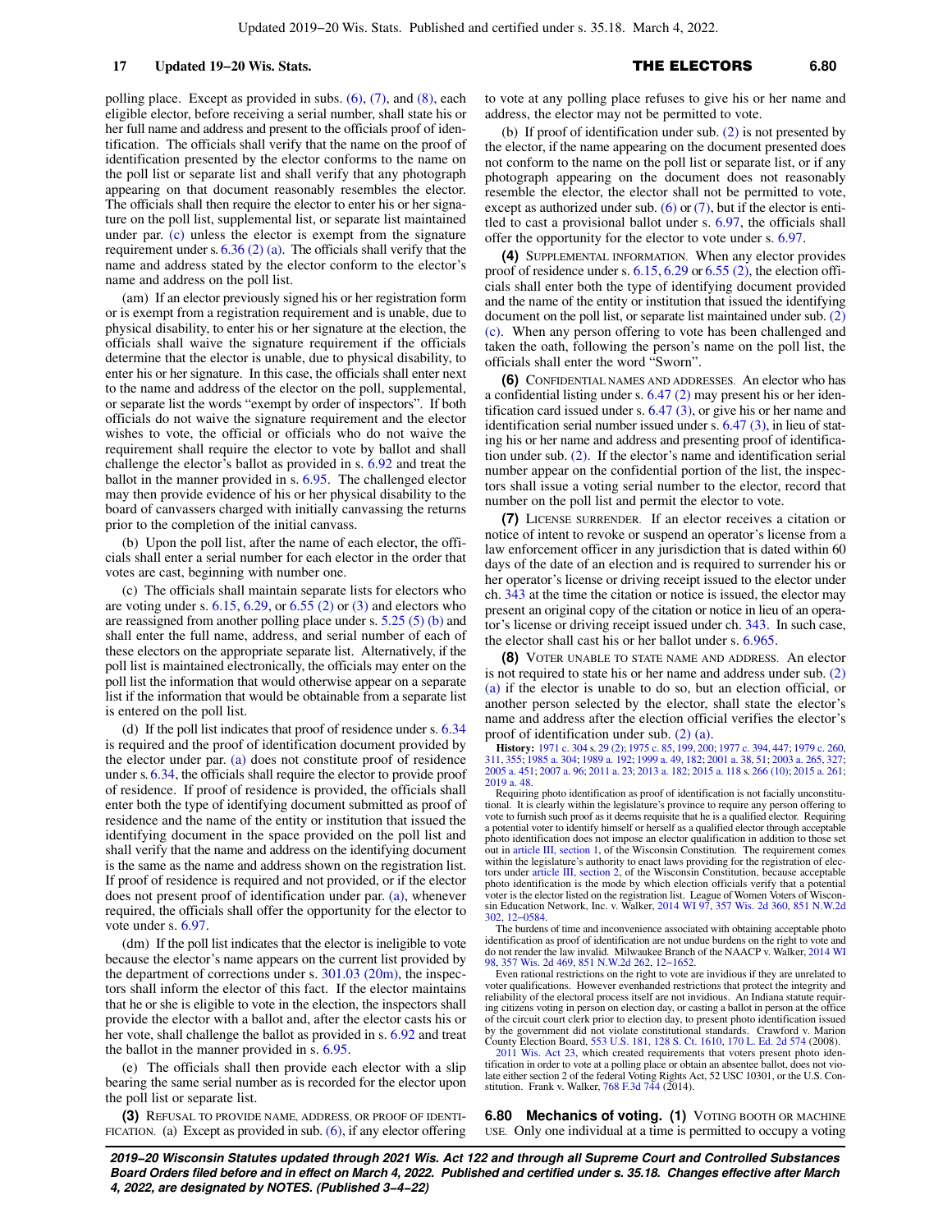# 17 **Updated 19−20 Wis. Stats. 17 17 17 <b>111 ELECTORS** 6.80

polling place. Except as provided in subs. [\(6\)](https://docs-preview.legis.wisconsin.gov/document/statutes/6.79(6)), [\(7\),](https://docs-preview.legis.wisconsin.gov/document/statutes/6.79(7)) and [\(8\),](https://docs-preview.legis.wisconsin.gov/document/statutes/6.79(8)) each eligible elector, before receiving a serial number, shall state his or her full name and address and present to the officials proof of identification. The officials shall verify that the name on the proof of identification presented by the elector conforms to the name on the poll list or separate list and shall verify that any photograph appearing on that document reasonably resembles the elector. The officials shall then require the elector to enter his or her signature on the poll list, supplemental list, or separate list maintained under par. [\(c\)](https://docs-preview.legis.wisconsin.gov/document/statutes/6.79(2)(c)) unless the elector is exempt from the signature requirement under s.  $6.36$  (2) (a). The officials shall verify that the name and address stated by the elector conform to the elector's name and address on the poll list.

(am) If an elector previously signed his or her registration form or is exempt from a registration requirement and is unable, due to physical disability, to enter his or her signature at the election, the officials shall waive the signature requirement if the officials determine that the elector is unable, due to physical disability, to enter his or her signature. In this case, the officials shall enter next to the name and address of the elector on the poll, supplemental, or separate list the words "exempt by order of inspectors". If both officials do not waive the signature requirement and the elector wishes to vote, the official or officials who do not waive the requirement shall require the elector to vote by ballot and shall challenge the elector's ballot as provided in s. [6.92](https://docs-preview.legis.wisconsin.gov/document/statutes/6.92) and treat the ballot in the manner provided in s. [6.95.](https://docs-preview.legis.wisconsin.gov/document/statutes/6.95) The challenged elector may then provide evidence of his or her physical disability to the board of canvassers charged with initially canvassing the returns prior to the completion of the initial canvass.

(b) Upon the poll list, after the name of each elector, the officials shall enter a serial number for each elector in the order that votes are cast, beginning with number one.

(c) The officials shall maintain separate lists for electors who are voting under s.  $6.15, 6.29$  $6.15, 6.29$ , or  $6.55$  (2) or [\(3\)](https://docs-preview.legis.wisconsin.gov/document/statutes/6.55(3)) and electors who are reassigned from another polling place under s. [5.25 \(5\) \(b\)](https://docs-preview.legis.wisconsin.gov/document/statutes/5.25(5)(b)) and shall enter the full name, address, and serial number of each of these electors on the appropriate separate list. Alternatively, if the poll list is maintained electronically, the officials may enter on the poll list the information that would otherwise appear on a separate list if the information that would be obtainable from a separate list is entered on the poll list.

(d) If the poll list indicates that proof of residence under s. [6.34](https://docs-preview.legis.wisconsin.gov/document/statutes/6.34) is required and the proof of identification document provided by the elector under par. [\(a\)](https://docs-preview.legis.wisconsin.gov/document/statutes/6.79(2)(a)) does not constitute proof of residence under s. [6.34,](https://docs-preview.legis.wisconsin.gov/document/statutes/6.34) the officials shall require the elector to provide proof of residence. If proof of residence is provided, the officials shall enter both the type of identifying document submitted as proof of residence and the name of the entity or institution that issued the identifying document in the space provided on the poll list and shall verify that the name and address on the identifying document is the same as the name and address shown on the registration list. If proof of residence is required and not provided, or if the elector does not present proof of identification under par. [\(a\)](https://docs-preview.legis.wisconsin.gov/document/statutes/6.79(2)(a)), whenever required, the officials shall offer the opportunity for the elector to vote under s. [6.97](https://docs-preview.legis.wisconsin.gov/document/statutes/6.97).

(dm) If the poll list indicates that the elector is ineligible to vote because the elector's name appears on the current list provided by the department of corrections under s.  $301.03$  (20m), the inspectors shall inform the elector of this fact. If the elector maintains that he or she is eligible to vote in the election, the inspectors shall provide the elector with a ballot and, after the elector casts his or her vote, shall challenge the ballot as provided in s. [6.92](https://docs-preview.legis.wisconsin.gov/document/statutes/6.92) and treat the ballot in the manner provided in s. [6.95.](https://docs-preview.legis.wisconsin.gov/document/statutes/6.95)

(e) The officials shall then provide each elector with a slip bearing the same serial number as is recorded for the elector upon the poll list or separate list.

**(3)** REFUSAL TO PROVIDE NAME, ADDRESS, OR PROOF OF IDENTI-FICATION. (a) Except as provided in sub.  $(6)$ , if any elector offering to vote at any polling place refuses to give his or her name and address, the elector may not be permitted to vote.

(b) If proof of identification under sub. [\(2\)](https://docs-preview.legis.wisconsin.gov/document/statutes/6.79(2)) is not presented by the elector, if the name appearing on the document presented does not conform to the name on the poll list or separate list, or if any photograph appearing on the document does not reasonably resemble the elector, the elector shall not be permitted to vote, except as authorized under sub.  $(6)$  or  $(7)$ , but if the elector is entitled to cast a provisional ballot under s. [6.97](https://docs-preview.legis.wisconsin.gov/document/statutes/6.97), the officials shall offer the opportunity for the elector to vote under s. [6.97](https://docs-preview.legis.wisconsin.gov/document/statutes/6.97).

**(4)** SUPPLEMENTAL INFORMATION. When any elector provides proof of residence under s.  $6.15, 6.29$  $6.15, 6.29$  $6.15, 6.29$  or  $6.55$  (2), the election officials shall enter both the type of identifying document provided and the name of the entity or institution that issued the identifying document on the poll list, or separate list maintained under sub. [\(2\)](https://docs-preview.legis.wisconsin.gov/document/statutes/6.79(2)(c)) [\(c\)](https://docs-preview.legis.wisconsin.gov/document/statutes/6.79(2)(c)). When any person offering to vote has been challenged and taken the oath, following the person's name on the poll list, the officials shall enter the word "Sworn".

**(6)** CONFIDENTIAL NAMES AND ADDRESSES. An elector who has a confidential listing under s. [6.47 \(2\)](https://docs-preview.legis.wisconsin.gov/document/statutes/6.47(2)) may present his or her identification card issued under s.  $6.47$  (3), or give his or her name and identification serial number issued under s. [6.47 \(3\),](https://docs-preview.legis.wisconsin.gov/document/statutes/6.47(3)) in lieu of stating his or her name and address and presenting proof of identification under sub. [\(2\).](https://docs-preview.legis.wisconsin.gov/document/statutes/6.79(2)) If the elector's name and identification serial number appear on the confidential portion of the list, the inspectors shall issue a voting serial number to the elector, record that number on the poll list and permit the elector to vote.

**(7)** LICENSE SURRENDER. If an elector receives a citation or notice of intent to revoke or suspend an operator's license from a law enforcement officer in any jurisdiction that is dated within 60 days of the date of an election and is required to surrender his or her operator's license or driving receipt issued to the elector under ch. [343](https://docs-preview.legis.wisconsin.gov/document/statutes/ch.%20343) at the time the citation or notice is issued, the elector may present an original copy of the citation or notice in lieu of an operator's license or driving receipt issued under ch. [343](https://docs-preview.legis.wisconsin.gov/document/statutes/ch.%20343). In such case, the elector shall cast his or her ballot under s. [6.965.](https://docs-preview.legis.wisconsin.gov/document/statutes/6.965)

**(8)** VOTER UNABLE TO STATE NAME AND ADDRESS. An elector is not required to state his or her name and address under sub. [\(2\)](https://docs-preview.legis.wisconsin.gov/document/statutes/6.79(2)(a)) [\(a\)](https://docs-preview.legis.wisconsin.gov/document/statutes/6.79(2)(a)) if the elector is unable to do so, but an election official, or another person selected by the elector, shall state the elector's name and address after the election official verifies the elector's proof of identification under sub. [\(2\) \(a\)](https://docs-preview.legis.wisconsin.gov/document/statutes/6.79(2)(a)).

**History:** [1971 c. 304](https://docs-preview.legis.wisconsin.gov/document/acts/1971/304) s. [29 \(2\)](https://docs-preview.legis.wisconsin.gov/document/acts/1971/304,%20s.%2029); [1975 c. 85](https://docs-preview.legis.wisconsin.gov/document/acts/1975/85), [199,](https://docs-preview.legis.wisconsin.gov/document/acts/1975/199) [200](https://docs-preview.legis.wisconsin.gov/document/acts/1975/200); [1977 c. 394](https://docs-preview.legis.wisconsin.gov/document/acts/1977/394), [447;](https://docs-preview.legis.wisconsin.gov/document/acts/1977/447) [1979 c. 260](https://docs-preview.legis.wisconsin.gov/document/acts/1979/260), [311](https://docs-preview.legis.wisconsin.gov/document/acts/1979/311), [355;](https://docs-preview.legis.wisconsin.gov/document/acts/1979/355) [1985 a. 304](https://docs-preview.legis.wisconsin.gov/document/acts/1985/304); [1989 a. 192](https://docs-preview.legis.wisconsin.gov/document/acts/1989/192); [1999 a. 49](https://docs-preview.legis.wisconsin.gov/document/acts/1999/49), [182;](https://docs-preview.legis.wisconsin.gov/document/acts/1999/182) [2001 a. 38](https://docs-preview.legis.wisconsin.gov/document/acts/2001/38), [51;](https://docs-preview.legis.wisconsin.gov/document/acts/2001/51) [2003 a. 265,](https://docs-preview.legis.wisconsin.gov/document/acts/2003/265) [327](https://docs-preview.legis.wisconsin.gov/document/acts/2003/327); [2005 a. 451;](https://docs-preview.legis.wisconsin.gov/document/acts/2005/451) [2007 a. 96;](https://docs-preview.legis.wisconsin.gov/document/acts/2007/96) [2011 a. 23;](https://docs-preview.legis.wisconsin.gov/document/acts/2011/23) [2013 a. 182](https://docs-preview.legis.wisconsin.gov/document/acts/2013/182); [2015 a. 118](https://docs-preview.legis.wisconsin.gov/document/acts/2015/118) s. [266 \(10\)](https://docs-preview.legis.wisconsin.gov/document/acts/2015/118,%20s.%20266); [2015 a. 261](https://docs-preview.legis.wisconsin.gov/document/acts/2015/261); [2019 a. 48](https://docs-preview.legis.wisconsin.gov/document/acts/2019/48).

Requiring photo identification as proof of identification is not facially unconstitutional. It is clearly within the legislature's province to require any person offering to vote to furnish such proof as it deems requisite that he is a qualified elector. Requiring a potential voter to identify himself or herself as a qualified elector through acceptable photo identification does not impose an elector qualification in addition to those set out in [article III, section 1](https://docs-preview.legis.wisconsin.gov/document/wisconsinconstitution/III,1), of the Wisconsin Constitution. The requirement comes within the legislature's authority to enact laws providing for the registration of electors under [article III, section 2](https://docs-preview.legis.wisconsin.gov/document/wisconsinconstitution/III,2), of the Wisconsin Constitution, because acceptable photo identification is the mode by which election officials verify that a potential voter is the elector listed on the registration list. League of Women Voters of Wisconsin Education Network, Inc. v. Walker, [2014 WI 97,](https://docs-preview.legis.wisconsin.gov/document/courts/2014%20WI%2097) [357 Wis. 2d 360,](https://docs-preview.legis.wisconsin.gov/document/courts/357%20Wis.%202d%20360) [851 N.W.2d](https://docs-preview.legis.wisconsin.gov/document/courts/851%20N.W.2d%20302) [302,](https://docs-preview.legis.wisconsin.gov/document/courts/851%20N.W.2d%20302) [12−0584.](https://docs-preview.legis.wisconsin.gov/document/wisupremecourt/12-0584)

The burdens of time and inconvenience associated with obtaining acceptable photo identification as proof of identification are not undue burdens on the right to vote and do not render the law invalid. Milwaukee Branch of the NAACP v. Walker, [2014 WI](https://docs-preview.legis.wisconsin.gov/document/courts/2014%20WI%2098) [98](https://docs-preview.legis.wisconsin.gov/document/courts/2014%20WI%2098), [357 Wis. 2d 469,](https://docs-preview.legis.wisconsin.gov/document/courts/357%20Wis.%202d%20469) [851 N.W.2d 262](https://docs-preview.legis.wisconsin.gov/document/courts/851%20N.W.2d%20262), [12−1652](https://docs-preview.legis.wisconsin.gov/document/wisupremecourt/12-1652).

Even rational restrictions on the right to vote are invidious if they are unrelated to voter qualifications. However evenhanded restrictions that protect the integrity and reliability of the electoral process itself are not invidious. An Indiana statute requiring citizens voting in person on election day, or casting a ballot in person at the office of the circuit court clerk prior to election day, to present photo identification issued by the government did not violate constitutional standards. Crawford v. Marion County Election Board, [553 U.S. 181](https://docs-preview.legis.wisconsin.gov/document/courts/553%20U.S.%20181), [128 S. Ct. 1610](https://docs-preview.legis.wisconsin.gov/document/courts/128%20S.%20Ct.%201610), [170 L. Ed. 2d 574](https://docs-preview.legis.wisconsin.gov/document/courts/170%20L.%20Ed.%202d%20574) (2008).

[2011 Wis. Act 23](https://docs-preview.legis.wisconsin.gov/document/acts/2011/23), which created requirements that voters present photo identification in order to vote at a polling place or obtain an absentee ballot, does not vio-late either section 2 of the federal Voting Rights Act, 52 USC 10301, or the U.S. Con-stitution. Frank v. Walker, [768 F.3d 744](https://docs-preview.legis.wisconsin.gov/document/courts/768%20F.3d%20744) (2014).

**6.80 Mechanics of voting. (1)** VOTING BOOTH OR MACHINE USE. Only one individual at a time is permitted to occupy a voting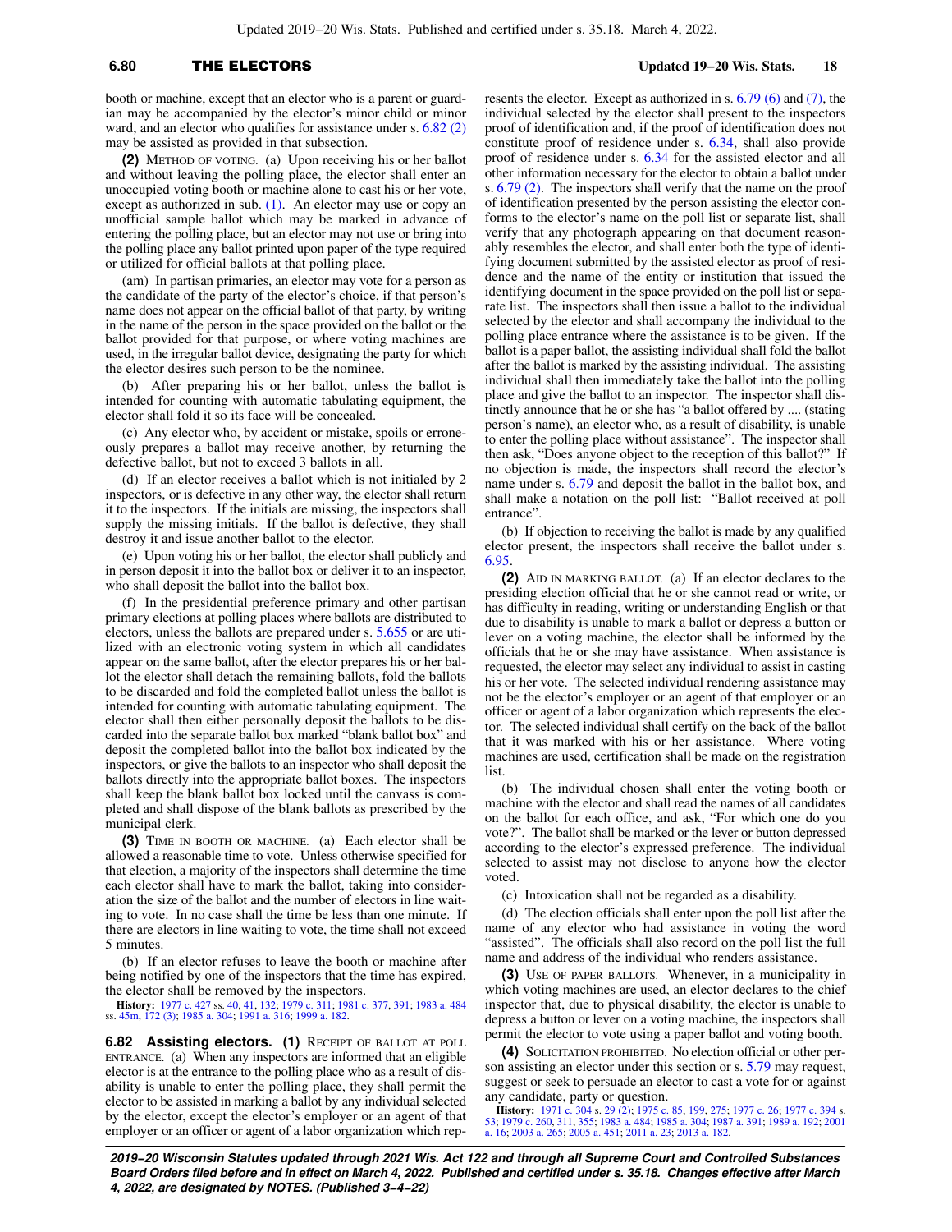# **6.80** THE ELECTORS **Updated 19−20 Wis. Stats. 18**

booth or machine, except that an elector who is a parent or guardian may be accompanied by the elector's minor child or minor ward, and an elector who qualifies for assistance under s. [6.82 \(2\)](https://docs-preview.legis.wisconsin.gov/document/statutes/6.82(2)) may be assisted as provided in that subsection.

**(2)** METHOD OF VOTING. (a) Upon receiving his or her ballot and without leaving the polling place, the elector shall enter an unoccupied voting booth or machine alone to cast his or her vote, except as authorized in sub.  $(1)$ . An elector may use or copy an unofficial sample ballot which may be marked in advance of entering the polling place, but an elector may not use or bring into the polling place any ballot printed upon paper of the type required or utilized for official ballots at that polling place.

(am) In partisan primaries, an elector may vote for a person as the candidate of the party of the elector's choice, if that person's name does not appear on the official ballot of that party, by writing in the name of the person in the space provided on the ballot or the ballot provided for that purpose, or where voting machines are used, in the irregular ballot device, designating the party for which the elector desires such person to be the nominee.

(b) After preparing his or her ballot, unless the ballot is intended for counting with automatic tabulating equipment, the elector shall fold it so its face will be concealed.

(c) Any elector who, by accident or mistake, spoils or erroneously prepares a ballot may receive another, by returning the defective ballot, but not to exceed 3 ballots in all.

(d) If an elector receives a ballot which is not initialed by 2 inspectors, or is defective in any other way, the elector shall return it to the inspectors. If the initials are missing, the inspectors shall supply the missing initials. If the ballot is defective, they shall destroy it and issue another ballot to the elector.

(e) Upon voting his or her ballot, the elector shall publicly and in person deposit it into the ballot box or deliver it to an inspector, who shall deposit the ballot into the ballot box.

(f) In the presidential preference primary and other partisan primary elections at polling places where ballots are distributed to electors, unless the ballots are prepared under s. [5.655](https://docs-preview.legis.wisconsin.gov/document/statutes/5.655) or are utilized with an electronic voting system in which all candidates appear on the same ballot, after the elector prepares his or her ballot the elector shall detach the remaining ballots, fold the ballots to be discarded and fold the completed ballot unless the ballot is intended for counting with automatic tabulating equipment. The elector shall then either personally deposit the ballots to be discarded into the separate ballot box marked "blank ballot box" and deposit the completed ballot into the ballot box indicated by the inspectors, or give the ballots to an inspector who shall deposit the ballots directly into the appropriate ballot boxes. The inspectors shall keep the blank ballot box locked until the canvass is completed and shall dispose of the blank ballots as prescribed by the municipal clerk.

**(3)** TIME IN BOOTH OR MACHINE. (a) Each elector shall be allowed a reasonable time to vote. Unless otherwise specified for that election, a majority of the inspectors shall determine the time each elector shall have to mark the ballot, taking into consideration the size of the ballot and the number of electors in line waiting to vote. In no case shall the time be less than one minute. If there are electors in line waiting to vote, the time shall not exceed 5 minutes.

(b) If an elector refuses to leave the booth or machine after being notified by one of the inspectors that the time has expired, the elector shall be removed by the inspectors.

**History:** [1977 c. 427](https://docs-preview.legis.wisconsin.gov/document/acts/1977/427) ss. [40](https://docs-preview.legis.wisconsin.gov/document/acts/1977/427,%20s.%2040), [41,](https://docs-preview.legis.wisconsin.gov/document/acts/1977/427,%20s.%2041) [132;](https://docs-preview.legis.wisconsin.gov/document/acts/1977/427,%20s.%20132) [1979 c. 311;](https://docs-preview.legis.wisconsin.gov/document/acts/1979/311) [1981 c. 377,](https://docs-preview.legis.wisconsin.gov/document/acts/1981/377) [391;](https://docs-preview.legis.wisconsin.gov/document/acts/1981/391) [1983 a. 484](https://docs-preview.legis.wisconsin.gov/document/acts/1983/484) ss. [45m](https://docs-preview.legis.wisconsin.gov/document/acts/1983/484,%20s.%2045m), [172 \(3\)](https://docs-preview.legis.wisconsin.gov/document/acts/1983/484,%20s.%20172); [1985 a. 304;](https://docs-preview.legis.wisconsin.gov/document/acts/1985/304) [1991 a. 316;](https://docs-preview.legis.wisconsin.gov/document/acts/1991/316) [1999 a. 182](https://docs-preview.legis.wisconsin.gov/document/acts/1999/182).

**6.82 Assisting electors. (1)** RECEIPT OF BALLOT AT POLL ENTRANCE. (a) When any inspectors are informed that an eligible elector is at the entrance to the polling place who as a result of disability is unable to enter the polling place, they shall permit the elector to be assisted in marking a ballot by any individual selected by the elector, except the elector's employer or an agent of that employer or an officer or agent of a labor organization which rep-

resents the elector. Except as authorized in s. [6.79 \(6\)](https://docs-preview.legis.wisconsin.gov/document/statutes/6.79(6)) and [\(7\)](https://docs-preview.legis.wisconsin.gov/document/statutes/6.79(7)), the individual selected by the elector shall present to the inspectors proof of identification and, if the proof of identification does not constitute proof of residence under s. [6.34](https://docs-preview.legis.wisconsin.gov/document/statutes/6.34), shall also provide proof of residence under s. [6.34](https://docs-preview.legis.wisconsin.gov/document/statutes/6.34) for the assisted elector and all other information necessary for the elector to obtain a ballot under s. [6.79 \(2\).](https://docs-preview.legis.wisconsin.gov/document/statutes/6.79(2)) The inspectors shall verify that the name on the proof of identification presented by the person assisting the elector conforms to the elector's name on the poll list or separate list, shall verify that any photograph appearing on that document reasonably resembles the elector, and shall enter both the type of identifying document submitted by the assisted elector as proof of residence and the name of the entity or institution that issued the identifying document in the space provided on the poll list or separate list. The inspectors shall then issue a ballot to the individual selected by the elector and shall accompany the individual to the polling place entrance where the assistance is to be given. If the ballot is a paper ballot, the assisting individual shall fold the ballot after the ballot is marked by the assisting individual. The assisting individual shall then immediately take the ballot into the polling place and give the ballot to an inspector. The inspector shall distinctly announce that he or she has "a ballot offered by .... (stating person's name), an elector who, as a result of disability, is unable to enter the polling place without assistance". The inspector shall then ask, "Does anyone object to the reception of this ballot?" If no objection is made, the inspectors shall record the elector's name under s. [6.79](https://docs-preview.legis.wisconsin.gov/document/statutes/6.79) and deposit the ballot in the ballot box, and shall make a notation on the poll list: "Ballot received at poll entrance".

(b) If objection to receiving the ballot is made by any qualified elector present, the inspectors shall receive the ballot under s. [6.95.](https://docs-preview.legis.wisconsin.gov/document/statutes/6.95)

**(2)** AID IN MARKING BALLOT. (a) If an elector declares to the presiding election official that he or she cannot read or write, or has difficulty in reading, writing or understanding English or that due to disability is unable to mark a ballot or depress a button or lever on a voting machine, the elector shall be informed by the officials that he or she may have assistance. When assistance is requested, the elector may select any individual to assist in casting his or her vote. The selected individual rendering assistance may not be the elector's employer or an agent of that employer or an officer or agent of a labor organization which represents the elector. The selected individual shall certify on the back of the ballot that it was marked with his or her assistance. Where voting machines are used, certification shall be made on the registration list.

(b) The individual chosen shall enter the voting booth or machine with the elector and shall read the names of all candidates on the ballot for each office, and ask, "For which one do you vote?". The ballot shall be marked or the lever or button depressed according to the elector's expressed preference. The individual selected to assist may not disclose to anyone how the elector voted.

(c) Intoxication shall not be regarded as a disability.

(d) The election officials shall enter upon the poll list after the name of any elector who had assistance in voting the word "assisted". The officials shall also record on the poll list the full name and address of the individual who renders assistance.

**(3)** USE OF PAPER BALLOTS. Whenever, in a municipality in which voting machines are used, an elector declares to the chief inspector that, due to physical disability, the elector is unable to depress a button or lever on a voting machine, the inspectors shall permit the elector to vote using a paper ballot and voting booth.

**(4)** SOLICITATION PROHIBITED. No election official or other person assisting an elector under this section or s. [5.79](https://docs-preview.legis.wisconsin.gov/document/statutes/5.79) may request, suggest or seek to persuade an elector to cast a vote for or against any candidate, party or question.

**History:** [1971 c. 304](https://docs-preview.legis.wisconsin.gov/document/acts/1971/304) s. [29 \(2\);](https://docs-preview.legis.wisconsin.gov/document/acts/1971/304,%20s.%2029) [1975 c. 85](https://docs-preview.legis.wisconsin.gov/document/acts/1975/85), [199](https://docs-preview.legis.wisconsin.gov/document/acts/1975/199), [275;](https://docs-preview.legis.wisconsin.gov/document/acts/1975/275) [1977 c. 26;](https://docs-preview.legis.wisconsin.gov/document/acts/1977/26) [1977 c. 394](https://docs-preview.legis.wisconsin.gov/document/acts/1977/394) s.<br>[53](https://docs-preview.legis.wisconsin.gov/document/acts/1977/394,%20s.%2053); [1979 c. 260](https://docs-preview.legis.wisconsin.gov/document/acts/1979/260), [311,](https://docs-preview.legis.wisconsin.gov/document/acts/1979/311) [355](https://docs-preview.legis.wisconsin.gov/document/acts/1979/355); [1983 a. 484](https://docs-preview.legis.wisconsin.gov/document/acts/1983/484); [1985 a. 304;](https://docs-preview.legis.wisconsin.gov/document/acts/1985/304) [1987 a. 391;](https://docs-preview.legis.wisconsin.gov/document/acts/1987/391) [1989 a. 192;](https://docs-preview.legis.wisconsin.gov/document/acts/1989/192) [2001](https://docs-preview.legis.wisconsin.gov/document/acts/2001/16)<br>[a. 16;](https://docs-preview.legis.wisconsin.gov/document/acts/2001/16) [2003 a. 265](https://docs-preview.legis.wisconsin.gov/document/acts/2003/265); [2005 a. 451](https://docs-preview.legis.wisconsin.gov/document/acts/2005/451); [2011 a. 23;](https://docs-preview.legis.wisconsin.gov/document/acts/2011/23) 2013 a. 18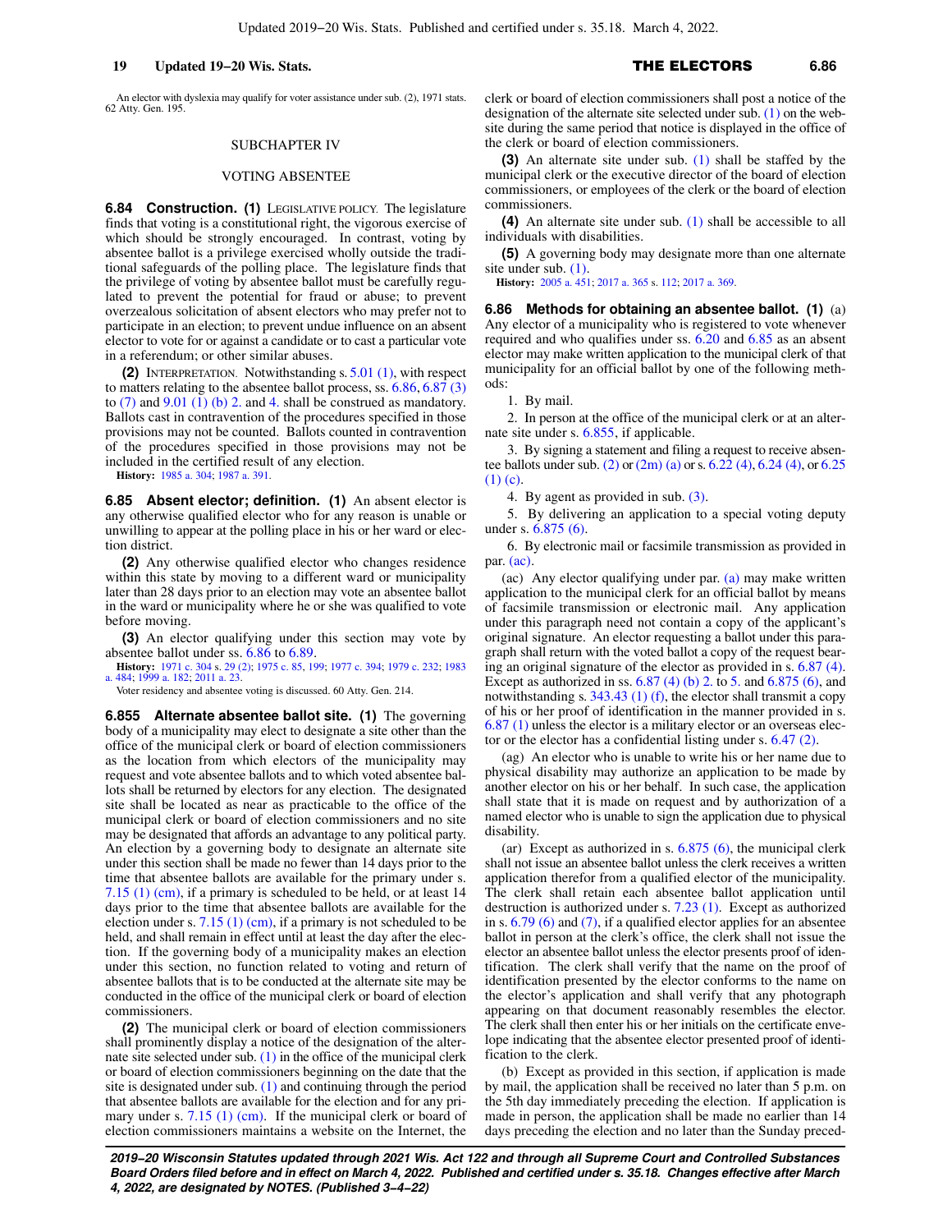An elector with dyslexia may qualify for voter assistance under sub. (2), 1971 stats. 62 Atty. Gen. 195.

### SUBCHAPTER IV

### VOTING ABSENTEE

**6.84 Construction. (1)** LEGISLATIVE POLICY. The legislature finds that voting is a constitutional right, the vigorous exercise of which should be strongly encouraged. In contrast, voting by absentee ballot is a privilege exercised wholly outside the traditional safeguards of the polling place. The legislature finds that the privilege of voting by absentee ballot must be carefully regulated to prevent the potential for fraud or abuse; to prevent overzealous solicitation of absent electors who may prefer not to participate in an election; to prevent undue influence on an absent elector to vote for or against a candidate or to cast a particular vote in a referendum; or other similar abuses.

**(2)** INTERPRETATION. Notwithstanding s. [5.01 \(1\)](https://docs-preview.legis.wisconsin.gov/document/statutes/5.01(1)), with respect to matters relating to the absentee ballot process, ss. [6.86](https://docs-preview.legis.wisconsin.gov/document/statutes/6.86), [6.87 \(3\)](https://docs-preview.legis.wisconsin.gov/document/statutes/6.87(3)) to  $(7)$  and  $9.01$   $(1)$   $(b)$  2. and [4.](https://docs-preview.legis.wisconsin.gov/document/statutes/9.01(1)(b)4.) shall be construed as mandatory. Ballots cast in contravention of the procedures specified in those provisions may not be counted. Ballots counted in contravention of the procedures specified in those provisions may not be included in the certified result of any election.

**History:** [1985 a. 304](https://docs-preview.legis.wisconsin.gov/document/acts/1985/304); [1987 a. 391](https://docs-preview.legis.wisconsin.gov/document/acts/1987/391).

**6.85 Absent elector; definition. (1)** An absent elector is any otherwise qualified elector who for any reason is unable or unwilling to appear at the polling place in his or her ward or election district.

**(2)** Any otherwise qualified elector who changes residence within this state by moving to a different ward or municipality later than 28 days prior to an election may vote an absentee ballot in the ward or municipality where he or she was qualified to vote before moving.

**(3)** An elector qualifying under this section may vote by absentee ballot under ss. [6.86](https://docs-preview.legis.wisconsin.gov/document/statutes/6.86) to [6.89.](https://docs-preview.legis.wisconsin.gov/document/statutes/6.89)

**History:** [1971 c. 304](https://docs-preview.legis.wisconsin.gov/document/acts/1971/304) s. [29 \(2\)](https://docs-preview.legis.wisconsin.gov/document/acts/1971/304,%20s.%2029); [1975 c. 85,](https://docs-preview.legis.wisconsin.gov/document/acts/1975/85) [199;](https://docs-preview.legis.wisconsin.gov/document/acts/1975/199) [1977 c. 394](https://docs-preview.legis.wisconsin.gov/document/acts/1977/394); [1979 c. 232](https://docs-preview.legis.wisconsin.gov/document/acts/1979/232); [1983](https://docs-preview.legis.wisconsin.gov/document/acts/1983/484) [a. 484;](https://docs-preview.legis.wisconsin.gov/document/acts/1983/484) [1999 a. 182;](https://docs-preview.legis.wisconsin.gov/document/acts/1999/182) [2011 a. 23](https://docs-preview.legis.wisconsin.gov/document/acts/2011/23).

Voter residency and absentee voting is discussed. 60 Atty. Gen. 214.

**6.855 Alternate absentee ballot site. (1)** The governing body of a municipality may elect to designate a site other than the office of the municipal clerk or board of election commissioners as the location from which electors of the municipality may request and vote absentee ballots and to which voted absentee ballots shall be returned by electors for any election. The designated site shall be located as near as practicable to the office of the municipal clerk or board of election commissioners and no site may be designated that affords an advantage to any political party. An election by a governing body to designate an alternate site under this section shall be made no fewer than 14 days prior to the time that absentee ballots are available for the primary under s. [7.15 \(1\) \(cm\),](https://docs-preview.legis.wisconsin.gov/document/statutes/7.15(1)(cm)) if a primary is scheduled to be held, or at least 14 days prior to the time that absentee ballots are available for the election under s. [7.15 \(1\) \(cm\)](https://docs-preview.legis.wisconsin.gov/document/statutes/7.15(1)(cm)), if a primary is not scheduled to be held, and shall remain in effect until at least the day after the election. If the governing body of a municipality makes an election under this section, no function related to voting and return of absentee ballots that is to be conducted at the alternate site may be conducted in the office of the municipal clerk or board of election commissioners.

**(2)** The municipal clerk or board of election commissioners shall prominently display a notice of the designation of the alternate site selected under sub. [\(1\)](https://docs-preview.legis.wisconsin.gov/document/statutes/6.855(1)) in the office of the municipal clerk or board of election commissioners beginning on the date that the site is designated under sub. [\(1\)](https://docs-preview.legis.wisconsin.gov/document/statutes/6.855(1)) and continuing through the period that absentee ballots are available for the election and for any pri-mary under s. [7.15 \(1\) \(cm\).](https://docs-preview.legis.wisconsin.gov/document/statutes/7.15(1)(cm)) If the municipal clerk or board of election commissioners maintains a website on the Internet, the clerk or board of election commissioners shall post a notice of the designation of the alternate site selected under sub. [\(1\)](https://docs-preview.legis.wisconsin.gov/document/statutes/6.855(1)) on the website during the same period that notice is displayed in the office of the clerk or board of election commissioners.

**(3)** An alternate site under sub. [\(1\)](https://docs-preview.legis.wisconsin.gov/document/statutes/6.855(1)) shall be staffed by the municipal clerk or the executive director of the board of election commissioners, or employees of the clerk or the board of election commissioners.

**(4)** An alternate site under sub. [\(1\)](https://docs-preview.legis.wisconsin.gov/document/statutes/6.855(1)) shall be accessible to all individuals with disabilities.

**(5)** A governing body may designate more than one alternate site under sub. [\(1\)](https://docs-preview.legis.wisconsin.gov/document/statutes/6.855(1)).

**History:** [2005 a. 451;](https://docs-preview.legis.wisconsin.gov/document/acts/2005/451) [2017 a. 365](https://docs-preview.legis.wisconsin.gov/document/acts/2017/365) s. [112;](https://docs-preview.legis.wisconsin.gov/document/acts/2017/365,%20s.%20112) [2017 a. 369](https://docs-preview.legis.wisconsin.gov/document/acts/2017/369).

**6.86 Methods for obtaining an absentee ballot. (1)** (a) Any elector of a municipality who is registered to vote whenever required and who qualifies under ss. [6.20](https://docs-preview.legis.wisconsin.gov/document/statutes/6.20) and [6.85](https://docs-preview.legis.wisconsin.gov/document/statutes/6.85) as an absent elector may make written application to the municipal clerk of that municipality for an official ballot by one of the following methods:

1. By mail.

2. In person at the office of the municipal clerk or at an alternate site under s. [6.855](https://docs-preview.legis.wisconsin.gov/document/statutes/6.855), if applicable.

3. By signing a statement and filing a request to receive absentee ballots under sub. [\(2\)](https://docs-preview.legis.wisconsin.gov/document/statutes/6.86(2)) or [\(2m\) \(a\)](https://docs-preview.legis.wisconsin.gov/document/statutes/6.86(2m)(a)) or s. [6.22 \(4\),](https://docs-preview.legis.wisconsin.gov/document/statutes/6.22(4)) [6.24 \(4\),](https://docs-preview.legis.wisconsin.gov/document/statutes/6.24(4)) or [6.25](https://docs-preview.legis.wisconsin.gov/document/statutes/6.25(1)(c)) [\(1\) \(c\).](https://docs-preview.legis.wisconsin.gov/document/statutes/6.25(1)(c))

4. By agent as provided in sub. [\(3\).](https://docs-preview.legis.wisconsin.gov/document/statutes/6.86(3))

5. By delivering an application to a special voting deputy under s. [6.875 \(6\)](https://docs-preview.legis.wisconsin.gov/document/statutes/6.875(6)).

6. By electronic mail or facsimile transmission as provided in par. [\(ac\).](https://docs-preview.legis.wisconsin.gov/document/statutes/6.86(1)(ac))

(ac) Any elector qualifying under par. [\(a\)](https://docs-preview.legis.wisconsin.gov/document/statutes/6.86(1)(a)) may make written application to the municipal clerk for an official ballot by means of facsimile transmission or electronic mail. Any application under this paragraph need not contain a copy of the applicant's original signature. An elector requesting a ballot under this paragraph shall return with the voted ballot a copy of the request bearing an original signature of the elector as provided in s. [6.87 \(4\).](https://docs-preview.legis.wisconsin.gov/document/statutes/6.87(4)) Except as authorized in ss.  $6.87$  (4) (b) 2. to [5.](https://docs-preview.legis.wisconsin.gov/document/statutes/6.87(4)(b)5.) and  $6.875$  (6), and notwithstanding s. [343.43 \(1\) \(f\),](https://docs-preview.legis.wisconsin.gov/document/statutes/343.43(1)(f)) the elector shall transmit a copy of his or her proof of identification in the manner provided in s. [6.87 \(1\)](https://docs-preview.legis.wisconsin.gov/document/statutes/6.87(1)) unless the elector is a military elector or an overseas elector or the elector has a confidential listing under s. [6.47 \(2\).](https://docs-preview.legis.wisconsin.gov/document/statutes/6.47(2))

(ag) An elector who is unable to write his or her name due to physical disability may authorize an application to be made by another elector on his or her behalf. In such case, the application shall state that it is made on request and by authorization of a named elector who is unable to sign the application due to physical disability.

(ar) Except as authorized in s.  $6.875$  (6), the municipal clerk shall not issue an absentee ballot unless the clerk receives a written application therefor from a qualified elector of the municipality. The clerk shall retain each absentee ballot application until destruction is authorized under s. [7.23 \(1\)](https://docs-preview.legis.wisconsin.gov/document/statutes/7.23(1)). Except as authorized in s. [6.79 \(6\)](https://docs-preview.legis.wisconsin.gov/document/statutes/6.79(6)) and [\(7\)](https://docs-preview.legis.wisconsin.gov/document/statutes/6.79(7)), if a qualified elector applies for an absentee ballot in person at the clerk's office, the clerk shall not issue the elector an absentee ballot unless the elector presents proof of identification. The clerk shall verify that the name on the proof of identification presented by the elector conforms to the name on the elector's application and shall verify that any photograph appearing on that document reasonably resembles the elector. The clerk shall then enter his or her initials on the certificate envelope indicating that the absentee elector presented proof of identification to the clerk.

(b) Except as provided in this section, if application is made by mail, the application shall be received no later than 5 p.m. on the 5th day immediately preceding the election. If application is made in person, the application shall be made no earlier than 14 days preceding the election and no later than the Sunday preced-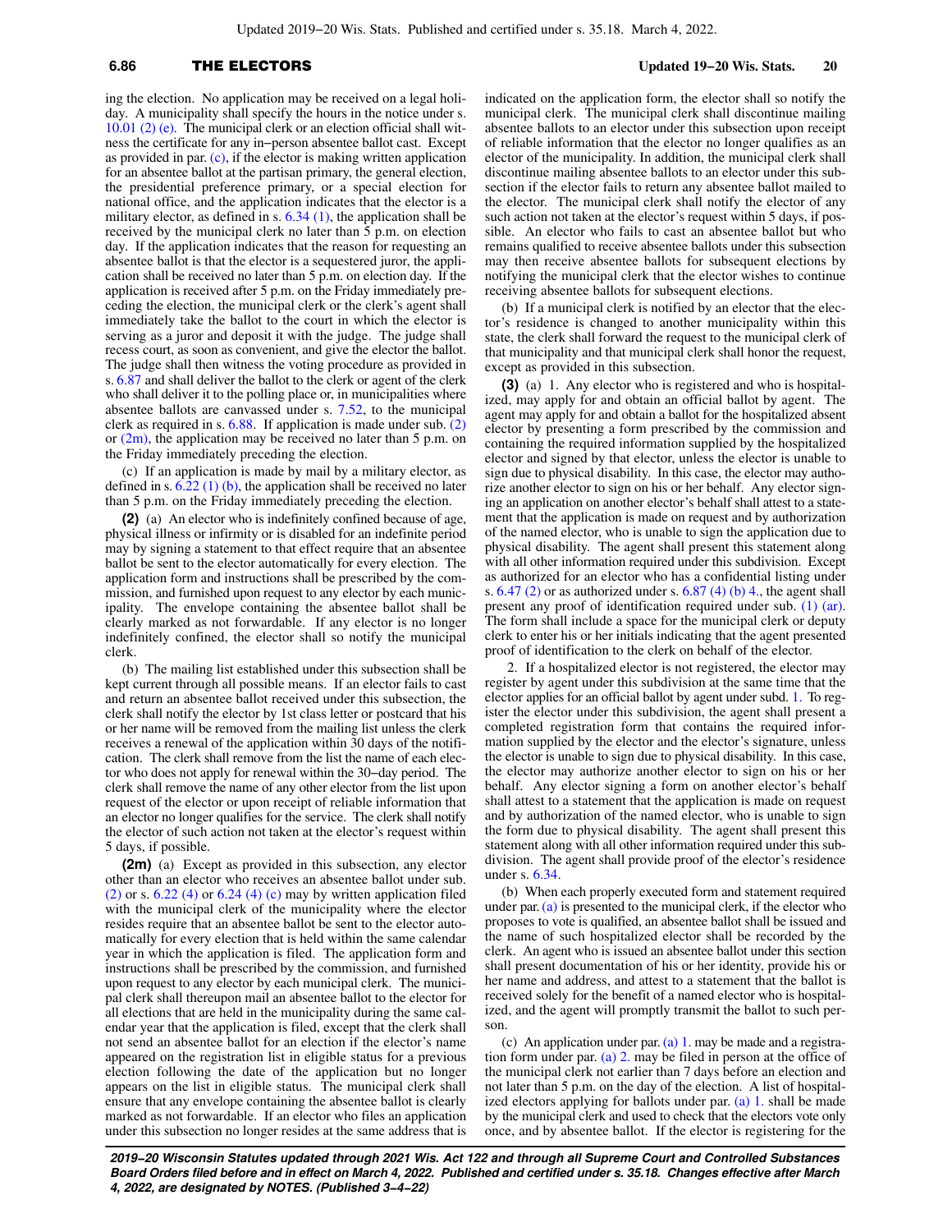Updated 2019−20 Wis. Stats. Published and certified under s. 35.18. March 4, 2022.

# **6.86** THE ELECTORS **Updated 19−20 Wis. Stats. 20**

ing the election. No application may be received on a legal holiday. A municipality shall specify the hours in the notice under s. [10.01 \(2\) \(e\).](https://docs-preview.legis.wisconsin.gov/document/statutes/10.01(2)(e)) The municipal clerk or an election official shall witness the certificate for any in−person absentee ballot cast. Except as provided in par.  $(c)$ , if the elector is making written application for an absentee ballot at the partisan primary, the general election, the presidential preference primary, or a special election for national office, and the application indicates that the elector is a military elector, as defined in s. [6.34 \(1\)](https://docs-preview.legis.wisconsin.gov/document/statutes/6.34(1)), the application shall be received by the municipal clerk no later than 5 p.m. on election day. If the application indicates that the reason for requesting an absentee ballot is that the elector is a sequestered juror, the application shall be received no later than 5 p.m. on election day. If the application is received after 5 p.m. on the Friday immediately preceding the election, the municipal clerk or the clerk's agent shall immediately take the ballot to the court in which the elector is serving as a juror and deposit it with the judge. The judge shall recess court, as soon as convenient, and give the elector the ballot. The judge shall then witness the voting procedure as provided in s. [6.87](https://docs-preview.legis.wisconsin.gov/document/statutes/6.87) and shall deliver the ballot to the clerk or agent of the clerk who shall deliver it to the polling place or, in municipalities where absentee ballots are canvassed under s. [7.52](https://docs-preview.legis.wisconsin.gov/document/statutes/7.52), to the municipal clerk as required in s. [6.88.](https://docs-preview.legis.wisconsin.gov/document/statutes/6.88) If application is made under sub. [\(2\)](https://docs-preview.legis.wisconsin.gov/document/statutes/6.86(2)) or  $(2m)$ , the application may be received no later than 5 p.m. on the Friday immediately preceding the election.

(c) If an application is made by mail by a military elector, as defined in s.  $6.\overline{22}$  (1) (b), the application shall be received no later than 5 p.m. on the Friday immediately preceding the election.

**(2)** (a) An elector who is indefinitely confined because of age, physical illness or infirmity or is disabled for an indefinite period may by signing a statement to that effect require that an absentee ballot be sent to the elector automatically for every election. The application form and instructions shall be prescribed by the commission, and furnished upon request to any elector by each municipality. The envelope containing the absentee ballot shall be clearly marked as not forwardable. If any elector is no longer indefinitely confined, the elector shall so notify the municipal clerk.

(b) The mailing list established under this subsection shall be kept current through all possible means. If an elector fails to cast and return an absentee ballot received under this subsection, the clerk shall notify the elector by 1st class letter or postcard that his or her name will be removed from the mailing list unless the clerk receives a renewal of the application within 30 days of the notification. The clerk shall remove from the list the name of each elector who does not apply for renewal within the 30−day period. The clerk shall remove the name of any other elector from the list upon request of the elector or upon receipt of reliable information that an elector no longer qualifies for the service. The clerk shall notify the elector of such action not taken at the elector's request within 5 days, if possible.

**(2m)** (a) Except as provided in this subsection, any elector other than an elector who receives an absentee ballot under sub.  $(2)$  or s. 6.22  $(4)$  or 6.24  $(4)$  (c) may by written application filed with the municipal clerk of the municipality where the elector resides require that an absentee ballot be sent to the elector automatically for every election that is held within the same calendar year in which the application is filed. The application form and instructions shall be prescribed by the commission, and furnished upon request to any elector by each municipal clerk. The municipal clerk shall thereupon mail an absentee ballot to the elector for all elections that are held in the municipality during the same calendar year that the application is filed, except that the clerk shall not send an absentee ballot for an election if the elector's name appeared on the registration list in eligible status for a previous election following the date of the application but no longer appears on the list in eligible status. The municipal clerk shall ensure that any envelope containing the absentee ballot is clearly marked as not forwardable. If an elector who files an application under this subsection no longer resides at the same address that is

indicated on the application form, the elector shall so notify the municipal clerk. The municipal clerk shall discontinue mailing absentee ballots to an elector under this subsection upon receipt of reliable information that the elector no longer qualifies as an elector of the municipality. In addition, the municipal clerk shall discontinue mailing absentee ballots to an elector under this subsection if the elector fails to return any absentee ballot mailed to the elector. The municipal clerk shall notify the elector of any such action not taken at the elector's request within 5 days, if possible. An elector who fails to cast an absentee ballot but who remains qualified to receive absentee ballots under this subsection may then receive absentee ballots for subsequent elections by notifying the municipal clerk that the elector wishes to continue receiving absentee ballots for subsequent elections.

(b) If a municipal clerk is notified by an elector that the elector's residence is changed to another municipality within this state, the clerk shall forward the request to the municipal clerk of that municipality and that municipal clerk shall honor the request, except as provided in this subsection.

**(3)** (a) 1. Any elector who is registered and who is hospitalized, may apply for and obtain an official ballot by agent. The agent may apply for and obtain a ballot for the hospitalized absent elector by presenting a form prescribed by the commission and containing the required information supplied by the hospitalized elector and signed by that elector, unless the elector is unable to sign due to physical disability. In this case, the elector may authorize another elector to sign on his or her behalf. Any elector signing an application on another elector's behalf shall attest to a statement that the application is made on request and by authorization of the named elector, who is unable to sign the application due to physical disability. The agent shall present this statement along with all other information required under this subdivision. Except as authorized for an elector who has a confidential listing under s.  $6.47$  (2) or as authorized under s.  $6.87$  (4) (b) 4, the agent shall present any proof of identification required under sub. [\(1\) \(ar\).](https://docs-preview.legis.wisconsin.gov/document/statutes/6.86(1)(ar)) The form shall include a space for the municipal clerk or deputy clerk to enter his or her initials indicating that the agent presented proof of identification to the clerk on behalf of the elector.

2. If a hospitalized elector is not registered, the elector may register by agent under this subdivision at the same time that the elector applies for an official ballot by agent under subd. [1.](https://docs-preview.legis.wisconsin.gov/document/statutes/6.86(3)(a)1.) To register the elector under this subdivision, the agent shall present a completed registration form that contains the required information supplied by the elector and the elector's signature, unless the elector is unable to sign due to physical disability. In this case, the elector may authorize another elector to sign on his or her behalf. Any elector signing a form on another elector's behalf shall attest to a statement that the application is made on request and by authorization of the named elector, who is unable to sign the form due to physical disability. The agent shall present this statement along with all other information required under this subdivision. The agent shall provide proof of the elector's residence under s. [6.34.](https://docs-preview.legis.wisconsin.gov/document/statutes/6.34)

(b) When each properly executed form and statement required under par. [\(a\)](https://docs-preview.legis.wisconsin.gov/document/statutes/6.86(3)(a)) is presented to the municipal clerk, if the elector who proposes to vote is qualified, an absentee ballot shall be issued and the name of such hospitalized elector shall be recorded by the clerk. An agent who is issued an absentee ballot under this section shall present documentation of his or her identity, provide his or her name and address, and attest to a statement that the ballot is received solely for the benefit of a named elector who is hospitalized, and the agent will promptly transmit the ballot to such person.

(c) An application under par.  $(a)$  1. may be made and a registration form under par. [\(a\) 2.](https://docs-preview.legis.wisconsin.gov/document/statutes/6.86(3)(a)2.) may be filed in person at the office of the municipal clerk not earlier than 7 days before an election and not later than 5 p.m. on the day of the election. A list of hospitalized electors applying for ballots under par. [\(a\) 1.](https://docs-preview.legis.wisconsin.gov/document/statutes/6.86(3)(a)1.) shall be made by the municipal clerk and used to check that the electors vote only once, and by absentee ballot. If the elector is registering for the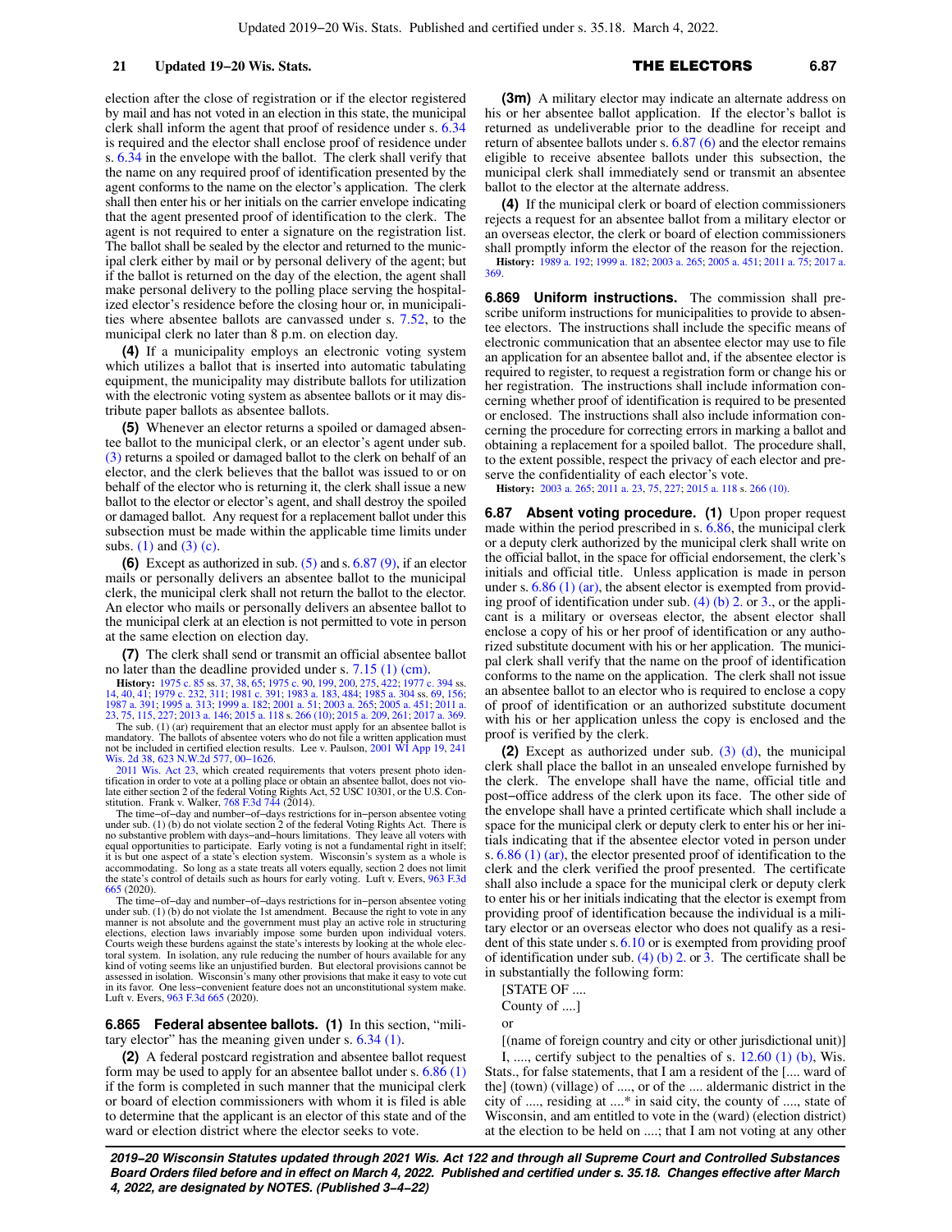election after the close of registration or if the elector registered by mail and has not voted in an election in this state, the municipal clerk shall inform the agent that proof of residence under s. [6.34](https://docs-preview.legis.wisconsin.gov/document/statutes/6.34) is required and the elector shall enclose proof of residence under s. [6.34](https://docs-preview.legis.wisconsin.gov/document/statutes/6.34) in the envelope with the ballot. The clerk shall verify that the name on any required proof of identification presented by the agent conforms to the name on the elector's application. The clerk shall then enter his or her initials on the carrier envelope indicating that the agent presented proof of identification to the clerk. The agent is not required to enter a signature on the registration list. The ballot shall be sealed by the elector and returned to the municipal clerk either by mail or by personal delivery of the agent; but if the ballot is returned on the day of the election, the agent shall make personal delivery to the polling place serving the hospitalized elector's residence before the closing hour or, in municipalities where absentee ballots are canvassed under s. [7.52](https://docs-preview.legis.wisconsin.gov/document/statutes/7.52), to the municipal clerk no later than 8 p.m. on election day.

**(4)** If a municipality employs an electronic voting system which utilizes a ballot that is inserted into automatic tabulating equipment, the municipality may distribute ballots for utilization with the electronic voting system as absentee ballots or it may distribute paper ballots as absentee ballots.

**(5)** Whenever an elector returns a spoiled or damaged absentee ballot to the municipal clerk, or an elector's agent under sub. [\(3\)](https://docs-preview.legis.wisconsin.gov/document/statutes/6.86(3)) returns a spoiled or damaged ballot to the clerk on behalf of an elector, and the clerk believes that the ballot was issued to or on behalf of the elector who is returning it, the clerk shall issue a new ballot to the elector or elector's agent, and shall destroy the spoiled or damaged ballot. Any request for a replacement ballot under this subsection must be made within the applicable time limits under subs. [\(1\)](https://docs-preview.legis.wisconsin.gov/document/statutes/6.86(1)) and [\(3\) \(c\)](https://docs-preview.legis.wisconsin.gov/document/statutes/6.86(3)(c)).

**(6)** Except as authorized in sub. [\(5\)](https://docs-preview.legis.wisconsin.gov/document/statutes/6.86(5)) and s. [6.87 \(9\),](https://docs-preview.legis.wisconsin.gov/document/statutes/6.87(9)) if an elector mails or personally delivers an absentee ballot to the municipal clerk, the municipal clerk shall not return the ballot to the elector. An elector who mails or personally delivers an absentee ballot to the municipal clerk at an election is not permitted to vote in person at the same election on election day.

**(7)** The clerk shall send or transmit an official absentee ballot no later than the deadline provided under s. [7.15 \(1\) \(cm\).](https://docs-preview.legis.wisconsin.gov/document/statutes/7.15(1)(cm))

**History:** [1975 c. 85](https://docs-preview.legis.wisconsin.gov/document/acts/1975/85) ss. [37,](https://docs-preview.legis.wisconsin.gov/document/acts/1975/85,%20s.%2037) [38,](https://docs-preview.legis.wisconsin.gov/document/acts/1975/85,%20s.%2038) [65;](https://docs-preview.legis.wisconsin.gov/document/acts/1975/85,%20s.%2065) [1975 c. 90](https://docs-preview.legis.wisconsin.gov/document/acts/1975/90), [199,](https://docs-preview.legis.wisconsin.gov/document/acts/1975/199) [200](https://docs-preview.legis.wisconsin.gov/document/acts/1975/200), [275](https://docs-preview.legis.wisconsin.gov/document/acts/1975/275), [422;](https://docs-preview.legis.wisconsin.gov/document/acts/1975/422) [1977 c. 394](https://docs-preview.legis.wisconsin.gov/document/acts/1977/394) ss.<br>[14,](https://docs-preview.legis.wisconsin.gov/document/acts/1977/394,%20s.%2014) [40](https://docs-preview.legis.wisconsin.gov/document/acts/1977/394,%20s.%2040), [41](https://docs-preview.legis.wisconsin.gov/document/acts/1977/394,%20s.%2041); [1979 c. 232](https://docs-preview.legis.wisconsin.gov/document/acts/1979/232), [311;](https://docs-preview.legis.wisconsin.gov/document/acts/1979/311) [1981 c. 391;](https://docs-preview.legis.wisconsin.gov/document/acts/1981/391) [1983 a. 183,](https://docs-preview.legis.wisconsin.gov/document/acts/1983/183) [484;](https://docs-preview.legis.wisconsin.gov/document/acts/1983/484) [1985 a. 304](https://docs-preview.legis.wisconsin.gov/document/acts/1985/304) ss. [69](https://docs-preview.legis.wisconsin.gov/document/acts/1985/304,%20s.%2069), [156](https://docs-preview.legis.wisconsin.gov/document/acts/1985/304,%20s.%20156);<br>[1987 a. 391](https://docs-preview.legis.wisconsin.gov/document/acts/1987/391); [1995 a. 313](https://docs-preview.legis.wisconsin.gov/document/acts/1995/313); [1999 a. 182](https://docs-preview.legis.wisconsin.gov/document/acts/1999/182); [2001 a. 51;](https://docs-preview.legis.wisconsin.gov/document/acts/2001/51)

The sub. (1) (ar) requirement that an elector must apply for an absentee ballot is mandatory. The ballots of absentee voters who do not file a written application must not be included in certified election results. Lee v. Paulson, [2001 WI App 19,](https://docs-preview.legis.wisconsin.gov/document/courts/2001%20WI%20App%2019) [241](https://docs-preview.legis.wisconsin.gov/document/courts/241%20Wis.%202d%2038) [Wis. 2d 38](https://docs-preview.legis.wisconsin.gov/document/courts/241%20Wis.%202d%2038), [623 N.W.2d 577,](https://docs-preview.legis.wisconsin.gov/document/courts/623%20N.W.2d%20577) [00−1626.](https://docs-preview.legis.wisconsin.gov/document/wicourtofappeals/00-1626)

[2011 Wis. Act 23,](https://docs-preview.legis.wisconsin.gov/document/acts/2011/23) which created requirements that voters present photo iden-tification in order to vote at a polling place or obtain an absentee ballot, does not vio-<br>late either section 2 of the federal Voting Rights Act, 52 USC 10301, or the U.S. Con-<br>stitution. Frank v. Walker, [768 F.3d 744](https://docs-preview.legis.wisconsin.gov/document/courts/768%20F.3d%20744) (20

The time−of−day and number−of−days restrictions for in−person absentee voting under sub. (1) (b) do not violate section 2 of the federal Voting Rights Act. There is no substantive problem with days−and−hours limitations. They leave all voters with equal opportunities to participate. Early voting is not a fundamental right in itself; it is but one aspect of a state's election system. Wisconsin's system as a whole is accommodating. So long as a state treats all voters equally, section 2 does not limit the state's control of details such as hours for early voting. Luft v. Evers, [963 F.3d](https://docs-preview.legis.wisconsin.gov/document/courts/963%20F.3d%20665) [665](https://docs-preview.legis.wisconsin.gov/document/courts/963%20F.3d%20665) (2020).

The time−of−day and number−of−days restrictions for in−person absentee voting under sub. (1) (b) do not violate the 1st amendment. Because the right to vote in any manner is not absolute and the government must play an active role in structuring<br>elections, election laws invariably impose some burden upon individual voters.<br>Courts weigh these burdens against the state's interests by l toral system. In isolation, any rule reducing the number of hours available for any kind of voting seems like an unjustified burden. But electoral provisions cannot be assessed in isolation. Wisconsin's many other provisions that make it easy to vote cut in its favor. One less−convenient feature does not an unconstitutional system make. Luft v. Evers, [963 F.3d 665](https://docs-preview.legis.wisconsin.gov/document/courts/963%20F.3d%20665) (2020).

**6.865 Federal absentee ballots. (1)** In this section, "military elector" has the meaning given under s. [6.34 \(1\)](https://docs-preview.legis.wisconsin.gov/document/statutes/6.34(1)).

**(2)** A federal postcard registration and absentee ballot request form may be used to apply for an absentee ballot under s. [6.86 \(1\)](https://docs-preview.legis.wisconsin.gov/document/statutes/6.86(1)) if the form is completed in such manner that the municipal clerk or board of election commissioners with whom it is filed is able to determine that the applicant is an elector of this state and of the ward or election district where the elector seeks to vote.

**(3m)** A military elector may indicate an alternate address on his or her absentee ballot application. If the elector's ballot is returned as undeliverable prior to the deadline for receipt and return of absentee ballots under s. [6.87 \(6\)](https://docs-preview.legis.wisconsin.gov/document/statutes/6.87(6)) and the elector remains eligible to receive absentee ballots under this subsection, the municipal clerk shall immediately send or transmit an absentee ballot to the elector at the alternate address.

**(4)** If the municipal clerk or board of election commissioners rejects a request for an absentee ballot from a military elector or an overseas elector, the clerk or board of election commissioners shall promptly inform the elector of the reason for the rejection. **History:** [1989 a. 192;](https://docs-preview.legis.wisconsin.gov/document/acts/1989/192) [1999 a. 182;](https://docs-preview.legis.wisconsin.gov/document/acts/1999/182) [2003 a. 265;](https://docs-preview.legis.wisconsin.gov/document/acts/2003/265) [2005 a. 451](https://docs-preview.legis.wisconsin.gov/document/acts/2005/451); [2011 a. 75](https://docs-preview.legis.wisconsin.gov/document/acts/2011/75); [2017 a.](https://docs-preview.legis.wisconsin.gov/document/acts/2017/369) [369.](https://docs-preview.legis.wisconsin.gov/document/acts/2017/369)

**6.869 Uniform instructions.** The commission shall prescribe uniform instructions for municipalities to provide to absentee electors. The instructions shall include the specific means of electronic communication that an absentee elector may use to file an application for an absentee ballot and, if the absentee elector is required to register, to request a registration form or change his or her registration. The instructions shall include information concerning whether proof of identification is required to be presented or enclosed. The instructions shall also include information concerning the procedure for correcting errors in marking a ballot and obtaining a replacement for a spoiled ballot. The procedure shall, to the extent possible, respect the privacy of each elector and preserve the confidentiality of each elector's vote.

**History:** [2003 a. 265;](https://docs-preview.legis.wisconsin.gov/document/acts/2003/265) [2011 a. 23](https://docs-preview.legis.wisconsin.gov/document/acts/2011/23), [75](https://docs-preview.legis.wisconsin.gov/document/acts/2011/75), [227](https://docs-preview.legis.wisconsin.gov/document/acts/2011/227); [2015 a. 118](https://docs-preview.legis.wisconsin.gov/document/acts/2015/118) s. [266 \(10\)](https://docs-preview.legis.wisconsin.gov/document/acts/2015/118,%20s.%20266).

**6.87** Absent voting procedure. (1) Upon proper request made within the period prescribed in s. [6.86](https://docs-preview.legis.wisconsin.gov/document/statutes/6.86), the municipal clerk or a deputy clerk authorized by the municipal clerk shall write on the official ballot, in the space for official endorsement, the clerk's initials and official title. Unless application is made in person under s.  $6.86$  (1) (ar), the absent elector is exempted from providing proof of identification under sub.  $(4)$  (b) 2. or [3.](https://docs-preview.legis.wisconsin.gov/document/statutes/6.87(4)(b)3.), or the applicant is a military or overseas elector, the absent elector shall enclose a copy of his or her proof of identification or any authorized substitute document with his or her application. The municipal clerk shall verify that the name on the proof of identification conforms to the name on the application. The clerk shall not issue an absentee ballot to an elector who is required to enclose a copy of proof of identification or an authorized substitute document with his or her application unless the copy is enclosed and the proof is verified by the clerk.

**(2)** Except as authorized under sub. [\(3\) \(d\),](https://docs-preview.legis.wisconsin.gov/document/statutes/6.87(3)(d)) the municipal clerk shall place the ballot in an unsealed envelope furnished by the clerk. The envelope shall have the name, official title and post−office address of the clerk upon its face. The other side of the envelope shall have a printed certificate which shall include a space for the municipal clerk or deputy clerk to enter his or her initials indicating that if the absentee elector voted in person under s. [6.86 \(1\) \(ar\)](https://docs-preview.legis.wisconsin.gov/document/statutes/6.86(1)(ar)), the elector presented proof of identification to the clerk and the clerk verified the proof presented. The certificate shall also include a space for the municipal clerk or deputy clerk to enter his or her initials indicating that the elector is exempt from providing proof of identification because the individual is a military elector or an overseas elector who does not qualify as a resident of this state under s.[6.10](https://docs-preview.legis.wisconsin.gov/document/statutes/6.10) or is exempted from providing proof of identification under sub. [\(4\) \(b\) 2.](https://docs-preview.legis.wisconsin.gov/document/statutes/6.87(4)(b)2.) or [3.](https://docs-preview.legis.wisconsin.gov/document/statutes/6.87(4)(b)3.) The certificate shall be in substantially the following form:

[STATE OF ....

County of ....]

or

[(name of foreign country and city or other jurisdictional unit)] I, ..., certify subject to the penalties of s.  $12.60$  (1) (b), Wis.

Stats., for false statements, that I am a resident of the [.... ward of the] (town) (village) of ...., or of the .... aldermanic district in the city of ...., residing at ....\* in said city, the county of ...., state of Wisconsin, and am entitled to vote in the (ward) (election district) at the election to be held on ....; that I am not voting at any other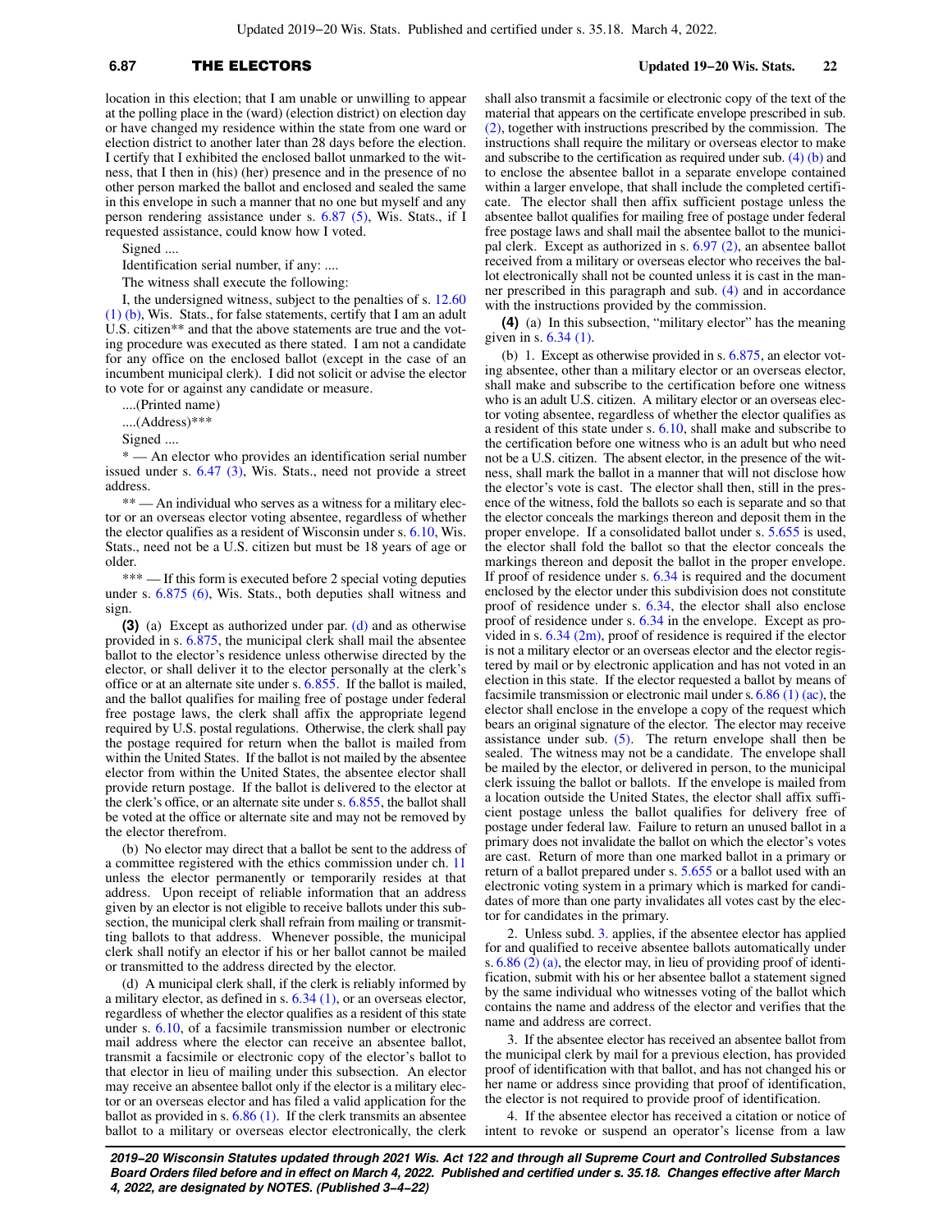# **6.87** THE ELECTORS **Updated 19−20 Wis. Stats. 22**

location in this election; that I am unable or unwilling to appear at the polling place in the (ward) (election district) on election day or have changed my residence within the state from one ward or election district to another later than 28 days before the election. I certify that I exhibited the enclosed ballot unmarked to the witness, that I then in (his) (her) presence and in the presence of no other person marked the ballot and enclosed and sealed the same in this envelope in such a manner that no one but myself and any person rendering assistance under s. [6.87 \(5\),](https://docs-preview.legis.wisconsin.gov/document/statutes/6.87(5)) Wis. Stats., if I requested assistance, could know how I voted.

Signed ....

Identification serial number, if any: ....

The witness shall execute the following:

I, the undersigned witness, subject to the penalties of s. [12.60](https://docs-preview.legis.wisconsin.gov/document/statutes/12.60(1)(b)) [\(1\) \(b\),](https://docs-preview.legis.wisconsin.gov/document/statutes/12.60(1)(b)) Wis. Stats., for false statements, certify that I am an adult U.S. citizen\*\* and that the above statements are true and the voting procedure was executed as there stated. I am not a candidate for any office on the enclosed ballot (except in the case of an incumbent municipal clerk). I did not solicit or advise the elector to vote for or against any candidate or measure.

....(Printed name)

....(Address)\*\*\*

Signed ....

\* — An elector who provides an identification serial number issued under s. [6.47 \(3\)](https://docs-preview.legis.wisconsin.gov/document/statutes/6.47(3)), Wis. Stats., need not provide a street address.

\*\* — An individual who serves as a witness for a military elector or an overseas elector voting absentee, regardless of whether the elector qualifies as a resident of Wisconsin under s. [6.10,](https://docs-preview.legis.wisconsin.gov/document/statutes/6.10) Wis. Stats., need not be a U.S. citizen but must be 18 years of age or older.

\*\*\* — If this form is executed before 2 special voting deputies under s. [6.875 \(6\)](https://docs-preview.legis.wisconsin.gov/document/statutes/6.875(6)), Wis. Stats., both deputies shall witness and sign.

**(3)** (a) Except as authorized under par. [\(d\)](https://docs-preview.legis.wisconsin.gov/document/statutes/6.87(3)(d)) and as otherwise provided in s. [6.875](https://docs-preview.legis.wisconsin.gov/document/statutes/6.875), the municipal clerk shall mail the absentee ballot to the elector's residence unless otherwise directed by the elector, or shall deliver it to the elector personally at the clerk's office or at an alternate site under s. [6.855](https://docs-preview.legis.wisconsin.gov/document/statutes/6.855). If the ballot is mailed, and the ballot qualifies for mailing free of postage under federal free postage laws, the clerk shall affix the appropriate legend required by U.S. postal regulations. Otherwise, the clerk shall pay the postage required for return when the ballot is mailed from within the United States. If the ballot is not mailed by the absentee elector from within the United States, the absentee elector shall provide return postage. If the ballot is delivered to the elector at the clerk's office, or an alternate site under s. [6.855,](https://docs-preview.legis.wisconsin.gov/document/statutes/6.855) the ballot shall be voted at the office or alternate site and may not be removed by the elector therefrom.

(b) No elector may direct that a ballot be sent to the address of a committee registered with the ethics commission under ch. [11](https://docs-preview.legis.wisconsin.gov/document/statutes/ch.%2011) unless the elector permanently or temporarily resides at that address. Upon receipt of reliable information that an address given by an elector is not eligible to receive ballots under this subsection, the municipal clerk shall refrain from mailing or transmitting ballots to that address. Whenever possible, the municipal clerk shall notify an elector if his or her ballot cannot be mailed or transmitted to the address directed by the elector.

(d) A municipal clerk shall, if the clerk is reliably informed by a military elector, as defined in s. [6.34 \(1\)](https://docs-preview.legis.wisconsin.gov/document/statutes/6.34(1)), or an overseas elector, regardless of whether the elector qualifies as a resident of this state under s. [6.10,](https://docs-preview.legis.wisconsin.gov/document/statutes/6.10) of a facsimile transmission number or electronic mail address where the elector can receive an absentee ballot, transmit a facsimile or electronic copy of the elector's ballot to that elector in lieu of mailing under this subsection. An elector may receive an absentee ballot only if the elector is a military elector or an overseas elector and has filed a valid application for the ballot as provided in s. [6.86 \(1\).](https://docs-preview.legis.wisconsin.gov/document/statutes/6.86(1)) If the clerk transmits an absentee ballot to a military or overseas elector electronically, the clerk shall also transmit a facsimile or electronic copy of the text of the material that appears on the certificate envelope prescribed in sub. [\(2\),](https://docs-preview.legis.wisconsin.gov/document/statutes/6.87(2)) together with instructions prescribed by the commission. The instructions shall require the military or overseas elector to make and subscribe to the certification as required under sub.  $(4)$  (b) and to enclose the absentee ballot in a separate envelope contained within a larger envelope, that shall include the completed certificate. The elector shall then affix sufficient postage unless the absentee ballot qualifies for mailing free of postage under federal free postage laws and shall mail the absentee ballot to the municipal clerk. Except as authorized in s. [6.97 \(2\),](https://docs-preview.legis.wisconsin.gov/document/statutes/6.97(2)) an absentee ballot received from a military or overseas elector who receives the ballot electronically shall not be counted unless it is cast in the manner prescribed in this paragraph and sub. [\(4\)](https://docs-preview.legis.wisconsin.gov/document/statutes/6.87(4)) and in accordance with the instructions provided by the commission.

**(4)** (a) In this subsection, "military elector" has the meaning given in s. [6.34 \(1\)](https://docs-preview.legis.wisconsin.gov/document/statutes/6.34(1)).

(b) 1. Except as otherwise provided in s. [6.875](https://docs-preview.legis.wisconsin.gov/document/statutes/6.875), an elector voting absentee, other than a military elector or an overseas elector, shall make and subscribe to the certification before one witness who is an adult U.S. citizen. A military elector or an overseas elector voting absentee, regardless of whether the elector qualifies as a resident of this state under s. [6.10,](https://docs-preview.legis.wisconsin.gov/document/statutes/6.10) shall make and subscribe to the certification before one witness who is an adult but who need not be a U.S. citizen. The absent elector, in the presence of the witness, shall mark the ballot in a manner that will not disclose how the elector's vote is cast. The elector shall then, still in the presence of the witness, fold the ballots so each is separate and so that the elector conceals the markings thereon and deposit them in the proper envelope. If a consolidated ballot under s. [5.655](https://docs-preview.legis.wisconsin.gov/document/statutes/5.655) is used, the elector shall fold the ballot so that the elector conceals the markings thereon and deposit the ballot in the proper envelope. If proof of residence under s. [6.34](https://docs-preview.legis.wisconsin.gov/document/statutes/6.34) is required and the document enclosed by the elector under this subdivision does not constitute proof of residence under s. [6.34,](https://docs-preview.legis.wisconsin.gov/document/statutes/6.34) the elector shall also enclose proof of residence under s. [6.34](https://docs-preview.legis.wisconsin.gov/document/statutes/6.34) in the envelope. Except as provided in s.  $6.34$  (2m), proof of residence is required if the elector is not a military elector or an overseas elector and the elector registered by mail or by electronic application and has not voted in an election in this state. If the elector requested a ballot by means of facsimile transmission or electronic mail under s.  $6.86$  (1) (ac), the elector shall enclose in the envelope a copy of the request which bears an original signature of the elector. The elector may receive assistance under sub.  $(5)$ . The return envelope shall then be sealed. The witness may not be a candidate. The envelope shall be mailed by the elector, or delivered in person, to the municipal clerk issuing the ballot or ballots. If the envelope is mailed from a location outside the United States, the elector shall affix sufficient postage unless the ballot qualifies for delivery free of postage under federal law. Failure to return an unused ballot in a primary does not invalidate the ballot on which the elector's votes are cast. Return of more than one marked ballot in a primary or return of a ballot prepared under s. [5.655](https://docs-preview.legis.wisconsin.gov/document/statutes/5.655) or a ballot used with an electronic voting system in a primary which is marked for candidates of more than one party invalidates all votes cast by the elector for candidates in the primary.

2. Unless subd. [3.](https://docs-preview.legis.wisconsin.gov/document/statutes/6.87(4)(b)3.) applies, if the absentee elector has applied for and qualified to receive absentee ballots automatically under s. [6.86 \(2\) \(a\),](https://docs-preview.legis.wisconsin.gov/document/statutes/6.86(2)(a)) the elector may, in lieu of providing proof of identification, submit with his or her absentee ballot a statement signed by the same individual who witnesses voting of the ballot which contains the name and address of the elector and verifies that the name and address are correct.

3. If the absentee elector has received an absentee ballot from the municipal clerk by mail for a previous election, has provided proof of identification with that ballot, and has not changed his or her name or address since providing that proof of identification, the elector is not required to provide proof of identification.

4. If the absentee elector has received a citation or notice of intent to revoke or suspend an operator's license from a law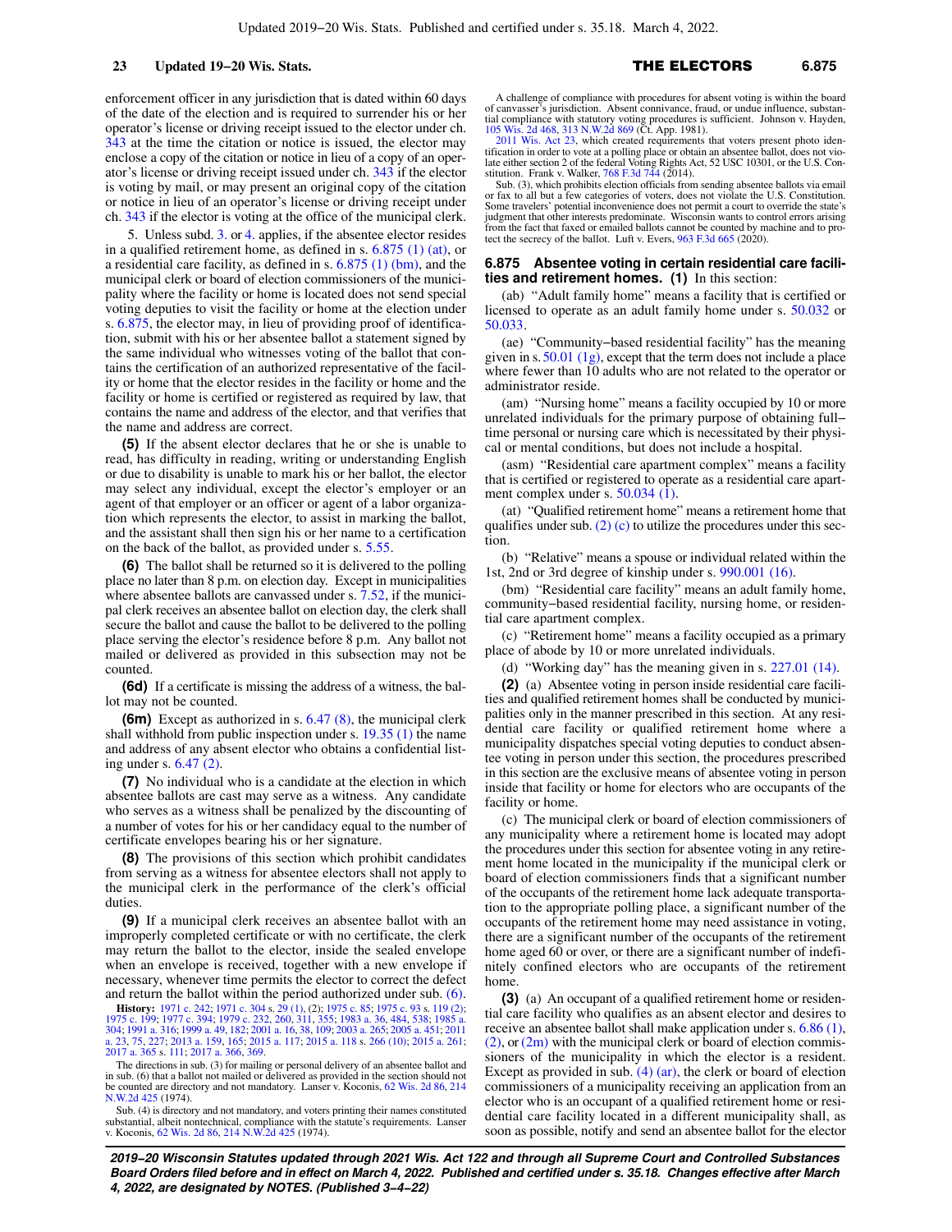enforcement officer in any jurisdiction that is dated within 60 days of the date of the election and is required to surrender his or her operator's license or driving receipt issued to the elector under ch. [343](https://docs-preview.legis.wisconsin.gov/document/statutes/ch.%20343) at the time the citation or notice is issued, the elector may enclose a copy of the citation or notice in lieu of a copy of an operator's license or driving receipt issued under ch. [343](https://docs-preview.legis.wisconsin.gov/document/statutes/ch.%20343) if the elector is voting by mail, or may present an original copy of the citation or notice in lieu of an operator's license or driving receipt under ch. [343](https://docs-preview.legis.wisconsin.gov/document/statutes/ch.%20343) if the elector is voting at the office of the municipal clerk.

5. Unless subd. [3.](https://docs-preview.legis.wisconsin.gov/document/statutes/6.87(4)(b)3.) or [4.](https://docs-preview.legis.wisconsin.gov/document/statutes/6.87(4)(b)4.) applies, if the absentee elector resides in a qualified retirement home, as defined in s. [6.875 \(1\) \(at\),](https://docs-preview.legis.wisconsin.gov/document/statutes/6.875(1)(at)) or a residential care facility, as defined in s. [6.875 \(1\) \(bm\)](https://docs-preview.legis.wisconsin.gov/document/statutes/6.875(1)(bm)), and the municipal clerk or board of election commissioners of the municipality where the facility or home is located does not send special voting deputies to visit the facility or home at the election under s. [6.875](https://docs-preview.legis.wisconsin.gov/document/statutes/6.875), the elector may, in lieu of providing proof of identification, submit with his or her absentee ballot a statement signed by the same individual who witnesses voting of the ballot that contains the certification of an authorized representative of the facility or home that the elector resides in the facility or home and the facility or home is certified or registered as required by law, that contains the name and address of the elector, and that verifies that the name and address are correct.

**(5)** If the absent elector declares that he or she is unable to read, has difficulty in reading, writing or understanding English or due to disability is unable to mark his or her ballot, the elector may select any individual, except the elector's employer or an agent of that employer or an officer or agent of a labor organization which represents the elector, to assist in marking the ballot, and the assistant shall then sign his or her name to a certification on the back of the ballot, as provided under s. [5.55](https://docs-preview.legis.wisconsin.gov/document/statutes/5.55).

**(6)** The ballot shall be returned so it is delivered to the polling place no later than 8 p.m. on election day. Except in municipalities where absentee ballots are canvassed under s. [7.52,](https://docs-preview.legis.wisconsin.gov/document/statutes/7.52) if the municipal clerk receives an absentee ballot on election day, the clerk shall secure the ballot and cause the ballot to be delivered to the polling place serving the elector's residence before 8 p.m. Any ballot not mailed or delivered as provided in this subsection may not be counted.

**(6d)** If a certificate is missing the address of a witness, the ballot may not be counted.

**(6m)** Except as authorized in s. [6.47 \(8\),](https://docs-preview.legis.wisconsin.gov/document/statutes/6.47(8)) the municipal clerk shall withhold from public inspection under s. [19.35 \(1\)](https://docs-preview.legis.wisconsin.gov/document/statutes/19.35(1)) the name and address of any absent elector who obtains a confidential listing under s. [6.47 \(2\)](https://docs-preview.legis.wisconsin.gov/document/statutes/6.47(2)).

**(7)** No individual who is a candidate at the election in which absentee ballots are cast may serve as a witness. Any candidate who serves as a witness shall be penalized by the discounting of a number of votes for his or her candidacy equal to the number of certificate envelopes bearing his or her signature.

**(8)** The provisions of this section which prohibit candidates from serving as a witness for absentee electors shall not apply to the municipal clerk in the performance of the clerk's official duties.

**(9)** If a municipal clerk receives an absentee ballot with an improperly completed certificate or with no certificate, the clerk may return the ballot to the elector, inside the sealed envelope when an envelope is received, together with a new envelope if necessary, whenever time permits the elector to correct the defect and return the ballot within the period authorized under sub. [\(6\).](https://docs-preview.legis.wisconsin.gov/document/statutes/6.87(6))

**History:** [1971 c. 242](https://docs-preview.legis.wisconsin.gov/document/acts/1971/242); [1971 c. 304](https://docs-preview.legis.wisconsin.gov/document/acts/1971/304) s. [29 \(1\)](https://docs-preview.legis.wisconsin.gov/document/acts/1971/304,%20s.%2029), (2); [1975 c. 85;](https://docs-preview.legis.wisconsin.gov/document/acts/1975/85) [1975 c. 93](https://docs-preview.legis.wisconsin.gov/document/acts/1975/93) s. [119 \(2\)](https://docs-preview.legis.wisconsin.gov/document/acts/1975/93,%20s.%20119);<br>[1975 c. 199;](https://docs-preview.legis.wisconsin.gov/document/acts/1975/199) [1977 c. 394;](https://docs-preview.legis.wisconsin.gov/document/acts/1977/394) [1979 c. 232](https://docs-preview.legis.wisconsin.gov/document/acts/1979/232), [260](https://docs-preview.legis.wisconsin.gov/document/acts/1979/260), [311,](https://docs-preview.legis.wisconsin.gov/document/acts/1979/311) [355;](https://docs-preview.legis.wisconsin.gov/document/acts/1979/355) [1983 a. 36,](https://docs-preview.legis.wisconsin.gov/document/acts/1983/36) [484,](https://docs-preview.legis.wisconsin.gov/document/acts/1983/484) [538;](https://docs-preview.legis.wisconsin.gov/document/acts/1983/538) [1985 a.](https://docs-preview.legis.wisconsin.gov/document/acts/1985/304)<br>[304](https://docs-preview.legis.wisconsin.gov/document/acts/1985/304); [1991 a. 316](https://docs-preview.legis.wisconsin.gov/document/acts/1991/316); [1999 a. 49,](https://docs-preview.legis.wisconsin.gov/document/acts/1999/49) [182](https://docs-preview.legis.wisconsin.gov/document/acts/1999/182); [2001 a. 16,](https://docs-preview.legis.wisconsin.gov/document/acts/2001/16) [38,](https://docs-preview.legis.wisconsin.gov/document/acts/2001/38) [a. 23](https://docs-preview.legis.wisconsin.gov/document/acts/2011/23), [75,](https://docs-preview.legis.wisconsin.gov/document/acts/2011/75) [227](https://docs-preview.legis.wisconsin.gov/document/acts/2011/227); [2013 a. 159,](https://docs-preview.legis.wisconsin.gov/document/acts/2013/159) [165;](https://docs-preview.legis.wisconsin.gov/document/acts/2013/165) [2015 a. 117](https://docs-preview.legis.wisconsin.gov/document/acts/2015/117); [2015 a. 118](https://docs-preview.legis.wisconsin.gov/document/acts/2015/118) s. [266 \(10\);](https://docs-preview.legis.wisconsin.gov/document/acts/2015/118,%20s.%20266) [2015 a. 261](https://docs-preview.legis.wisconsin.gov/document/acts/2015/261); [2017 a. 365](https://docs-preview.legis.wisconsin.gov/document/acts/2017/365) s. [111;](https://docs-preview.legis.wisconsin.gov/document/acts/2017/365,%20s.%20111) [2017 a. 366](https://docs-preview.legis.wisconsin.gov/document/acts/2017/366), [369](https://docs-preview.legis.wisconsin.gov/document/acts/2017/369).

The directions in sub. (3) for mailing or personal delivery of an absentee ballot and in sub. (6) that a ballot not mailed or delivered as provided in the section should not be counted are directory and not mandatory. Lanser v. Koconis, [62 Wis. 2d 86](https://docs-preview.legis.wisconsin.gov/document/courts/62%20Wis.%202d%2086), [214](https://docs-preview.legis.wisconsin.gov/document/courts/214%20N.W.2d%20425) [N.W.2d 425](https://docs-preview.legis.wisconsin.gov/document/courts/214%20N.W.2d%20425) (1974).

Sub. (4) is directory and not mandatory, and voters printing their names constituted substantial, albeit nontechnical, compliance with the statute's requirements. Lanser<br>v. Koconis, [62 Wis. 2d 86](https://docs-preview.legis.wisconsin.gov/document/courts/62%20Wis.%202d%2086), [214 N.W.2d 425](https://docs-preview.legis.wisconsin.gov/document/courts/214%20N.W.2d%20425) (1974).

A challenge of compliance with procedures for absent voting is within the board of canvasser's jurisdiction. Absent connivance, fraud, or undue influence, substan-tial compliance with statutory voting procedures is sufficient. Johnson v. Hayden,

[105 Wis. 2d 468](https://docs-preview.legis.wisconsin.gov/document/courts/105%20Wis.%202d%20468), [313 N.W.2d 869](https://docs-preview.legis.wisconsin.gov/document/courts/313%20N.W.2d%20869) (Ct. App. 1981). [2011 Wis. Act 23](https://docs-preview.legis.wisconsin.gov/document/acts/2011/23), which created requirements that voters present photo iden-tification in order to vote at a polling place or obtain an absentee ballot, does not violate either section 2 of the federal Voting Rights Act, 52 USC 10301, or the U.S. Constitution. Frank v. Walker, [768 F.3d 744](https://docs-preview.legis.wisconsin.gov/document/courts/768%20F.3d%20744) (2014).

Sub. (3), which prohibits election officials from sending absentee ballots via email or fax to all but a few categories of voters, does not violate the U.S. Constitution. Some travelers' potential inconvenience does not permit a court to override the state's judgment that other interests predominate. Wisconsin wants to control errors arising from the fact that faxed or emailed ballots cannot be counted by machine and to protect the secrecy of the ballot. Luft v. Evers, [963 F.3d 665](https://docs-preview.legis.wisconsin.gov/document/courts/963%20F.3d%20665) (2020).

### **6.875 Absentee voting in certain residential care facilities and retirement homes. (1)** In this section:

(ab) "Adult family home" means a facility that is certified or licensed to operate as an adult family home under s. [50.032](https://docs-preview.legis.wisconsin.gov/document/statutes/50.032) or [50.033.](https://docs-preview.legis.wisconsin.gov/document/statutes/50.033)

(ae) "Community−based residential facility" has the meaning given in s.  $50.01$  (1g), except that the term does not include a place where fewer than 10 adults who are not related to the operator or administrator reside.

(am) "Nursing home" means a facility occupied by 10 or more unrelated individuals for the primary purpose of obtaining full− time personal or nursing care which is necessitated by their physical or mental conditions, but does not include a hospital.

(asm) "Residential care apartment complex" means a facility that is certified or registered to operate as a residential care apartment complex under s. [50.034 \(1\)](https://docs-preview.legis.wisconsin.gov/document/statutes/50.034(1)).

(at) "Qualified retirement home" means a retirement home that qualifies under sub.  $(2)$  (c) to utilize the procedures under this section.

(b) "Relative" means a spouse or individual related within the 1st, 2nd or 3rd degree of kinship under s. [990.001 \(16\)](https://docs-preview.legis.wisconsin.gov/document/statutes/990.001(16)).

(bm) "Residential care facility" means an adult family home, community−based residential facility, nursing home, or residential care apartment complex.

(c) "Retirement home" means a facility occupied as a primary place of abode by 10 or more unrelated individuals.

(d) "Working day" has the meaning given in s. [227.01 \(14\)](https://docs-preview.legis.wisconsin.gov/document/statutes/227.01(14)).

**(2)** (a) Absentee voting in person inside residential care facilities and qualified retirement homes shall be conducted by municipalities only in the manner prescribed in this section. At any residential care facility or qualified retirement home where a municipality dispatches special voting deputies to conduct absentee voting in person under this section, the procedures prescribed in this section are the exclusive means of absentee voting in person inside that facility or home for electors who are occupants of the facility or home.

(c) The municipal clerk or board of election commissioners of any municipality where a retirement home is located may adopt the procedures under this section for absentee voting in any retirement home located in the municipality if the municipal clerk or board of election commissioners finds that a significant number of the occupants of the retirement home lack adequate transportation to the appropriate polling place, a significant number of the occupants of the retirement home may need assistance in voting, there are a significant number of the occupants of the retirement home aged 60 or over, or there are a significant number of indefinitely confined electors who are occupants of the retirement home.

**(3)** (a) An occupant of a qualified retirement home or residential care facility who qualifies as an absent elector and desires to receive an absentee ballot shall make application under s. [6.86 \(1\),](https://docs-preview.legis.wisconsin.gov/document/statutes/6.86(1))  $(2)$ , or  $(2m)$  with the municipal clerk or board of election commissioners of the municipality in which the elector is a resident. Except as provided in sub.  $(4)$   $(ar)$ , the clerk or board of election commissioners of a municipality receiving an application from an elector who is an occupant of a qualified retirement home or residential care facility located in a different municipality shall, as soon as possible, notify and send an absentee ballot for the elector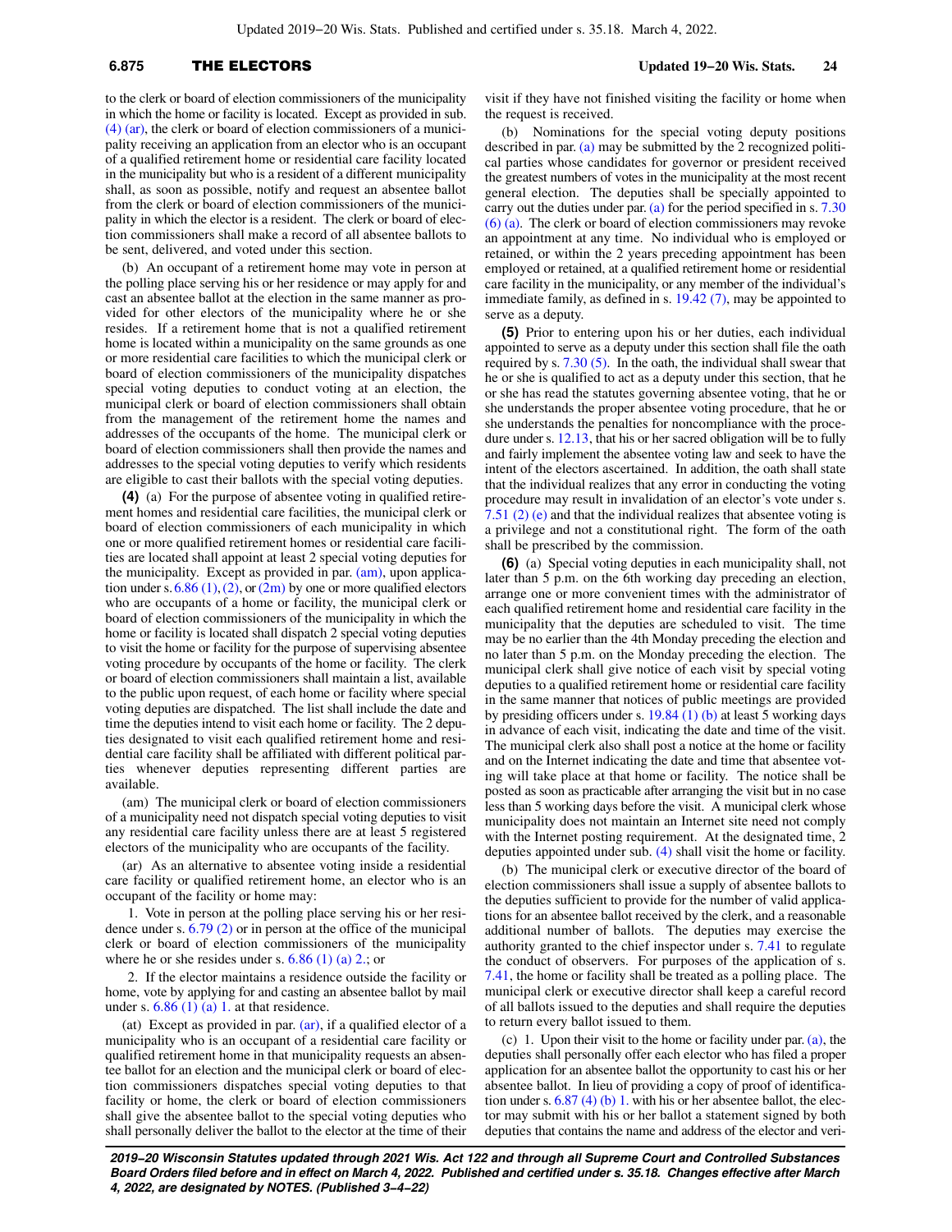# **6.875** THE ELECTORS **Updated 19−20 Wis. Stats. 24**

to the clerk or board of election commissioners of the municipality in which the home or facility is located. Except as provided in sub. [\(4\) \(ar\)](https://docs-preview.legis.wisconsin.gov/document/statutes/6.875(4)(ar)), the clerk or board of election commissioners of a municipality receiving an application from an elector who is an occupant of a qualified retirement home or residential care facility located in the municipality but who is a resident of a different municipality shall, as soon as possible, notify and request an absentee ballot from the clerk or board of election commissioners of the municipality in which the elector is a resident. The clerk or board of election commissioners shall make a record of all absentee ballots to be sent, delivered, and voted under this section.

(b) An occupant of a retirement home may vote in person at the polling place serving his or her residence or may apply for and cast an absentee ballot at the election in the same manner as provided for other electors of the municipality where he or she resides. If a retirement home that is not a qualified retirement home is located within a municipality on the same grounds as one or more residential care facilities to which the municipal clerk or board of election commissioners of the municipality dispatches special voting deputies to conduct voting at an election, the municipal clerk or board of election commissioners shall obtain from the management of the retirement home the names and addresses of the occupants of the home. The municipal clerk or board of election commissioners shall then provide the names and addresses to the special voting deputies to verify which residents are eligible to cast their ballots with the special voting deputies.

**(4)** (a) For the purpose of absentee voting in qualified retirement homes and residential care facilities, the municipal clerk or board of election commissioners of each municipality in which one or more qualified retirement homes or residential care facilities are located shall appoint at least 2 special voting deputies for the municipality. Except as provided in par. [\(am\)](https://docs-preview.legis.wisconsin.gov/document/statutes/6.875(4)(am)), upon application under s.  $6.86$  (1), [\(2\),](https://docs-preview.legis.wisconsin.gov/document/statutes/6.86(2)) or [\(2m\)](https://docs-preview.legis.wisconsin.gov/document/statutes/6.86(2m)) by one or more qualified electors who are occupants of a home or facility, the municipal clerk or board of election commissioners of the municipality in which the home or facility is located shall dispatch 2 special voting deputies to visit the home or facility for the purpose of supervising absentee voting procedure by occupants of the home or facility. The clerk or board of election commissioners shall maintain a list, available to the public upon request, of each home or facility where special voting deputies are dispatched. The list shall include the date and time the deputies intend to visit each home or facility. The 2 deputies designated to visit each qualified retirement home and residential care facility shall be affiliated with different political parties whenever deputies representing different parties are available.

(am) The municipal clerk or board of election commissioners of a municipality need not dispatch special voting deputies to visit any residential care facility unless there are at least 5 registered electors of the municipality who are occupants of the facility.

(ar) As an alternative to absentee voting inside a residential care facility or qualified retirement home, an elector who is an occupant of the facility or home may:

1. Vote in person at the polling place serving his or her residence under s. [6.79 \(2\)](https://docs-preview.legis.wisconsin.gov/document/statutes/6.79(2)) or in person at the office of the municipal clerk or board of election commissioners of the municipality where he or she resides under s.  $6.86$  (1) (a) 2.; or

2. If the elector maintains a residence outside the facility or home, vote by applying for and casting an absentee ballot by mail under s.  $6.86$  (1) (a) 1. at that residence.

(at) Except as provided in par. [\(ar\),](https://docs-preview.legis.wisconsin.gov/document/statutes/6.875(4)(ar)) if a qualified elector of a municipality who is an occupant of a residential care facility or qualified retirement home in that municipality requests an absentee ballot for an election and the municipal clerk or board of election commissioners dispatches special voting deputies to that facility or home, the clerk or board of election commissioners shall give the absentee ballot to the special voting deputies who shall personally deliver the ballot to the elector at the time of their visit if they have not finished visiting the facility or home when the request is received.

(b) Nominations for the special voting deputy positions described in par. [\(a\)](https://docs-preview.legis.wisconsin.gov/document/statutes/6.875(4)(a)) may be submitted by the 2 recognized political parties whose candidates for governor or president received the greatest numbers of votes in the municipality at the most recent general election. The deputies shall be specially appointed to carry out the duties under par. [\(a\)](https://docs-preview.legis.wisconsin.gov/document/statutes/6.875(4)(a)) for the period specified in s.  $7.30$ [\(6\) \(a\)](https://docs-preview.legis.wisconsin.gov/document/statutes/7.30(6)(a)). The clerk or board of election commissioners may revoke an appointment at any time. No individual who is employed or retained, or within the 2 years preceding appointment has been employed or retained, at a qualified retirement home or residential care facility in the municipality, or any member of the individual's immediate family, as defined in s. [19.42 \(7\)](https://docs-preview.legis.wisconsin.gov/document/statutes/19.42(7)), may be appointed to serve as a deputy.

**(5)** Prior to entering upon his or her duties, each individual appointed to serve as a deputy under this section shall file the oath required by s. [7.30 \(5\)](https://docs-preview.legis.wisconsin.gov/document/statutes/7.30(5)). In the oath, the individual shall swear that he or she is qualified to act as a deputy under this section, that he or she has read the statutes governing absentee voting, that he or she understands the proper absentee voting procedure, that he or she understands the penalties for noncompliance with the procedure under s. [12.13,](https://docs-preview.legis.wisconsin.gov/document/statutes/12.13) that his or her sacred obligation will be to fully and fairly implement the absentee voting law and seek to have the intent of the electors ascertained. In addition, the oath shall state that the individual realizes that any error in conducting the voting procedure may result in invalidation of an elector's vote under s. [7.51 \(2\) \(e\)](https://docs-preview.legis.wisconsin.gov/document/statutes/7.51(2)(e)) and that the individual realizes that absentee voting is a privilege and not a constitutional right. The form of the oath shall be prescribed by the commission.

**(6)** (a) Special voting deputies in each municipality shall, not later than 5 p.m. on the 6th working day preceding an election, arrange one or more convenient times with the administrator of each qualified retirement home and residential care facility in the municipality that the deputies are scheduled to visit. The time may be no earlier than the 4th Monday preceding the election and no later than 5 p.m. on the Monday preceding the election. The municipal clerk shall give notice of each visit by special voting deputies to a qualified retirement home or residential care facility in the same manner that notices of public meetings are provided by presiding officers under s. [19.84 \(1\) \(b\)](https://docs-preview.legis.wisconsin.gov/document/statutes/19.84(1)(b)) at least 5 working days in advance of each visit, indicating the date and time of the visit. The municipal clerk also shall post a notice at the home or facility and on the Internet indicating the date and time that absentee voting will take place at that home or facility. The notice shall be posted as soon as practicable after arranging the visit but in no case less than 5 working days before the visit. A municipal clerk whose municipality does not maintain an Internet site need not comply with the Internet posting requirement. At the designated time, 2 deputies appointed under sub. [\(4\)](https://docs-preview.legis.wisconsin.gov/document/statutes/6.875(4)) shall visit the home or facility.

(b) The municipal clerk or executive director of the board of election commissioners shall issue a supply of absentee ballots to the deputies sufficient to provide for the number of valid applications for an absentee ballot received by the clerk, and a reasonable additional number of ballots. The deputies may exercise the authority granted to the chief inspector under s. [7.41](https://docs-preview.legis.wisconsin.gov/document/statutes/7.41) to regulate the conduct of observers. For purposes of the application of s. [7.41,](https://docs-preview.legis.wisconsin.gov/document/statutes/7.41) the home or facility shall be treated as a polling place. The municipal clerk or executive director shall keep a careful record of all ballots issued to the deputies and shall require the deputies to return every ballot issued to them.

(c) 1. Upon their visit to the home or facility under par. [\(a\)](https://docs-preview.legis.wisconsin.gov/document/statutes/6.875(6)(a)), the deputies shall personally offer each elector who has filed a proper application for an absentee ballot the opportunity to cast his or her absentee ballot. In lieu of providing a copy of proof of identification under s. [6.87 \(4\) \(b\) 1.](https://docs-preview.legis.wisconsin.gov/document/statutes/6.87(4)(b)1.) with his or her absentee ballot, the elector may submit with his or her ballot a statement signed by both deputies that contains the name and address of the elector and veri-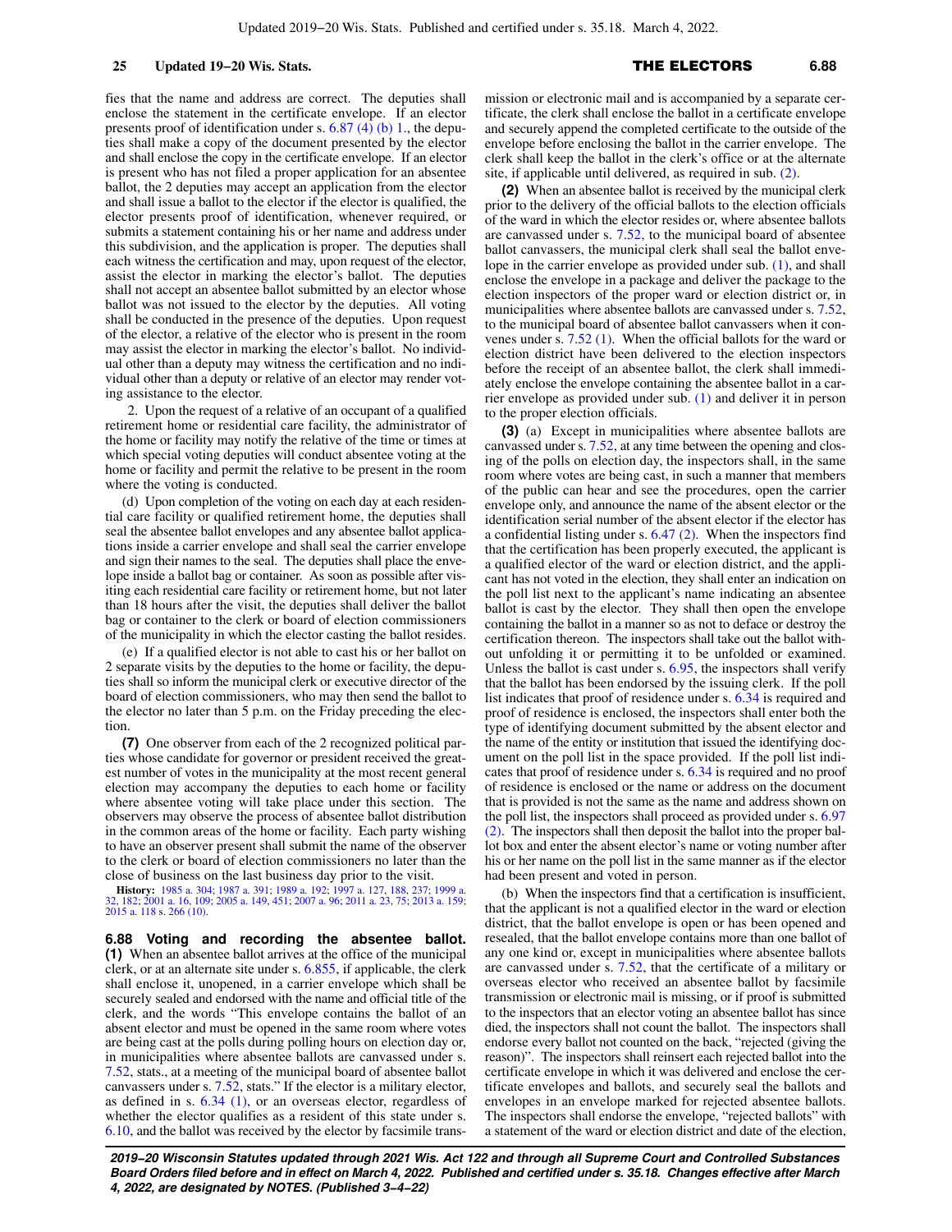fies that the name and address are correct. The deputies shall enclose the statement in the certificate envelope. If an elector presents proof of identification under s. [6.87 \(4\) \(b\) 1.,](https://docs-preview.legis.wisconsin.gov/document/statutes/6.87(4)(b)1.) the deputies shall make a copy of the document presented by the elector and shall enclose the copy in the certificate envelope. If an elector is present who has not filed a proper application for an absentee ballot, the 2 deputies may accept an application from the elector and shall issue a ballot to the elector if the elector is qualified, the elector presents proof of identification, whenever required, or submits a statement containing his or her name and address under this subdivision, and the application is proper. The deputies shall each witness the certification and may, upon request of the elector, assist the elector in marking the elector's ballot. The deputies shall not accept an absentee ballot submitted by an elector whose ballot was not issued to the elector by the deputies. All voting shall be conducted in the presence of the deputies. Upon request of the elector, a relative of the elector who is present in the room may assist the elector in marking the elector's ballot. No individual other than a deputy may witness the certification and no individual other than a deputy or relative of an elector may render voting assistance to the elector.

2. Upon the request of a relative of an occupant of a qualified retirement home or residential care facility, the administrator of the home or facility may notify the relative of the time or times at which special voting deputies will conduct absentee voting at the home or facility and permit the relative to be present in the room where the voting is conducted.

(d) Upon completion of the voting on each day at each residential care facility or qualified retirement home, the deputies shall seal the absentee ballot envelopes and any absentee ballot applications inside a carrier envelope and shall seal the carrier envelope and sign their names to the seal. The deputies shall place the envelope inside a ballot bag or container. As soon as possible after visiting each residential care facility or retirement home, but not later than 18 hours after the visit, the deputies shall deliver the ballot bag or container to the clerk or board of election commissioners of the municipality in which the elector casting the ballot resides.

(e) If a qualified elector is not able to cast his or her ballot on 2 separate visits by the deputies to the home or facility, the deputies shall so inform the municipal clerk or executive director of the board of election commissioners, who may then send the ballot to the elector no later than 5 p.m. on the Friday preceding the election

**(7)** One observer from each of the 2 recognized political parties whose candidate for governor or president received the greatest number of votes in the municipality at the most recent general election may accompany the deputies to each home or facility where absentee voting will take place under this section. The observers may observe the process of absentee ballot distribution in the common areas of the home or facility. Each party wishing to have an observer present shall submit the name of the observer to the clerk or board of election commissioners no later than the close of business on the last business day prior to the visit.

**History:** [1985 a. 304;](https://docs-preview.legis.wisconsin.gov/document/acts/1985/304) [1987 a. 391](https://docs-preview.legis.wisconsin.gov/document/acts/1987/391); [1989 a. 192](https://docs-preview.legis.wisconsin.gov/document/acts/1989/192); [1997 a. 127](https://docs-preview.legis.wisconsin.gov/document/acts/1997/127), [188](https://docs-preview.legis.wisconsin.gov/document/acts/1997/188), [237](https://docs-preview.legis.wisconsin.gov/document/acts/1997/237); [1999 a.](https://docs-preview.legis.wisconsin.gov/document/acts/1999/32) [32,](https://docs-preview.legis.wisconsin.gov/document/acts/1999/32) [182;](https://docs-preview.legis.wisconsin.gov/document/acts/1999/182) [2001 a. 16,](https://docs-preview.legis.wisconsin.gov/document/acts/2001/16) [109](https://docs-preview.legis.wisconsin.gov/document/acts/2001/109); [2005 a. 149,](https://docs-preview.legis.wisconsin.gov/document/acts/2005/149) [451;](https://docs-preview.legis.wisconsin.gov/document/acts/2005/451) [2007 a. 96;](https://docs-preview.legis.wisconsin.gov/document/acts/2007/96) [2011 a. 23](https://docs-preview.legis.wisconsin.gov/document/acts/2011/23), [75;](https://docs-preview.legis.wisconsin.gov/document/acts/2011/75) [2013 a. 159](https://docs-preview.legis.wisconsin.gov/document/acts/2013/159); [2015 a. 118](https://docs-preview.legis.wisconsin.gov/document/acts/2015/118) s. [266 \(10\)](https://docs-preview.legis.wisconsin.gov/document/acts/2015/118,%20s.%20266).

**6.88 Voting and recording the absentee ballot. (1)** When an absentee ballot arrives at the office of the municipal clerk, or at an alternate site under s. [6.855](https://docs-preview.legis.wisconsin.gov/document/statutes/6.855), if applicable, the clerk shall enclose it, unopened, in a carrier envelope which shall be securely sealed and endorsed with the name and official title of the clerk, and the words "This envelope contains the ballot of an absent elector and must be opened in the same room where votes are being cast at the polls during polling hours on election day or, in municipalities where absentee ballots are canvassed under s. [7.52,](https://docs-preview.legis.wisconsin.gov/document/statutes/7.52) stats., at a meeting of the municipal board of absentee ballot canvassers under s. [7.52](https://docs-preview.legis.wisconsin.gov/document/statutes/7.52), stats." If the elector is a military elector, as defined in s. [6.34 \(1\),](https://docs-preview.legis.wisconsin.gov/document/statutes/6.34(1)) or an overseas elector, regardless of whether the elector qualifies as a resident of this state under s. [6.10,](https://docs-preview.legis.wisconsin.gov/document/statutes/6.10) and the ballot was received by the elector by facsimile transmission or electronic mail and is accompanied by a separate certificate, the clerk shall enclose the ballot in a certificate envelope and securely append the completed certificate to the outside of the envelope before enclosing the ballot in the carrier envelope. The clerk shall keep the ballot in the clerk's office or at the alternate site, if applicable until delivered, as required in sub. [\(2\).](https://docs-preview.legis.wisconsin.gov/document/statutes/6.88(2))

**(2)** When an absentee ballot is received by the municipal clerk prior to the delivery of the official ballots to the election officials of the ward in which the elector resides or, where absentee ballots are canvassed under s. [7.52,](https://docs-preview.legis.wisconsin.gov/document/statutes/7.52) to the municipal board of absentee ballot canvassers, the municipal clerk shall seal the ballot envelope in the carrier envelope as provided under sub. [\(1\)](https://docs-preview.legis.wisconsin.gov/document/statutes/6.88(1)), and shall enclose the envelope in a package and deliver the package to the election inspectors of the proper ward or election district or, in municipalities where absentee ballots are canvassed under s. [7.52,](https://docs-preview.legis.wisconsin.gov/document/statutes/7.52) to the municipal board of absentee ballot canvassers when it convenes under s. [7.52 \(1\).](https://docs-preview.legis.wisconsin.gov/document/statutes/7.52(1)) When the official ballots for the ward or election district have been delivered to the election inspectors before the receipt of an absentee ballot, the clerk shall immediately enclose the envelope containing the absentee ballot in a carrier envelope as provided under sub. [\(1\)](https://docs-preview.legis.wisconsin.gov/document/statutes/6.88(1)) and deliver it in person to the proper election officials.

**(3)** (a) Except in municipalities where absentee ballots are canvassed under s. [7.52,](https://docs-preview.legis.wisconsin.gov/document/statutes/7.52) at any time between the opening and closing of the polls on election day, the inspectors shall, in the same room where votes are being cast, in such a manner that members of the public can hear and see the procedures, open the carrier envelope only, and announce the name of the absent elector or the identification serial number of the absent elector if the elector has a confidential listing under s. [6.47 \(2\)](https://docs-preview.legis.wisconsin.gov/document/statutes/6.47(2)). When the inspectors find that the certification has been properly executed, the applicant is a qualified elector of the ward or election district, and the applicant has not voted in the election, they shall enter an indication on the poll list next to the applicant's name indicating an absentee ballot is cast by the elector. They shall then open the envelope containing the ballot in a manner so as not to deface or destroy the certification thereon. The inspectors shall take out the ballot without unfolding it or permitting it to be unfolded or examined. Unless the ballot is cast under s. [6.95](https://docs-preview.legis.wisconsin.gov/document/statutes/6.95), the inspectors shall verify that the ballot has been endorsed by the issuing clerk. If the poll list indicates that proof of residence under s. [6.34](https://docs-preview.legis.wisconsin.gov/document/statutes/6.34) is required and proof of residence is enclosed, the inspectors shall enter both the type of identifying document submitted by the absent elector and the name of the entity or institution that issued the identifying document on the poll list in the space provided. If the poll list indicates that proof of residence under s. [6.34](https://docs-preview.legis.wisconsin.gov/document/statutes/6.34) is required and no proof of residence is enclosed or the name or address on the document that is provided is not the same as the name and address shown on the poll list, the inspectors shall proceed as provided under s. [6.97](https://docs-preview.legis.wisconsin.gov/document/statutes/6.97(2)) [\(2\).](https://docs-preview.legis.wisconsin.gov/document/statutes/6.97(2)) The inspectors shall then deposit the ballot into the proper ballot box and enter the absent elector's name or voting number after his or her name on the poll list in the same manner as if the elector had been present and voted in person.

(b) When the inspectors find that a certification is insufficient, that the applicant is not a qualified elector in the ward or election district, that the ballot envelope is open or has been opened and resealed, that the ballot envelope contains more than one ballot of any one kind or, except in municipalities where absentee ballots are canvassed under s. [7.52,](https://docs-preview.legis.wisconsin.gov/document/statutes/7.52) that the certificate of a military or overseas elector who received an absentee ballot by facsimile transmission or electronic mail is missing, or if proof is submitted to the inspectors that an elector voting an absentee ballot has since died, the inspectors shall not count the ballot. The inspectors shall endorse every ballot not counted on the back, "rejected (giving the reason)". The inspectors shall reinsert each rejected ballot into the certificate envelope in which it was delivered and enclose the certificate envelopes and ballots, and securely seal the ballots and envelopes in an envelope marked for rejected absentee ballots. The inspectors shall endorse the envelope, "rejected ballots" with a statement of the ward or election district and date of the election,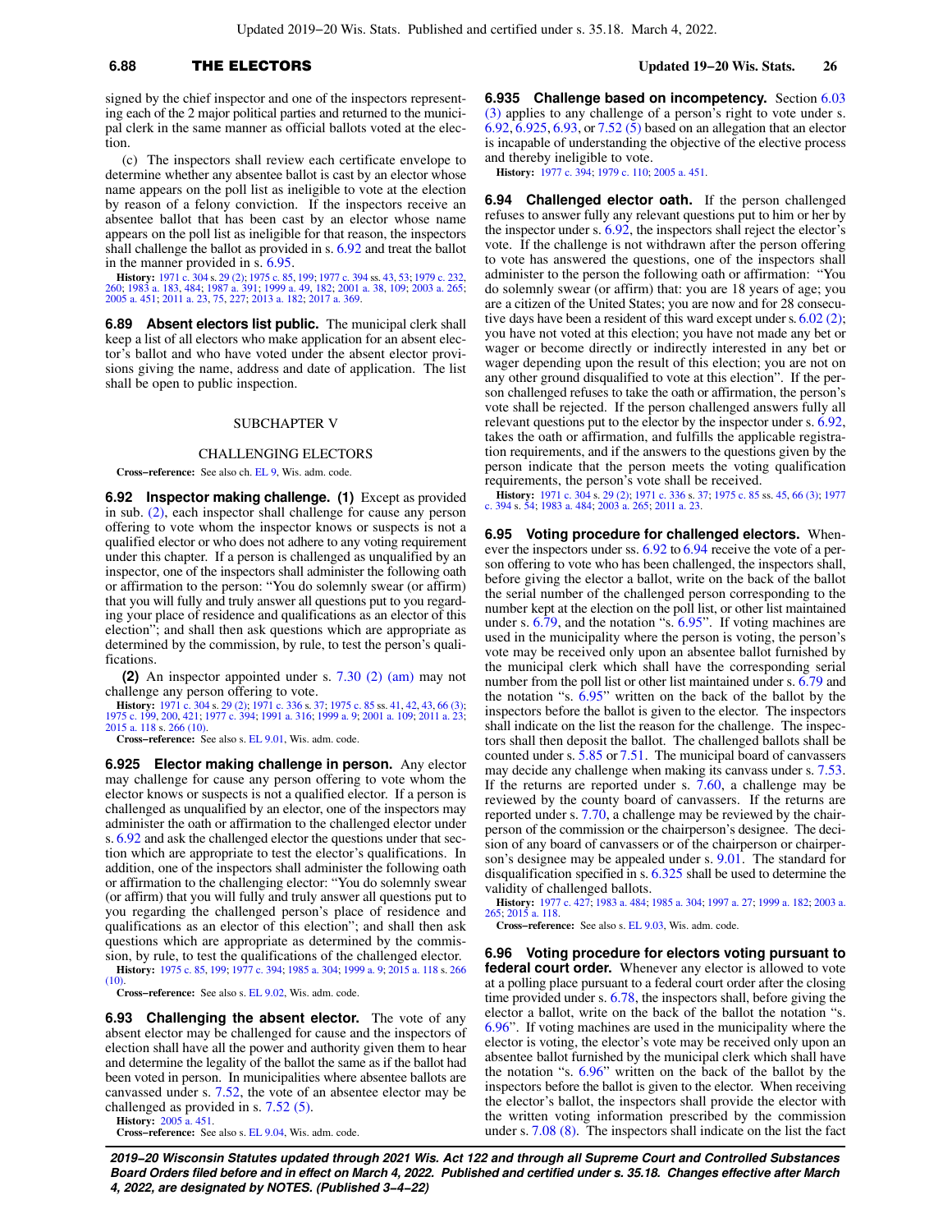# **6.88** THE ELECTORS **Updated 19−20 Wis. Stats. 26**

tion.

signed by the chief inspector and one of the inspectors representing each of the 2 major political parties and returned to the municipal clerk in the same manner as official ballots voted at the elec-

(c) The inspectors shall review each certificate envelope to determine whether any absentee ballot is cast by an elector whose name appears on the poll list as ineligible to vote at the election by reason of a felony conviction. If the inspectors receive an absentee ballot that has been cast by an elector whose name appears on the poll list as ineligible for that reason, the inspectors shall challenge the ballot as provided in s. [6.92](https://docs-preview.legis.wisconsin.gov/document/statutes/6.92) and treat the ballot in the manner provided in s. [6.95](https://docs-preview.legis.wisconsin.gov/document/statutes/6.95).

**History:** [1971 c. 304](https://docs-preview.legis.wisconsin.gov/document/acts/1971/304) s. [29 \(2\)](https://docs-preview.legis.wisconsin.gov/document/acts/1971/304,%20s.%2029); [1975 c. 85,](https://docs-preview.legis.wisconsin.gov/document/acts/1975/85) [199;](https://docs-preview.legis.wisconsin.gov/document/acts/1975/199) [1977 c. 394](https://docs-preview.legis.wisconsin.gov/document/acts/1977/394) ss. [43](https://docs-preview.legis.wisconsin.gov/document/acts/1977/394,%20s.%2043), [53](https://docs-preview.legis.wisconsin.gov/document/acts/1977/394,%20s.%2053); [1979 c. 232](https://docs-preview.legis.wisconsin.gov/document/acts/1979/232), [260](https://docs-preview.legis.wisconsin.gov/document/acts/1979/260); [1983 a. 183](https://docs-preview.legis.wisconsin.gov/document/acts/1983/183), [484](https://docs-preview.legis.wisconsin.gov/document/acts/1983/484); 1987 a. 301; 1999 a. 49, 1820; 1983 a. 265;<br>260; 1983 a. 183, 484; [1987 a. 391](https://docs-preview.legis.wisconsin.gov/document/acts/1987/391); [1999 a. 49](https://docs-preview.legis.wisconsin.gov/document/acts/1999/49), [182;](https://docs-preview.legis.wisconsin.gov/document/acts/1999/182) 2001 a. 369.<br>2

**6.89 Absent electors list public.** The municipal clerk shall keep a list of all electors who make application for an absent elector's ballot and who have voted under the absent elector provisions giving the name, address and date of application. The list shall be open to public inspection.

#### SUBCHAPTER V

#### CHALLENGING ELECTORS

**Cross−reference:** See also ch. [EL 9,](https://docs-preview.legis.wisconsin.gov/document/administrativecode/ch.%20EL%209) Wis. adm. code.

**6.92 Inspector making challenge. (1)** Except as provided in sub. [\(2\),](https://docs-preview.legis.wisconsin.gov/document/statutes/6.92(2)) each inspector shall challenge for cause any person offering to vote whom the inspector knows or suspects is not a qualified elector or who does not adhere to any voting requirement under this chapter. If a person is challenged as unqualified by an inspector, one of the inspectors shall administer the following oath or affirmation to the person: "You do solemnly swear (or affirm) that you will fully and truly answer all questions put to you regarding your place of residence and qualifications as an elector of this election"; and shall then ask questions which are appropriate as determined by the commission, by rule, to test the person's qualifications.

**(2)** An inspector appointed under s. [7.30 \(2\) \(am\)](https://docs-preview.legis.wisconsin.gov/document/statutes/7.30(2)(am)) may not challenge any person offering to vote.

**History:** [1971 c. 304](https://docs-preview.legis.wisconsin.gov/document/acts/1971/304) s. [29 \(2\);](https://docs-preview.legis.wisconsin.gov/document/acts/1971/304,%20s.%2029) [1971 c. 336](https://docs-preview.legis.wisconsin.gov/document/acts/1971/336) s. [37;](https://docs-preview.legis.wisconsin.gov/document/acts/1971/336,%20s.%2037) [1975 c. 85](https://docs-preview.legis.wisconsin.gov/document/acts/1975/85) ss. [41](https://docs-preview.legis.wisconsin.gov/document/acts/1975/85,%20s.%2041), [42](https://docs-preview.legis.wisconsin.gov/document/acts/1975/85,%20s.%2042), [43](https://docs-preview.legis.wisconsin.gov/document/acts/1975/85,%20s.%2043), [66 \(3\)](https://docs-preview.legis.wisconsin.gov/document/acts/1975/85,%20s.%2066);<br>[1975 c. 199](https://docs-preview.legis.wisconsin.gov/document/acts/1975/199), [200](https://docs-preview.legis.wisconsin.gov/document/acts/1975/200), [421](https://docs-preview.legis.wisconsin.gov/document/acts/1975/421); [1977 c. 394](https://docs-preview.legis.wisconsin.gov/document/acts/1977/394); [1991 a. 316;](https://docs-preview.legis.wisconsin.gov/document/acts/1991/316) [1999 a. 9;](https://docs-preview.legis.wisconsin.gov/document/acts/1999/9) [2001 a. 109;](https://docs-preview.legis.wisconsin.gov/document/acts/2001/109) [2011 a. 23](https://docs-preview.legis.wisconsin.gov/document/acts/2011/23);<br>[2015 a. 118](https://docs-preview.legis.wisconsin.gov/document/acts/2015/118) s. [266 \(10\)](https://docs-preview.legis.wisconsin.gov/document/acts/2015/118,%20s.%20266).

**Cross−reference:** See also s. [EL 9.01,](https://docs-preview.legis.wisconsin.gov/document/administrativecode/EL%209.01) Wis. adm. code.

**6.925 Elector making challenge in person.** Any elector may challenge for cause any person offering to vote whom the elector knows or suspects is not a qualified elector. If a person is challenged as unqualified by an elector, one of the inspectors may administer the oath or affirmation to the challenged elector under s. [6.92](https://docs-preview.legis.wisconsin.gov/document/statutes/6.92) and ask the challenged elector the questions under that section which are appropriate to test the elector's qualifications. In addition, one of the inspectors shall administer the following oath or affirmation to the challenging elector: "You do solemnly swear (or affirm) that you will fully and truly answer all questions put to you regarding the challenged person's place of residence and qualifications as an elector of this election"; and shall then ask questions which are appropriate as determined by the commission, by rule, to test the qualifications of the challenged elector.

**History:** [1975 c. 85,](https://docs-preview.legis.wisconsin.gov/document/acts/1975/85) [199;](https://docs-preview.legis.wisconsin.gov/document/acts/1975/199) [1977 c. 394;](https://docs-preview.legis.wisconsin.gov/document/acts/1977/394) [1985 a. 304](https://docs-preview.legis.wisconsin.gov/document/acts/1985/304); [1999 a. 9](https://docs-preview.legis.wisconsin.gov/document/acts/1999/9); [2015 a. 118](https://docs-preview.legis.wisconsin.gov/document/acts/2015/118) s. [266](https://docs-preview.legis.wisconsin.gov/document/acts/2015/118,%20s.%20266)  $(10)$ 

**Cross−reference:** See also s. [EL 9.02,](https://docs-preview.legis.wisconsin.gov/document/administrativecode/EL%209.02) Wis. adm. code.

**6.93 Challenging the absent elector.** The vote of any absent elector may be challenged for cause and the inspectors of election shall have all the power and authority given them to hear and determine the legality of the ballot the same as if the ballot had been voted in person. In municipalities where absentee ballots are canvassed under s. [7.52](https://docs-preview.legis.wisconsin.gov/document/statutes/7.52), the vote of an absentee elector may be challenged as provided in s. [7.52 \(5\).](https://docs-preview.legis.wisconsin.gov/document/statutes/7.52(5))

**History:** [2005 a. 451](https://docs-preview.legis.wisconsin.gov/document/acts/2005/451). **Cross−reference:** See also s. [EL 9.04,](https://docs-preview.legis.wisconsin.gov/document/administrativecode/EL%209.04) Wis. adm. code. **6.935 Challenge based on incompetency.** Section [6.03](https://docs-preview.legis.wisconsin.gov/document/statutes/6.03(3)) [\(3\)](https://docs-preview.legis.wisconsin.gov/document/statutes/6.03(3)) applies to any challenge of a person's right to vote under s. [6.92,](https://docs-preview.legis.wisconsin.gov/document/statutes/6.92) [6.925](https://docs-preview.legis.wisconsin.gov/document/statutes/6.925), [6.93,](https://docs-preview.legis.wisconsin.gov/document/statutes/6.93) or [7.52 \(5\)](https://docs-preview.legis.wisconsin.gov/document/statutes/7.52(5)) based on an allegation that an elector is incapable of understanding the objective of the elective process and thereby ineligible to vote.

**History:** [1977 c. 394;](https://docs-preview.legis.wisconsin.gov/document/acts/1977/394) [1979 c. 110;](https://docs-preview.legis.wisconsin.gov/document/acts/1979/110) [2005 a. 451.](https://docs-preview.legis.wisconsin.gov/document/acts/2005/451)

**6.94 Challenged elector oath.** If the person challenged refuses to answer fully any relevant questions put to him or her by the inspector under s. [6.92](https://docs-preview.legis.wisconsin.gov/document/statutes/6.92), the inspectors shall reject the elector's vote. If the challenge is not withdrawn after the person offering to vote has answered the questions, one of the inspectors shall administer to the person the following oath or affirmation: "You do solemnly swear (or affirm) that: you are 18 years of age; you are a citizen of the United States; you are now and for 28 consecutive days have been a resident of this ward except under s. [6.02 \(2\);](https://docs-preview.legis.wisconsin.gov/document/statutes/6.02(2)) you have not voted at this election; you have not made any bet or wager or become directly or indirectly interested in any bet or wager depending upon the result of this election; you are not on any other ground disqualified to vote at this election". If the person challenged refuses to take the oath or affirmation, the person's vote shall be rejected. If the person challenged answers fully all relevant questions put to the elector by the inspector under s. [6.92,](https://docs-preview.legis.wisconsin.gov/document/statutes/6.92) takes the oath or affirmation, and fulfills the applicable registration requirements, and if the answers to the questions given by the person indicate that the person meets the voting qualification requirements, the person's vote shall be received.

**History:** [1971 c. 304](https://docs-preview.legis.wisconsin.gov/document/acts/1971/304) s. [29 \(2\);](https://docs-preview.legis.wisconsin.gov/document/acts/1971/304,%20s.%2029) [1971 c. 336](https://docs-preview.legis.wisconsin.gov/document/acts/1971/336) s. [37;](https://docs-preview.legis.wisconsin.gov/document/acts/1971/336,%20s.%2037) [1975 c. 85](https://docs-preview.legis.wisconsin.gov/document/acts/1975/85) ss. [45](https://docs-preview.legis.wisconsin.gov/document/acts/1975/85,%20s.%2045), [66 \(3\);](https://docs-preview.legis.wisconsin.gov/document/acts/1975/85,%20s.%2066) [1977](https://docs-preview.legis.wisconsin.gov/document/acts/1977/394) [c. 394](https://docs-preview.legis.wisconsin.gov/document/acts/1977/394) s. [54](https://docs-preview.legis.wisconsin.gov/document/acts/1977/394,%20s.%2054); [1983 a. 484;](https://docs-preview.legis.wisconsin.gov/document/acts/1983/484) [2003 a. 265;](https://docs-preview.legis.wisconsin.gov/document/acts/2003/265) [2011 a. 23](https://docs-preview.legis.wisconsin.gov/document/acts/2011/23).

**6.95 Voting procedure for challenged electors.** Whenever the inspectors under ss. [6.92](https://docs-preview.legis.wisconsin.gov/document/statutes/6.92) to [6.94](https://docs-preview.legis.wisconsin.gov/document/statutes/6.94) receive the vote of a person offering to vote who has been challenged, the inspectors shall, before giving the elector a ballot, write on the back of the ballot the serial number of the challenged person corresponding to the number kept at the election on the poll list, or other list maintained under s. [6.79,](https://docs-preview.legis.wisconsin.gov/document/statutes/6.79) and the notation "s. [6.95](https://docs-preview.legis.wisconsin.gov/document/statutes/6.95)". If voting machines are used in the municipality where the person is voting, the person's vote may be received only upon an absentee ballot furnished by the municipal clerk which shall have the corresponding serial number from the poll list or other list maintained under s. [6.79](https://docs-preview.legis.wisconsin.gov/document/statutes/6.79) and the notation "s. [6.95](https://docs-preview.legis.wisconsin.gov/document/statutes/6.95)" written on the back of the ballot by the inspectors before the ballot is given to the elector. The inspectors shall indicate on the list the reason for the challenge. The inspectors shall then deposit the ballot. The challenged ballots shall be counted under s. [5.85](https://docs-preview.legis.wisconsin.gov/document/statutes/5.85) or [7.51.](https://docs-preview.legis.wisconsin.gov/document/statutes/7.51) The municipal board of canvassers may decide any challenge when making its canvass under s. [7.53.](https://docs-preview.legis.wisconsin.gov/document/statutes/7.53) If the returns are reported under s. [7.60](https://docs-preview.legis.wisconsin.gov/document/statutes/7.60), a challenge may be reviewed by the county board of canvassers. If the returns are reported under s. [7.70,](https://docs-preview.legis.wisconsin.gov/document/statutes/7.70) a challenge may be reviewed by the chairperson of the commission or the chairperson's designee. The decision of any board of canvassers or of the chairperson or chairperson's designee may be appealed under s. [9.01](https://docs-preview.legis.wisconsin.gov/document/statutes/9.01). The standard for disqualification specified in s. [6.325](https://docs-preview.legis.wisconsin.gov/document/statutes/6.325) shall be used to determine the validity of challenged ballots.

**History:** [1977 c. 427;](https://docs-preview.legis.wisconsin.gov/document/acts/1977/427) [1983 a. 484;](https://docs-preview.legis.wisconsin.gov/document/acts/1983/484) [1985 a. 304;](https://docs-preview.legis.wisconsin.gov/document/acts/1985/304) [1997 a. 27](https://docs-preview.legis.wisconsin.gov/document/acts/1997/27); [1999 a. 182](https://docs-preview.legis.wisconsin.gov/document/acts/1999/182); [2003 a.](https://docs-preview.legis.wisconsin.gov/document/acts/2003/265) [265;](https://docs-preview.legis.wisconsin.gov/document/acts/2003/265) [2015 a. 118.](https://docs-preview.legis.wisconsin.gov/document/acts/2015/118)

**Cross−reference:** See also s. [EL 9.03](https://docs-preview.legis.wisconsin.gov/document/administrativecode/EL%209.03), Wis. adm. code.

**6.96 Voting procedure for electors voting pursuant to federal court order.** Whenever any elector is allowed to vote at a polling place pursuant to a federal court order after the closing time provided under s. [6.78,](https://docs-preview.legis.wisconsin.gov/document/statutes/6.78) the inspectors shall, before giving the elector a ballot, write on the back of the ballot the notation "s. [6.96"](https://docs-preview.legis.wisconsin.gov/document/statutes/6.96). If voting machines are used in the municipality where the elector is voting, the elector's vote may be received only upon an absentee ballot furnished by the municipal clerk which shall have the notation "s. [6.96](https://docs-preview.legis.wisconsin.gov/document/statutes/6.96)" written on the back of the ballot by the inspectors before the ballot is given to the elector. When receiving the elector's ballot, the inspectors shall provide the elector with the written voting information prescribed by the commission under s. [7.08 \(8\).](https://docs-preview.legis.wisconsin.gov/document/statutes/7.08(8)) The inspectors shall indicate on the list the fact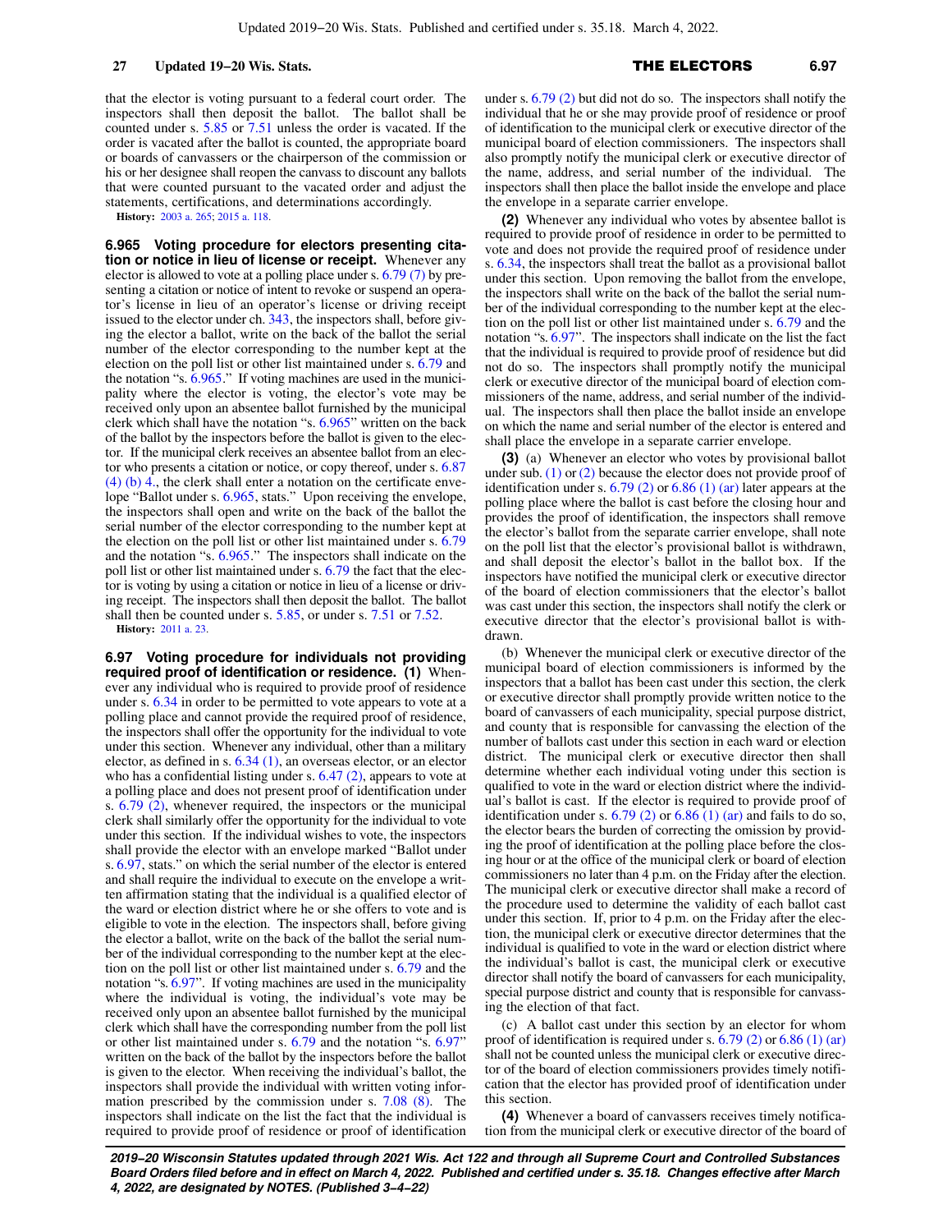that the elector is voting pursuant to a federal court order. The inspectors shall then deposit the ballot. The ballot shall be counted under s. [5.85](https://docs-preview.legis.wisconsin.gov/document/statutes/5.85) or [7.51](https://docs-preview.legis.wisconsin.gov/document/statutes/7.51) unless the order is vacated. If the order is vacated after the ballot is counted, the appropriate board or boards of canvassers or the chairperson of the commission or his or her designee shall reopen the canvass to discount any ballots that were counted pursuant to the vacated order and adjust the statements, certifications, and determinations accordingly.

**History:** [2003 a. 265](https://docs-preview.legis.wisconsin.gov/document/acts/2003/265); [2015 a. 118.](https://docs-preview.legis.wisconsin.gov/document/acts/2015/118)

**6.965 Voting procedure for electors presenting citation or notice in lieu of license or receipt.** Whenever any elector is allowed to vote at a polling place under s. [6.79 \(7\)](https://docs-preview.legis.wisconsin.gov/document/statutes/6.79(7)) by presenting a citation or notice of intent to revoke or suspend an operator's license in lieu of an operator's license or driving receipt issued to the elector under ch. [343](https://docs-preview.legis.wisconsin.gov/document/statutes/ch.%20343), the inspectors shall, before giving the elector a ballot, write on the back of the ballot the serial number of the elector corresponding to the number kept at the election on the poll list or other list maintained under s. [6.79](https://docs-preview.legis.wisconsin.gov/document/statutes/6.79) and the notation "s. [6.965](https://docs-preview.legis.wisconsin.gov/document/statutes/6.965)." If voting machines are used in the municipality where the elector is voting, the elector's vote may be received only upon an absentee ballot furnished by the municipal clerk which shall have the notation "s. [6.965"](https://docs-preview.legis.wisconsin.gov/document/statutes/6.965) written on the back of the ballot by the inspectors before the ballot is given to the elector. If the municipal clerk receives an absentee ballot from an elector who presents a citation or notice, or copy thereof, under s. [6.87](https://docs-preview.legis.wisconsin.gov/document/statutes/6.87(4)(b)4.) [\(4\) \(b\) 4.](https://docs-preview.legis.wisconsin.gov/document/statutes/6.87(4)(b)4.), the clerk shall enter a notation on the certificate envelope "Ballot under s. [6.965,](https://docs-preview.legis.wisconsin.gov/document/statutes/6.965) stats." Upon receiving the envelope, the inspectors shall open and write on the back of the ballot the serial number of the elector corresponding to the number kept at the election on the poll list or other list maintained under s. [6.79](https://docs-preview.legis.wisconsin.gov/document/statutes/6.79) and the notation "s. [6.965](https://docs-preview.legis.wisconsin.gov/document/statutes/6.965)." The inspectors shall indicate on the poll list or other list maintained under s. [6.79](https://docs-preview.legis.wisconsin.gov/document/statutes/6.79) the fact that the elector is voting by using a citation or notice in lieu of a license or driving receipt. The inspectors shall then deposit the ballot. The ballot shall then be counted under s. [5.85,](https://docs-preview.legis.wisconsin.gov/document/statutes/5.85) or under s. [7.51](https://docs-preview.legis.wisconsin.gov/document/statutes/7.51) or [7.52.](https://docs-preview.legis.wisconsin.gov/document/statutes/7.52) **History:** [2011 a. 23.](https://docs-preview.legis.wisconsin.gov/document/acts/2011/23)

**6.97 Voting procedure for individuals not providing required proof of identification or residence. (1)** Whenever any individual who is required to provide proof of residence under s. [6.34](https://docs-preview.legis.wisconsin.gov/document/statutes/6.34) in order to be permitted to vote appears to vote at a polling place and cannot provide the required proof of residence, the inspectors shall offer the opportunity for the individual to vote under this section. Whenever any individual, other than a military elector, as defined in s. [6.34 \(1\)](https://docs-preview.legis.wisconsin.gov/document/statutes/6.34(1)), an overseas elector, or an elector who has a confidential listing under s. [6.47 \(2\)](https://docs-preview.legis.wisconsin.gov/document/statutes/6.47(2)), appears to vote at a polling place and does not present proof of identification under s.  $6.79$   $(2)$ , whenever required, the inspectors or the municipal clerk shall similarly offer the opportunity for the individual to vote under this section. If the individual wishes to vote, the inspectors shall provide the elector with an envelope marked "Ballot under s. [6.97](https://docs-preview.legis.wisconsin.gov/document/statutes/6.97), stats." on which the serial number of the elector is entered and shall require the individual to execute on the envelope a written affirmation stating that the individual is a qualified elector of the ward or election district where he or she offers to vote and is eligible to vote in the election. The inspectors shall, before giving the elector a ballot, write on the back of the ballot the serial number of the individual corresponding to the number kept at the election on the poll list or other list maintained under s. [6.79](https://docs-preview.legis.wisconsin.gov/document/statutes/6.79) and the notation "s. [6.97"](https://docs-preview.legis.wisconsin.gov/document/statutes/6.97). If voting machines are used in the municipality where the individual is voting, the individual's vote may be received only upon an absentee ballot furnished by the municipal clerk which shall have the corresponding number from the poll list or other list maintained under s. [6.79](https://docs-preview.legis.wisconsin.gov/document/statutes/6.79) and the notation "s. [6.97"](https://docs-preview.legis.wisconsin.gov/document/statutes/6.97) written on the back of the ballot by the inspectors before the ballot is given to the elector. When receiving the individual's ballot, the inspectors shall provide the individual with written voting information prescribed by the commission under s. [7.08 \(8\)](https://docs-preview.legis.wisconsin.gov/document/statutes/7.08(8)). The inspectors shall indicate on the list the fact that the individual is required to provide proof of residence or proof of identification

under s. [6.79 \(2\)](https://docs-preview.legis.wisconsin.gov/document/statutes/6.79(2)) but did not do so. The inspectors shall notify the individual that he or she may provide proof of residence or proof of identification to the municipal clerk or executive director of the municipal board of election commissioners. The inspectors shall also promptly notify the municipal clerk or executive director of the name, address, and serial number of the individual. The inspectors shall then place the ballot inside the envelope and place the envelope in a separate carrier envelope.

**(2)** Whenever any individual who votes by absentee ballot is required to provide proof of residence in order to be permitted to vote and does not provide the required proof of residence under s. [6.34,](https://docs-preview.legis.wisconsin.gov/document/statutes/6.34) the inspectors shall treat the ballot as a provisional ballot under this section. Upon removing the ballot from the envelope, the inspectors shall write on the back of the ballot the serial number of the individual corresponding to the number kept at the election on the poll list or other list maintained under s. [6.79](https://docs-preview.legis.wisconsin.gov/document/statutes/6.79) and the notation "s. [6.97](https://docs-preview.legis.wisconsin.gov/document/statutes/6.97)". The inspectors shall indicate on the list the fact that the individual is required to provide proof of residence but did not do so. The inspectors shall promptly notify the municipal clerk or executive director of the municipal board of election commissioners of the name, address, and serial number of the individual. The inspectors shall then place the ballot inside an envelope on which the name and serial number of the elector is entered and shall place the envelope in a separate carrier envelope.

**(3)** (a) Whenever an elector who votes by provisional ballot under sub.  $(1)$  or  $(2)$  because the elector does not provide proof of identification under s.  $6.79$  (2) or  $6.86$  (1) (ar) later appears at the polling place where the ballot is cast before the closing hour and provides the proof of identification, the inspectors shall remove the elector's ballot from the separate carrier envelope, shall note on the poll list that the elector's provisional ballot is withdrawn, and shall deposit the elector's ballot in the ballot box. If the inspectors have notified the municipal clerk or executive director of the board of election commissioners that the elector's ballot was cast under this section, the inspectors shall notify the clerk or executive director that the elector's provisional ballot is withdrawn.

(b) Whenever the municipal clerk or executive director of the municipal board of election commissioners is informed by the inspectors that a ballot has been cast under this section, the clerk or executive director shall promptly provide written notice to the board of canvassers of each municipality, special purpose district, and county that is responsible for canvassing the election of the number of ballots cast under this section in each ward or election district. The municipal clerk or executive director then shall determine whether each individual voting under this section is qualified to vote in the ward or election district where the individual's ballot is cast. If the elector is required to provide proof of identification under s.  $6.79$  (2) or  $6.86$  (1) (ar) and fails to do so, the elector bears the burden of correcting the omission by providing the proof of identification at the polling place before the closing hour or at the office of the municipal clerk or board of election commissioners no later than 4 p.m. on the Friday after the election. The municipal clerk or executive director shall make a record of the procedure used to determine the validity of each ballot cast under this section. If, prior to 4 p.m. on the Friday after the election, the municipal clerk or executive director determines that the individual is qualified to vote in the ward or election district where the individual's ballot is cast, the municipal clerk or executive director shall notify the board of canvassers for each municipality, special purpose district and county that is responsible for canvassing the election of that fact.

(c) A ballot cast under this section by an elector for whom proof of identification is required under s.  $6.79$  (2) or  $6.86$  (1) (ar) shall not be counted unless the municipal clerk or executive director of the board of election commissioners provides timely notification that the elector has provided proof of identification under this section.

**(4)** Whenever a board of canvassers receives timely notification from the municipal clerk or executive director of the board of